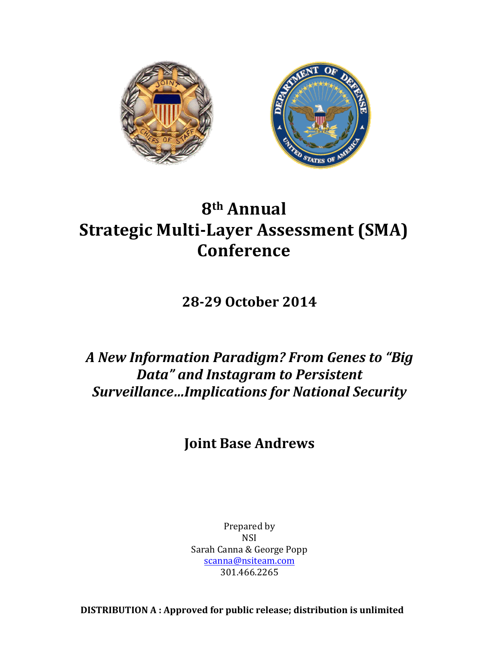

# **8th Annual Strategic Multi-Layer Assessment (SMA) Conference**

**28-29 October 2014**

*A New Information Paradigm? From Genes to "Big Data"* and Instagram to Persistent *Surveillance…Implications for National Security*

# **Joint Base Andrews**

Prepared by NSI Sarah Canna & George Popp scanna@nsiteam.com 301.466.2265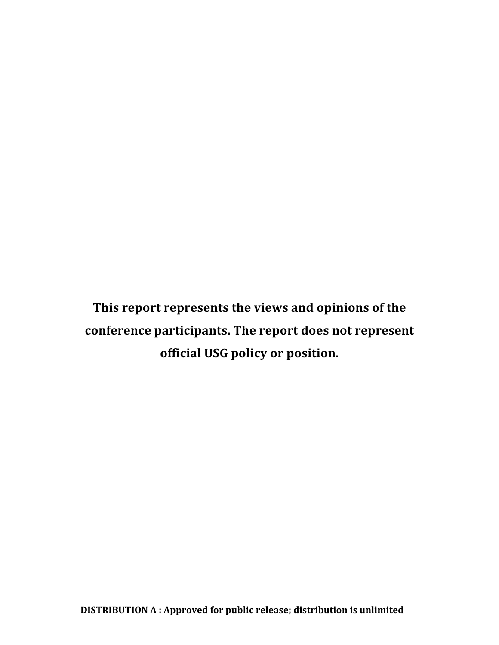This report represents the views and opinions of the conference participants. The report does not represent **official USG policy or position.**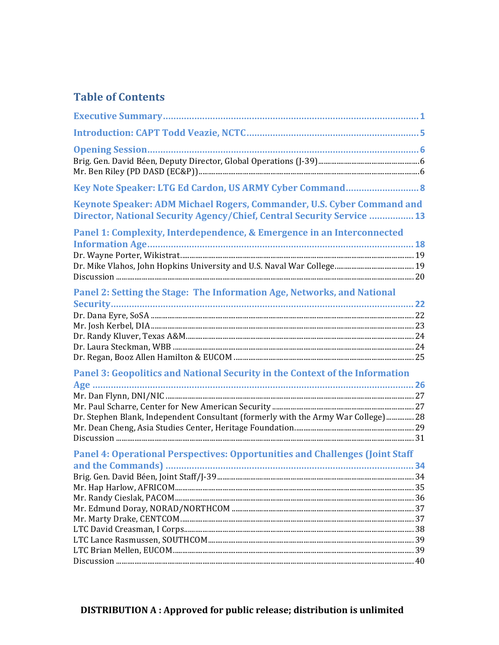# **Table of Contents**

| Key Note Speaker: LTG Ed Cardon, US ARMY Cyber Command 8                                                                                         |  |
|--------------------------------------------------------------------------------------------------------------------------------------------------|--|
| Keynote Speaker: ADM Michael Rogers, Commander, U.S. Cyber Command and<br>Director, National Security Agency/Chief, Central Security Service  13 |  |
| Panel 1: Complexity, Interdependence, & Emergence in an Interconnected                                                                           |  |
|                                                                                                                                                  |  |
| Panel 2: Setting the Stage: The Information Age, Networks, and National                                                                          |  |
|                                                                                                                                                  |  |
|                                                                                                                                                  |  |
| Panel 3: Geopolitics and National Security in the Context of the Information                                                                     |  |
|                                                                                                                                                  |  |
| Dr. Stephen Blank, Independent Consultant (formerly with the Army War College) 28                                                                |  |
| Panel 4: Operational Perspectives: Opportunities and Challenges (Joint Staff                                                                     |  |
|                                                                                                                                                  |  |
|                                                                                                                                                  |  |
|                                                                                                                                                  |  |
|                                                                                                                                                  |  |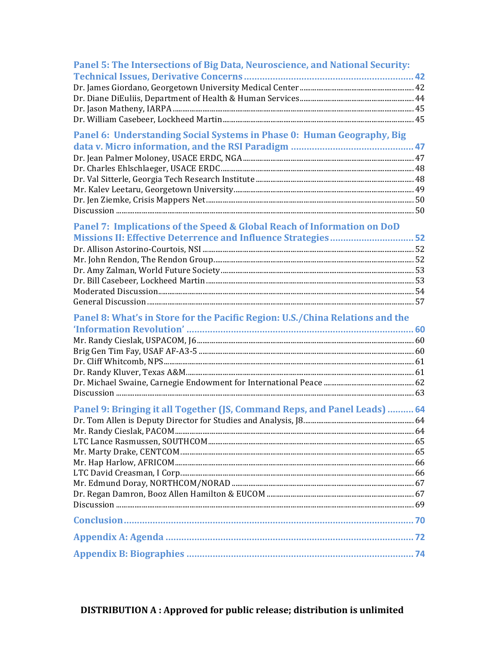| Panel 5: The Intersections of Big Data, Neuroscience, and National Security:  |  |
|-------------------------------------------------------------------------------|--|
|                                                                               |  |
|                                                                               |  |
|                                                                               |  |
|                                                                               |  |
|                                                                               |  |
| Panel 6: Understanding Social Systems in Phase 0: Human Geography, Big        |  |
|                                                                               |  |
|                                                                               |  |
|                                                                               |  |
|                                                                               |  |
|                                                                               |  |
|                                                                               |  |
|                                                                               |  |
| Panel 7: Implications of the Speed & Global Reach of Information on DoD       |  |
| Missions II: Effective Deterrence and Influence Strategies 52                 |  |
|                                                                               |  |
|                                                                               |  |
|                                                                               |  |
|                                                                               |  |
|                                                                               |  |
|                                                                               |  |
| Panel 8: What's in Store for the Pacific Region: U.S./China Relations and the |  |
|                                                                               |  |
|                                                                               |  |
|                                                                               |  |
|                                                                               |  |
|                                                                               |  |
|                                                                               |  |
|                                                                               |  |
| Panel 9: Bringing it all Together (JS, Command Reps, and Panel Leads)  64     |  |
|                                                                               |  |
|                                                                               |  |
|                                                                               |  |
|                                                                               |  |
|                                                                               |  |
|                                                                               |  |
|                                                                               |  |
|                                                                               |  |
|                                                                               |  |
|                                                                               |  |
|                                                                               |  |
|                                                                               |  |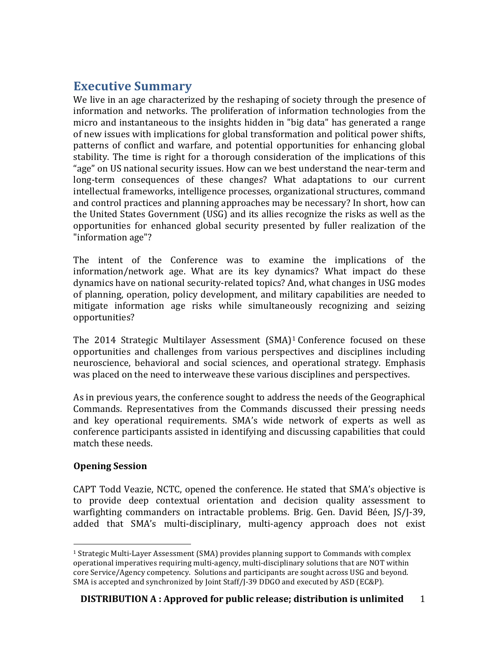# **Executive Summary**

We live in an age characterized by the reshaping of society through the presence of information and networks. The proliferation of information technologies from the micro and instantaneous to the insights hidden in "big data" has generated a range of new issues with implications for global transformation and political power shifts, patterns of conflict and warfare, and potential opportunities for enhancing global stability. The time is right for a thorough consideration of the implications of this "age" on US national security issues. How can we best understand the near-term and long-term consequences of these changes? What adaptations to our current intellectual frameworks, intelligence processes, organizational structures, command and control practices and planning approaches may be necessary? In short, how can the United States Government  $(USA)$  and its allies recognize the risks as well as the opportunities for enhanced global security presented by fuller realization of the "information age"?

The intent of the Conference was to examine the implications of the information/network age. What are its key dynamics? What impact do these dynamics have on national security-related topics? And, what changes in USG modes of planning, operation, policy development, and military capabilities are needed to mitigate information age risks while simultaneously recognizing and seizing opportunities? 

The  $2014$  Strategic Multilayer Assessment  $(SMA)^1$  Conference focused on these opportunities and challenges from various perspectives and disciplines including neuroscience, behavioral and social sciences, and operational strategy. Emphasis was placed on the need to interweave these various disciplines and perspectives.

As in previous years, the conference sought to address the needs of the Geographical Commands. Representatives from the Commands discussed their pressing needs and key operational requirements. SMA's wide network of experts as well as conference participants assisted in identifying and discussing capabilities that could match these needs.

# **Opening Session**

 

CAPT Todd Veazie, NCTC, opened the conference. He stated that SMA's objective is to provide deep contextual orientation and decision quality assessment to warfighting commanders on intractable problems. Brig. Gen. David Béen, JS/J-39, added that SMA's multi-disciplinary, multi-agency approach does not exist

<sup>&</sup>lt;sup>1</sup> Strategic Multi-Layer Assessment  $(SMA)$  provides planning support to Commands with complex operational imperatives requiring multi-agency, multi-disciplinary solutions that are NOT within core Service/Agency competency. Solutions and participants are sought across USG and beyond. SMA is accepted and synchronized by Joint Staff/J-39 DDGO and executed by ASD (EC&P).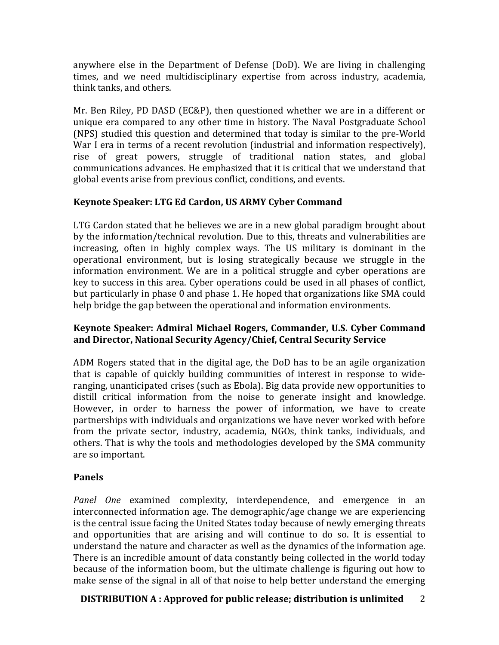anywhere else in the Department of Defense (DoD). We are living in challenging times, and we need multidisciplinary expertise from across industry, academia, think tanks, and others.

Mr. Ben Riley, PD DASD (EC&P), then questioned whether we are in a different or unique era compared to any other time in history. The Naval Postgraduate School (NPS) studied this question and determined that today is similar to the pre-World War I era in terms of a recent revolution (industrial and information respectively), rise of great powers, struggle of traditional nation states, and global communications advances. He emphasized that it is critical that we understand that global events arise from previous conflict, conditions, and events.

# **Keynote Speaker: LTG Ed Cardon, US ARMY Cyber Command**

LTG Cardon stated that he believes we are in a new global paradigm brought about by the information/technical revolution. Due to this, threats and vulnerabilities are increasing, often in highly complex ways. The US military is dominant in the operational environment, but is losing strategically because we struggle in the information environment. We are in a political struggle and cyber operations are key to success in this area. Cyber operations could be used in all phases of conflict, but particularly in phase 0 and phase 1. He hoped that organizations like SMA could help bridge the gap between the operational and information environments.

### **Keynote Speaker: Admiral Michael Rogers, Commander, U.S. Cyber Command** and Director, National Security Agency/Chief, Central Security Service

ADM Rogers stated that in the digital age, the DoD has to be an agile organization that is capable of quickly building communities of interest in response to wideranging, unanticipated crises (such as Ebola). Big data provide new opportunities to distill critical information from the noise to generate insight and knowledge. However, in order to harness the power of information, we have to create partnerships with individuals and organizations we have never worked with before from the private sector, industry, academia, NGOs, think tanks, individuals, and others. That is why the tools and methodologies developed by the SMA community are so important.

# **Panels**

*Panel One* examined complexity, interdependence, and emergence in an interconnected information age. The demographic/age change we are experiencing is the central issue facing the United States today because of newly emerging threats and opportunities that are arising and will continue to do so. It is essential to understand the nature and character as well as the dynamics of the information age. There is an incredible amount of data constantly being collected in the world today because of the information boom, but the ultimate challenge is figuring out how to make sense of the signal in all of that noise to help better understand the emerging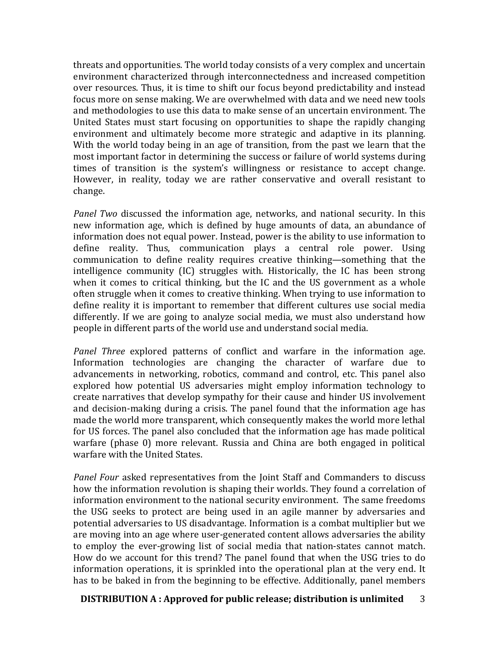threats and opportunities. The world today consists of a very complex and uncertain environment characterized through interconnectedness and increased competition over resources. Thus, it is time to shift our focus beyond predictability and instead focus more on sense making. We are overwhelmed with data and we need new tools and methodologies to use this data to make sense of an uncertain environment. The United States must start focusing on opportunities to shape the rapidly changing environment and ultimately become more strategic and adaptive in its planning. With the world today being in an age of transition, from the past we learn that the most important factor in determining the success or failure of world systems during times of transition is the system's willingness or resistance to accept change. However, in reality, today we are rather conservative and overall resistant to change.

*Panel Two* discussed the information age, networks, and national security. In this new information age, which is defined by huge amounts of data, an abundance of information does not equal power. Instead, power is the ability to use information to define reality. Thus, communication plays a central role power. Using communication to define reality requires creative thinking—something that the intelligence community (IC) struggles with. Historically, the IC has been strong when it comes to critical thinking, but the IC and the US government as a whole often struggle when it comes to creative thinking. When trying to use information to define reality it is important to remember that different cultures use social media differently. If we are going to analyze social media, we must also understand how people in different parts of the world use and understand social media.

*Panel Three* explored patterns of conflict and warfare in the information age. Information technologies are changing the character of warfare due to advancements in networking, robotics, command and control, etc. This panel also explored how potential US adversaries might employ information technology to create narratives that develop sympathy for their cause and hinder US involvement and decision-making during a crisis. The panel found that the information age has made the world more transparent, which consequently makes the world more lethal for US forces. The panel also concluded that the information age has made political warfare (phase 0) more relevant. Russia and China are both engaged in political warfare with the United States.

*Panel Four* asked representatives from the Joint Staff and Commanders to discuss how the information revolution is shaping their worlds. They found a correlation of information environment to the national security environment. The same freedoms the USG seeks to protect are being used in an agile manner by adversaries and potential adversaries to US disadvantage. Information is a combat multiplier but we are moving into an age where user-generated content allows adversaries the ability to employ the ever-growing list of social media that nation-states cannot match. How do we account for this trend? The panel found that when the USG tries to do information operations, it is sprinkled into the operational plan at the very end. It has to be baked in from the beginning to be effective. Additionally, panel members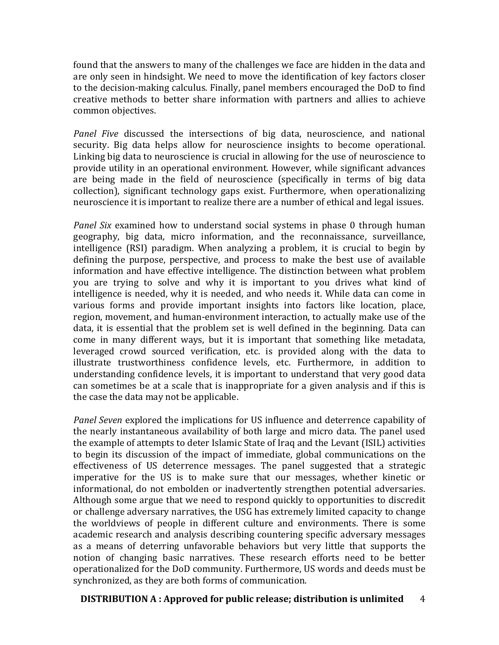found that the answers to many of the challenges we face are hidden in the data and are only seen in hindsight. We need to move the identification of key factors closer to the decision-making calculus. Finally, panel members encouraged the DoD to find creative methods to better share information with partners and allies to achieve common objectives.

*Panel Five* discussed the intersections of big data, neuroscience, and national security. Big data helps allow for neuroscience insights to become operational. Linking big data to neuroscience is crucial in allowing for the use of neuroscience to provide utility in an operational environment. However, while significant advances are being made in the field of neuroscience (specifically in terms of big data collection), significant technology gaps exist. Furthermore, when operationalizing neuroscience it is important to realize there are a number of ethical and legal issues.

*Panel Six* examined how to understand social systems in phase 0 through human geography, big data, micro information, and the reconnaissance, surveillance, intelligence (RSI) paradigm. When analyzing a problem, it is crucial to begin by defining the purpose, perspective, and process to make the best use of available information and have effective intelligence. The distinction between what problem you are trying to solve and why it is important to you drives what kind of intelligence is needed, why it is needed, and who needs it. While data can come in various forms and provide important insights into factors like location, place, region, movement, and human-environment interaction, to actually make use of the data, it is essential that the problem set is well defined in the beginning. Data can come in many different ways, but it is important that something like metadata, leveraged crowd sourced verification, etc. is provided along with the data to illustrate trustworthiness confidence levels, etc. Furthermore, in addition to understanding confidence levels, it is important to understand that very good data can sometimes be at a scale that is inappropriate for a given analysis and if this is the case the data may not be applicable.

*Panel Seven* explored the implications for US influence and deterrence capability of the nearly instantaneous availability of both large and micro data. The panel used the example of attempts to deter Islamic State of Iraq and the Levant (ISIL) activities to begin its discussion of the impact of immediate, global communications on the effectiveness of US deterrence messages. The panel suggested that a strategic imperative for the US is to make sure that our messages, whether kinetic or informational, do not embolden or inadvertently strengthen potential adversaries. Although some argue that we need to respond quickly to opportunities to discredit or challenge adversary narratives, the USG has extremely limited capacity to change the worldviews of people in different culture and environments. There is some academic research and analysis describing countering specific adversary messages as a means of deterring unfavorable behaviors but very little that supports the notion of changing basic narratives. These research efforts need to be better operationalized for the DoD community. Furthermore, US words and deeds must be synchronized, as they are both forms of communication.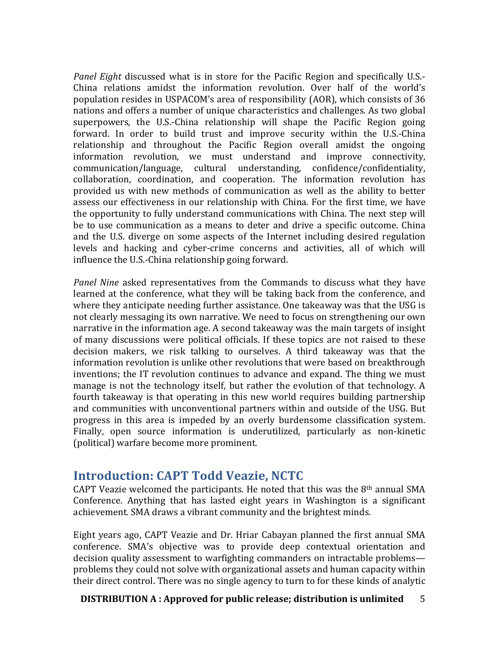*Panel Eight* discussed what is in store for the Pacific Region and specifically U.S.-China relations amidst the information revolution. Over half of the world's population resides in USPACOM's area of responsibility (AOR), which consists of 36 nations and offers a number of unique characteristics and challenges. As two global superpowers, the U.S.-China relationship will shape the Pacific Region going forward. In order to build trust and improve security within the U.S.-China relationship and throughout the Pacific Region overall amidst the ongoing information revolution, we must understand and improve connectivity, communication/language, cultural understanding, confidence/confidentiality, collaboration, coordination, and cooperation. The information revolution has provided us with new methods of communication as well as the ability to better assess our effectiveness in our relationship with China. For the first time, we have the opportunity to fully understand communications with China. The next step will be to use communication as a means to deter and drive a specific outcome. China and the U.S. diverge on some aspects of the Internet including desired regulation levels and hacking and cyber-crime concerns and activities, all of which will influence the U.S.-China relationship going forward.

*Panel Nine* asked representatives from the Commands to discuss what they have learned at the conference, what they will be taking back from the conference, and where they anticipate needing further assistance. One takeaway was that the USG is not clearly messaging its own narrative. We need to focus on strengthening our own narrative in the information age. A second takeaway was the main targets of insight of many discussions were political officials. If these topics are not raised to these decision makers, we risk talking to ourselves. A third takeaway was that the information revolution is unlike other revolutions that were based on breakthrough inventions; the IT revolution continues to advance and expand. The thing we must manage is not the technology itself, but rather the evolution of that technology. A fourth takeaway is that operating in this new world requires building partnership and communities with unconventional partners within and outside of the USG. But progress in this area is impeded by an overly burdensome classification system. Finally, open source information is underutilized, particularly as non-kinetic (political) warfare become more prominent.

# **Introduction: CAPT Todd Veazie, NCTC**

CAPT Veazie welcomed the participants. He noted that this was the  $8<sup>th</sup>$  annual SMA Conference. Anything that has lasted eight years in Washington is a significant achievement. SMA draws a vibrant community and the brightest minds.

Eight years ago, CAPT Veazie and Dr. Hriar Cabayan planned the first annual SMA conference. SMA's objective was to provide deep contextual orientation and decision quality assessment to warfighting commanders on intractable problems problems they could not solve with organizational assets and human capacity within their direct control. There was no single agency to turn to for these kinds of analytic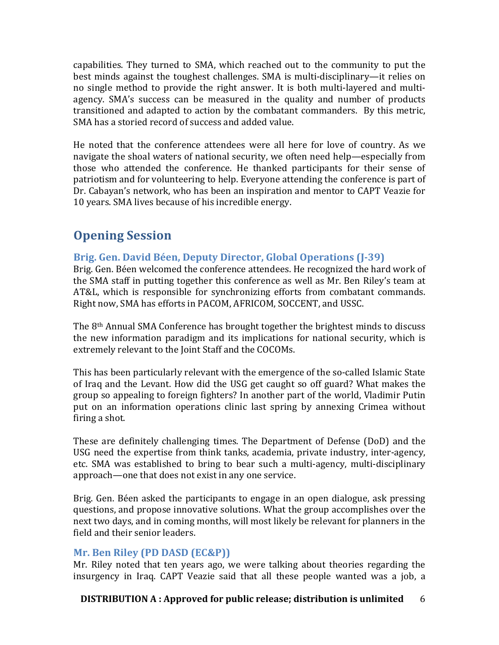capabilities. They turned to SMA, which reached out to the community to put the best minds against the toughest challenges. SMA is multi-disciplinary—it relies on no single method to provide the right answer. It is both multi-layered and multiagency. SMA's success can be measured in the quality and number of products transitioned and adapted to action by the combatant commanders. By this metric, SMA has a storied record of success and added value.

He noted that the conference attendees were all here for love of country. As we navigate the shoal waters of national security, we often need help—especially from those who attended the conference. He thanked participants for their sense of patriotism and for volunteering to help. Everyone attending the conference is part of Dr. Cabayan's network, who has been an inspiration and mentor to CAPT Veazie for 10 years. SMA lives because of his incredible energy.

# **Opening Session**

# Brig. Gen. David Béen, Deputy Director, Global Operations (J-39)

Brig. Gen. Béen welcomed the conference attendees. He recognized the hard work of the SMA staff in putting together this conference as well as Mr. Ben Riley's team at AT&L, which is responsible for synchronizing efforts from combatant commands. Right now, SMA has efforts in PACOM, AFRICOM, SOCCENT, and USSC.

The 8<sup>th</sup> Annual SMA Conference has brought together the brightest minds to discuss the new information paradigm and its implications for national security, which is extremely relevant to the Joint Staff and the COCOMs.

This has been particularly relevant with the emergence of the so-called Islamic State of Iraq and the Levant. How did the USG get caught so off guard? What makes the group so appealing to foreign fighters? In another part of the world, Vladimir Putin put on an information operations clinic last spring by annexing Crimea without firing a shot.

These are definitely challenging times. The Department of Defense (DoD) and the USG need the expertise from think tanks, academia, private industry, inter-agency, etc. SMA was established to bring to bear such a multi-agency, multi-disciplinary approach—one that does not exist in any one service.

Brig. Gen. Béen asked the participants to engage in an open dialogue, ask pressing questions, and propose innovative solutions. What the group accomplishes over the next two days, and in coming months, will most likely be relevant for planners in the field and their senior leaders.

# **Mr. Ben Riley (PD DASD (EC&P))**

Mr. Riley noted that ten years ago, we were talking about theories regarding the insurgency in Iraq. CAPT Veazie said that all these people wanted was a job, a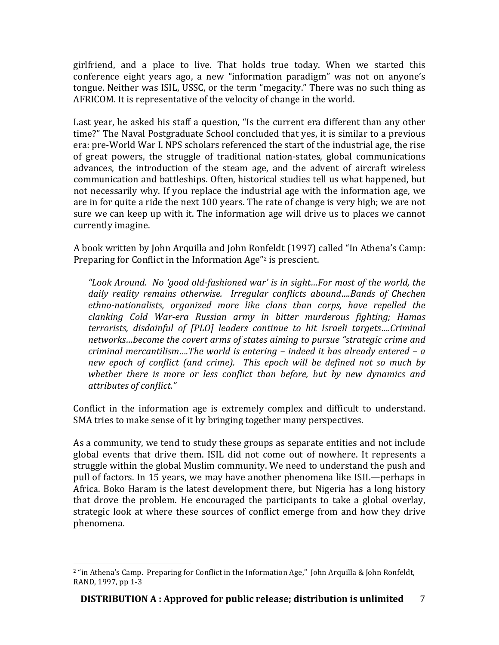girlfriend, and a place to live. That holds true today. When we started this conference eight years ago, a new "information paradigm" was not on anyone's tongue. Neither was ISIL, USSC, or the term "megacity." There was no such thing as AFRICOM. It is representative of the velocity of change in the world.

Last year, he asked his staff a question, "Is the current era different than any other time?" The Naval Postgraduate School concluded that yes, it is similar to a previous era: pre-World War I. NPS scholars referenced the start of the industrial age, the rise of great powers, the struggle of traditional nation-states, global communications advances, the introduction of the steam age, and the advent of aircraft wireless communication and battleships. Often, historical studies tell us what happened, but not necessarily why. If you replace the industrial age with the information age, we are in for quite a ride the next 100 years. The rate of change is very high; we are not sure we can keep up with it. The information age will drive us to places we cannot currently imagine. 

A book written by John Arquilla and John Ronfeldt (1997) called "In Athena's Camp: Preparing for Conflict in the Information Age"<sup>2</sup> is prescient.

*"Look Around. No 'good old-fashioned war' is in sight…For most of the world, the*  daily reality remains otherwise. Irregular conflicts abound....Bands of Chechen ethno-nationalists, organized more like clans than corps, have repelled the *clanking Cold War-era Russian army in bitter murderous fighting; Hamas terrorists, disdainful of [PLO] leaders continue to hit Israeli targets....Criminal* networks...become the covert arms of states aiming to pursue "strategic crime and *criminal mercantilism....The world is entering – indeed it has already entered – a new epoch of conflict (and crime). This epoch will be defined not so much by* whether there is more or less conflict than before, but by new dynamics and *attributes of conflict."*

Conflict in the information age is extremely complex and difficult to understand. SMA tries to make sense of it by bringing together many perspectives.

As a community, we tend to study these groups as separate entities and not include global events that drive them. ISIL did not come out of nowhere. It represents a struggle within the global Muslim community. We need to understand the push and pull of factors. In 15 years, we may have another phenomena like ISIL—perhaps in Africa. Boko Haram is the latest development there, but Nigeria has a long history that drove the problem. He encouraged the participants to take a global overlay, strategic look at where these sources of conflict emerge from and how they drive phenomena. 

 <sup>2</sup> "in Athena's Camp. Preparing for Conflict in the Information Age," John Arquilla & John Ronfeldt, RAND, 1997, pp 1-3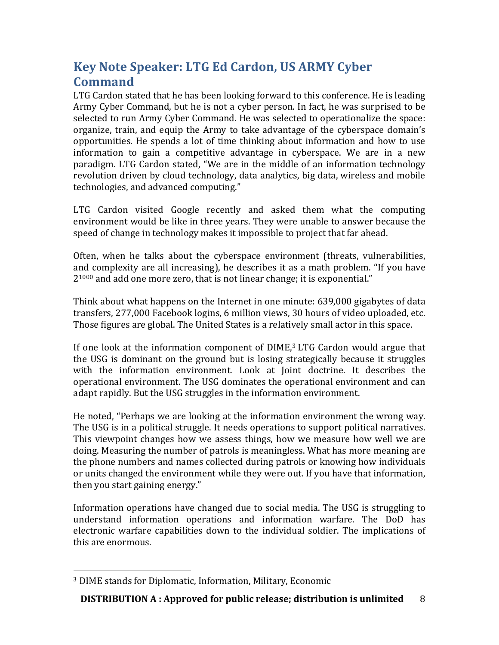# **Key Note Speaker: LTG Ed Cardon, US ARMY Cyber Command**

LTG Cardon stated that he has been looking forward to this conference. He is leading Army Cyber Command, but he is not a cyber person. In fact, he was surprised to be selected to run Army Cyber Command. He was selected to operationalize the space: organize, train, and equip the Army to take advantage of the cyberspace domain's opportunities. He spends a lot of time thinking about information and how to use information to gain a competitive advantage in cyberspace. We are in a new paradigm. LTG Cardon stated, "We are in the middle of an information technology revolution driven by cloud technology, data analytics, big data, wireless and mobile technologies, and advanced computing."

LTG Cardon visited Google recently and asked them what the computing environment would be like in three years. They were unable to answer because the speed of change in technology makes it impossible to project that far ahead.

Often, when he talks about the cyberspace environment (threats, vulnerabilities, and complexity are all increasing), he describes it as a math problem. "If you have  $2^{1000}$  and add one more zero, that is not linear change; it is exponential."

Think about what happens on the Internet in one minute: 639,000 gigabytes of data transfers, 277,000 Facebook logins, 6 million views, 30 hours of video uploaded, etc. Those figures are global. The United States is a relatively small actor in this space.

If one look at the information component of  $DIME$ ,<sup>3</sup> LTG Cardon would argue that the USG is dominant on the ground but is losing strategically because it struggles with the information environment. Look at Joint doctrine. It describes the operational environment. The USG dominates the operational environment and can adapt rapidly. But the USG struggles in the information environment.

He noted, "Perhaps we are looking at the information environment the wrong way. The USG is in a political struggle. It needs operations to support political narratives. This viewpoint changes how we assess things, how we measure how well we are doing. Measuring the number of patrols is meaningless. What has more meaning are the phone numbers and names collected during patrols or knowing how individuals or units changed the environment while they were out. If you have that information, then you start gaining energy."

Information operations have changed due to social media. The USG is struggling to understand information operations and information warfare. The DoD has electronic warfare capabilities down to the individual soldier. The implications of this are enormous.

 <sup>3</sup> DIME stands for Diplomatic, Information, Military, Economic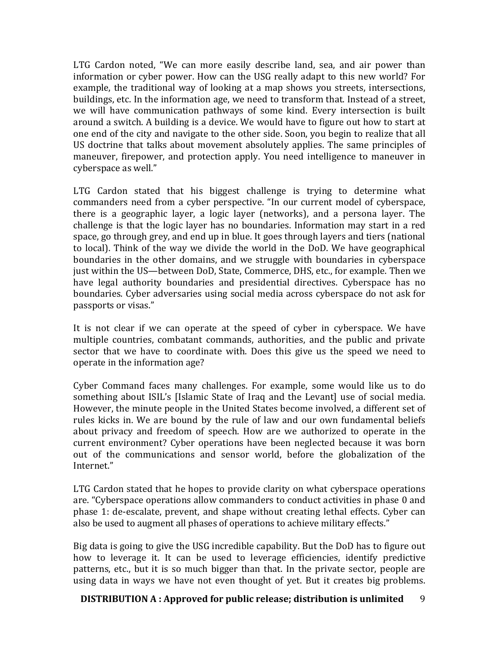LTG Cardon noted, "We can more easily describe land, sea, and air power than information or cyber power. How can the USG really adapt to this new world? For example, the traditional way of looking at a map shows you streets, intersections, buildings, etc. In the information age, we need to transform that. Instead of a street, we will have communication pathways of some kind. Every intersection is built around a switch. A building is a device. We would have to figure out how to start at one end of the city and navigate to the other side. Soon, you begin to realize that all US doctrine that talks about movement absolutely applies. The same principles of maneuver, firepower, and protection apply. You need intelligence to maneuver in cyberspace as well."

LTG Cardon stated that his biggest challenge is trying to determine what commanders need from a cyber perspective. "In our current model of cyberspace, there is a geographic layer, a logic layer (networks), and a persona layer. The challenge is that the logic layer has no boundaries. Information may start in a red space, go through grey, and end up in blue. It goes through layers and tiers (national to local). Think of the way we divide the world in the DoD. We have geographical boundaries in the other domains, and we struggle with boundaries in cyberspace just within the US—between DoD, State, Commerce, DHS, etc., for example. Then we have legal authority boundaries and presidential directives. Cyberspace has no boundaries. Cyber adversaries using social media across cyberspace do not ask for passports or visas."

It is not clear if we can operate at the speed of cyber in cyberspace. We have multiple countries, combatant commands, authorities, and the public and private sector that we have to coordinate with. Does this give us the speed we need to operate in the information age?

Cyber Command faces many challenges. For example, some would like us to do something about ISIL's [Islamic State of Iraq and the Levant] use of social media. However, the minute people in the United States become involved, a different set of rules kicks in. We are bound by the rule of law and our own fundamental beliefs about privacy and freedom of speech. How are we authorized to operate in the current environment? Cyber operations have been neglected because it was born out of the communications and sensor world, before the globalization of the Internet." 

LTG Cardon stated that he hopes to provide clarity on what cyberspace operations are. "Cyberspace operations allow commanders to conduct activities in phase 0 and phase 1: de-escalate, prevent, and shape without creating lethal effects. Cyber can also be used to augment all phases of operations to achieve military effects."

Big data is going to give the USG incredible capability. But the DoD has to figure out how to leverage it. It can be used to leverage efficiencies, identify predictive patterns, etc., but it is so much bigger than that. In the private sector, people are using data in ways we have not even thought of yet. But it creates big problems.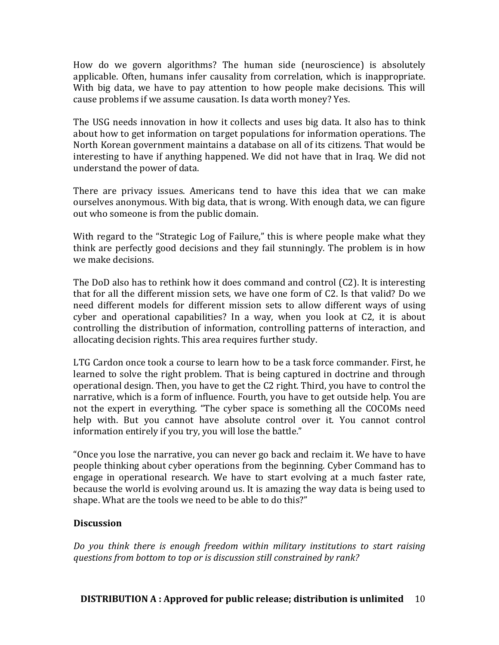How do we govern algorithms? The human side (neuroscience) is absolutely applicable. Often, humans infer causality from correlation, which is inappropriate. With big data, we have to pay attention to how people make decisions. This will cause problems if we assume causation. Is data worth money? Yes.

The USG needs innovation in how it collects and uses big data. It also has to think about how to get information on target populations for information operations. The North Korean government maintains a database on all of its citizens. That would be interesting to have if anything happened. We did not have that in Iraq. We did not understand the power of data.

There are privacy issues. Americans tend to have this idea that we can make ourselves anonymous. With big data, that is wrong. With enough data, we can figure out who someone is from the public domain.

With regard to the "Strategic Log of Failure," this is where people make what they think are perfectly good decisions and they fail stunningly. The problem is in how we make decisions.

The DoD also has to rethink how it does command and control  $(C2)$ . It is interesting that for all the different mission sets, we have one form of C2. Is that valid? Do we need different models for different mission sets to allow different ways of using cyber and operational capabilities? In a way, when you look at C2, it is about controlling the distribution of information, controlling patterns of interaction, and allocating decision rights. This area requires further study.

LTG Cardon once took a course to learn how to be a task force commander. First, he learned to solve the right problem. That is being captured in doctrine and through operational design. Then, you have to get the C2 right. Third, you have to control the narrative, which is a form of influence. Fourth, you have to get outside help. You are not the expert in everything. "The cyber space is something all the COCOMs need help with. But you cannot have absolute control over it. You cannot control information entirely if you try, you will lose the battle."

"Once you lose the narrative, you can never go back and reclaim it. We have to have people thinking about cyber operations from the beginning. Cyber Command has to engage in operational research. We have to start evolving at a much faster rate, because the world is evolving around us. It is amazing the way data is being used to shape. What are the tools we need to be able to do this?"

# **Discussion**

Do you think there is enough freedom within military institutions to start raising *questions from bottom to top or is discussion still constrained by rank?*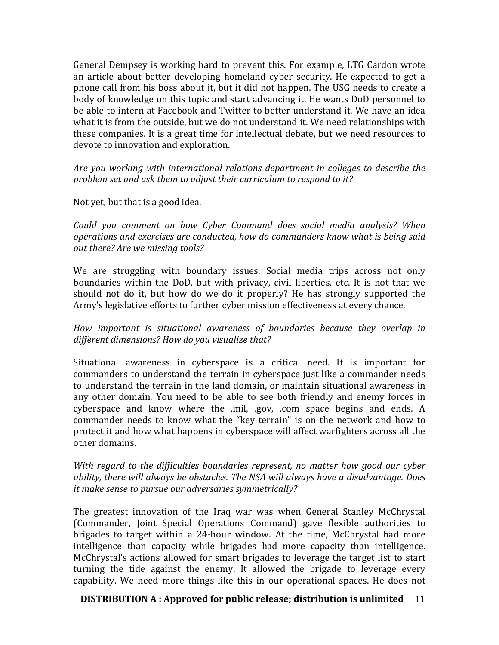General Dempsey is working hard to prevent this. For example, LTG Cardon wrote an article about better developing homeland cyber security. He expected to get a phone call from his boss about it, but it did not happen. The USG needs to create a body of knowledge on this topic and start advancing it. He wants DoD personnel to be able to intern at Facebook and Twitter to better understand it. We have an idea what it is from the outside, but we do not understand it. We need relationships with these companies. It is a great time for intellectual debate, but we need resources to devote to innovation and exploration.

Are you working with international relations department in colleges to describe the problem set and ask them to adjust their curriculum to respond to it?

Not yet, but that is a good idea.

*Could you comment on how Cyber Command does social media analysis? When operations and exercises are conducted, how do commanders know what is being said out there? Are we missing tools?*

We are struggling with boundary issues. Social media trips across not only boundaries within the DoD, but with privacy, civil liberties, etc. It is not that we should not do it, but how do we do it properly? He has strongly supported the Army's legislative efforts to further cyber mission effectiveness at every chance.

*How* important is situational awareness of boundaries because they overlap in different dimensions? How do you visualize that?

Situational awareness in cyberspace is a critical need. It is important for commanders to understand the terrain in cyberspace just like a commander needs to understand the terrain in the land domain, or maintain situational awareness in any other domain. You need to be able to see both friendly and enemy forces in cyberspace and know where the .mil, .gov, .com space begins and ends. A commander needs to know what the "key terrain" is on the network and how to protect it and how what happens in cyberspace will affect warfighters across all the other domains.

*With regard to the difficulties boundaries represent, no matter how good our cyber* ability, there will always be obstacles. The NSA will always have a disadvantage. Does *it make sense to pursue our adversaries symmetrically?* 

The greatest innovation of the Iraq war was when General Stanley McChrystal (Commander, Joint Special Operations Command) gave flexible authorities to brigades to target within a 24-hour window. At the time, McChrystal had more intelligence than capacity while brigades had more capacity than intelligence. McChrystal's actions allowed for smart brigades to leverage the target list to start turning the tide against the enemy. It allowed the brigade to leverage every capability. We need more things like this in our operational spaces. He does not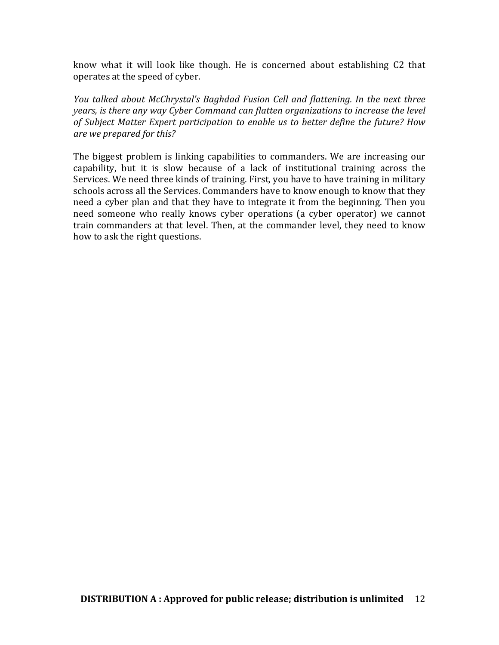know what it will look like though. He is concerned about establishing C2 that operates at the speed of cyber.

*You talked about McChrystal's Baghdad Fusion Cell and flattening. In the next three years, is there any way Cyber Command can flatten organizations to increase the level* of Subject Matter Expert participation to enable us to better define the future? How *are we prepared for this?*

The biggest problem is linking capabilities to commanders. We are increasing our capability, but it is slow because of a lack of institutional training across the Services. We need three kinds of training. First, you have to have training in military schools across all the Services. Commanders have to know enough to know that they need a cyber plan and that they have to integrate it from the beginning. Then you need someone who really knows cyber operations (a cyber operator) we cannot train commanders at that level. Then, at the commander level, they need to know how to ask the right questions.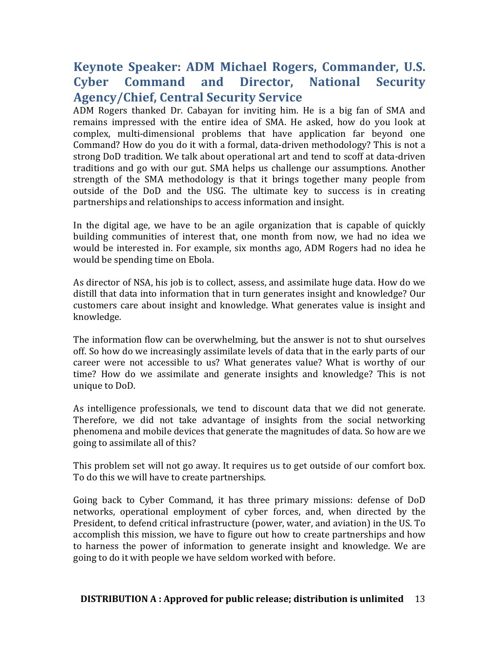# **Keynote Speaker: ADM Michael Rogers, Commander, U.S. Cyber Command and Director, National Security Agency/Chief, Central Security Service**

ADM Rogers thanked Dr. Cabayan for inviting him. He is a big fan of SMA and remains impressed with the entire idea of SMA. He asked, how do you look at complex, multi-dimensional problems that have application far beyond one Command? How do you do it with a formal, data-driven methodology? This is not a strong DoD tradition. We talk about operational art and tend to scoff at data-driven traditions and go with our gut. SMA helps us challenge our assumptions. Another strength of the SMA methodology is that it brings together many people from outside of the DoD and the USG. The ultimate key to success is in creating partnerships and relationships to access information and insight.

In the digital age, we have to be an agile organization that is capable of quickly building communities of interest that, one month from now, we had no idea we would be interested in. For example, six months ago, ADM Rogers had no idea he would be spending time on Ebola.

As director of NSA, his job is to collect, assess, and assimilate huge data. How do we distill that data into information that in turn generates insight and knowledge? Our customers care about insight and knowledge. What generates value is insight and knowledge. 

The information flow can be overwhelming, but the answer is not to shut ourselves off. So how do we increasingly assimilate levels of data that in the early parts of our career were not accessible to us? What generates value? What is worthy of our time? How do we assimilate and generate insights and knowledge? This is not unique to DoD.

As intelligence professionals, we tend to discount data that we did not generate. Therefore, we did not take advantage of insights from the social networking phenomena and mobile devices that generate the magnitudes of data. So how are we going to assimilate all of this?

This problem set will not go away. It requires us to get outside of our comfort box. To do this we will have to create partnerships.

Going back to Cyber Command, it has three primary missions: defense of DoD networks, operational employment of cyber forces, and, when directed by the President, to defend critical infrastructure (power, water, and aviation) in the US. To accomplish this mission, we have to figure out how to create partnerships and how to harness the power of information to generate insight and knowledge. We are going to do it with people we have seldom worked with before.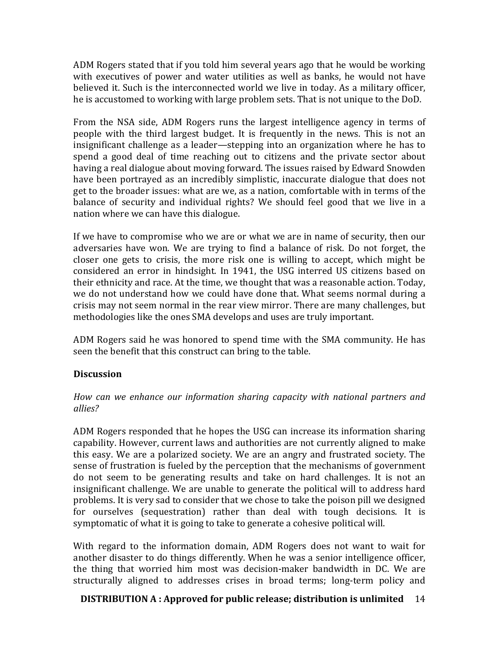ADM Rogers stated that if you told him several years ago that he would be working with executives of power and water utilities as well as banks, he would not have believed it. Such is the interconnected world we live in today. As a military officer, he is accustomed to working with large problem sets. That is not unique to the DoD.

From the NSA side, ADM Rogers runs the largest intelligence agency in terms of people with the third largest budget. It is frequently in the news. This is not an insignificant challenge as a leader—stepping into an organization where he has to spend a good deal of time reaching out to citizens and the private sector about having a real dialogue about moving forward. The issues raised by Edward Snowden have been portrayed as an incredibly simplistic, inaccurate dialogue that does not get to the broader issues: what are we, as a nation, comfortable with in terms of the balance of security and individual rights? We should feel good that we live in a nation where we can have this dialogue.

If we have to compromise who we are or what we are in name of security, then our adversaries have won. We are trying to find a balance of risk. Do not forget, the closer one gets to crisis, the more risk one is willing to accept, which might be considered an error in hindsight. In 1941, the USG interred US citizens based on their ethnicity and race. At the time, we thought that was a reasonable action. Today, we do not understand how we could have done that. What seems normal during a crisis may not seem normal in the rear view mirror. There are many challenges, but methodologies like the ones SMA develops and uses are truly important.

ADM Rogers said he was honored to spend time with the SMA community. He has seen the benefit that this construct can bring to the table.

# **Discussion**

How can we enhance our information sharing capacity with national partners and *allies?*

ADM Rogers responded that he hopes the USG can increase its information sharing capability. However, current laws and authorities are not currently aligned to make this easy. We are a polarized society. We are an angry and frustrated society. The sense of frustration is fueled by the perception that the mechanisms of government do not seem to be generating results and take on hard challenges. It is not an insignificant challenge. We are unable to generate the political will to address hard problems. It is very sad to consider that we chose to take the poison pill we designed for ourselves (sequestration) rather than deal with tough decisions. It is symptomatic of what it is going to take to generate a cohesive political will.

With regard to the information domain, ADM Rogers does not want to wait for another disaster to do things differently. When he was a senior intelligence officer, the thing that worried him most was decision-maker bandwidth in DC. We are structurally aligned to addresses crises in broad terms; long-term policy and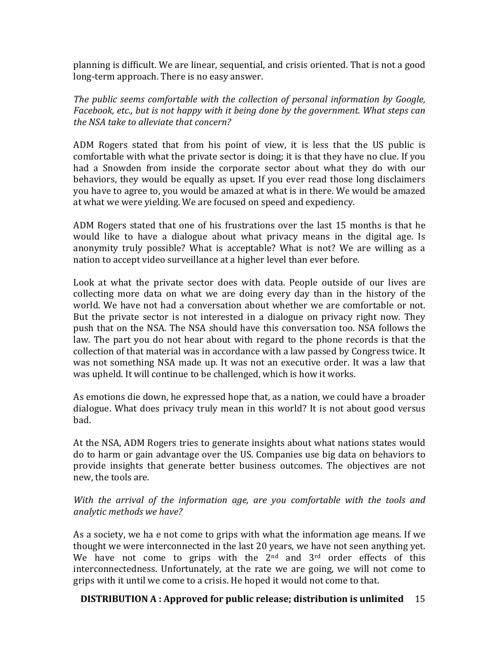planning is difficult. We are linear, sequential, and crisis oriented. That is not a good long-term approach. There is no easy answer.

*The public seems comfortable with the collection of personal information by Google, Facebook, etc., but is not happy with it being done by the government. What steps can the NSA take to alleviate that concern?* 

ADM Rogers stated that from his point of view, it is less that the US public is comfortable with what the private sector is doing; it is that they have no clue. If you had a Snowden from inside the corporate sector about what they do with our behaviors, they would be equally as upset. If you ever read those long disclaimers you have to agree to, you would be amazed at what is in there. We would be amazed at what we were yielding. We are focused on speed and expediency.

ADM Rogers stated that one of his frustrations over the last 15 months is that he would like to have a dialogue about what privacy means in the digital age. Is anonymity truly possible? What is acceptable? What is not? We are willing as a nation to accept video surveillance at a higher level than ever before.

Look at what the private sector does with data. People outside of our lives are collecting more data on what we are doing every day than in the history of the world. We have not had a conversation about whether we are comfortable or not. But the private sector is not interested in a dialogue on privacy right now. They push that on the NSA. The NSA should have this conversation too. NSA follows the law. The part you do not hear about with regard to the phone records is that the collection of that material was in accordance with a law passed by Congress twice. It was not something NSA made up. It was not an executive order. It was a law that was upheld. It will continue to be challenged, which is how it works.

As emotions die down, he expressed hope that, as a nation, we could have a broader dialogue. What does privacy truly mean in this world? It is not about good versus bad. 

At the NSA, ADM Rogers tries to generate insights about what nations states would do to harm or gain advantage over the US. Companies use big data on behaviors to provide insights that generate better business outcomes. The objectives are not new, the tools are.

*With* the arrival of the information age, are you comfortable with the tools and *analytic methods we have?*

As a society, we ha e not come to grips with what the information age means. If we thought we were interconnected in the last 20 years, we have not seen anything yet. We have not come to grips with the  $2<sup>nd</sup>$  and  $3<sup>rd</sup>$  order effects of this interconnectedness. Unfortunately, at the rate we are going, we will not come to grips with it until we come to a crisis. He hoped it would not come to that.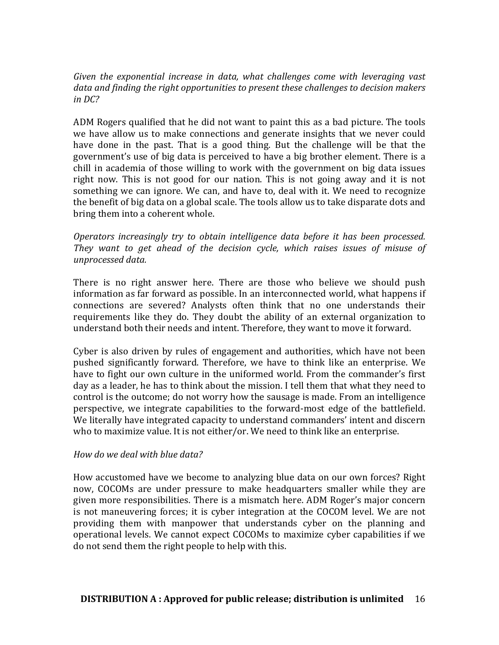#### Given the exponential increase in data, what challenges come with leveraging vast data and finding the right opportunities to present these challenges to decision makers *in DC?*

ADM Rogers qualified that he did not want to paint this as a bad picture. The tools we have allow us to make connections and generate insights that we never could have done in the past. That is a good thing. But the challenge will be that the government's use of big data is perceived to have a big brother element. There is a chill in academia of those willing to work with the government on big data issues right now. This is not good for our nation. This is not going away and it is not something we can ignore. We can, and have to, deal with it. We need to recognize the benefit of big data on a global scale. The tools allow us to take disparate dots and bring them into a coherent whole.

*Operators increasingly try to obtain intelligence data before it has been processed.* They want to get ahead of the decision cycle, which raises issues of misuse of *unprocessed data.*

There is no right answer here. There are those who believe we should push information as far forward as possible. In an interconnected world, what happens if connections are severed? Analysts often think that no one understands their requirements like they do. They doubt the ability of an external organization to understand both their needs and intent. Therefore, they want to move it forward.

Cyber is also driven by rules of engagement and authorities, which have not been pushed significantly forward. Therefore, we have to think like an enterprise. We have to fight our own culture in the uniformed world. From the commander's first day as a leader, he has to think about the mission. I tell them that what they need to control is the outcome; do not worry how the sausage is made. From an intelligence perspective, we integrate capabilities to the forward-most edge of the battlefield. We literally have integrated capacity to understand commanders' intent and discern who to maximize value. It is not either/or. We need to think like an enterprise.

#### *How do we deal with blue data?*

How accustomed have we become to analyzing blue data on our own forces? Right now, COCOMs are under pressure to make headquarters smaller while they are given more responsibilities. There is a mismatch here. ADM Roger's major concern is not maneuvering forces; it is cyber integration at the COCOM level. We are not providing them with manpower that understands cyber on the planning and operational levels. We cannot expect COCOMs to maximize cyber capabilities if we do not send them the right people to help with this.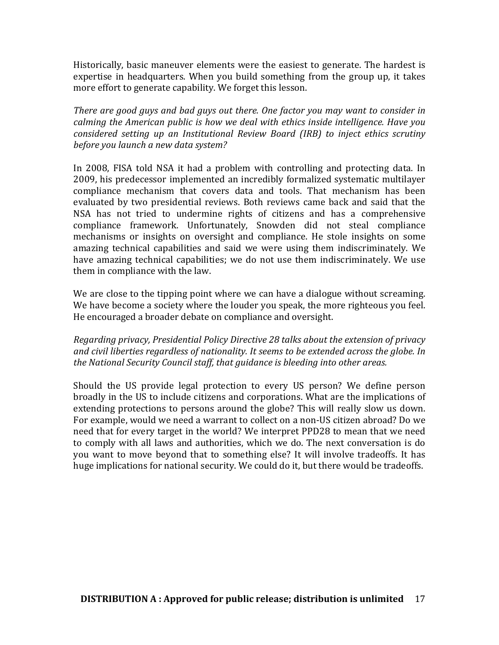Historically, basic maneuver elements were the easiest to generate. The hardest is expertise in headquarters. When you build something from the group up, it takes more effort to generate capability. We forget this lesson.

*There are good guys and bad guys out there. One factor you may want to consider in calming the American public is how we deal with ethics inside intelligence. Have you considered setting up an Institutional Review Board (IRB) to inject ethics scrutiny* before you launch a new data system?

In 2008, FISA told NSA it had a problem with controlling and protecting data. In 2009, his predecessor implemented an incredibly formalized systematic multilayer compliance mechanism that covers data and tools. That mechanism has been evaluated by two presidential reviews. Both reviews came back and said that the NSA has not tried to undermine rights of citizens and has a comprehensive compliance framework. Unfortunately, Snowden did not steal compliance mechanisms or insights on oversight and compliance. He stole insights on some amazing technical capabilities and said we were using them indiscriminately. We have amazing technical capabilities; we do not use them indiscriminately. We use them in compliance with the law.

We are close to the tipping point where we can have a dialogue without screaming. We have become a society where the louder you speak, the more righteous you feel. He encouraged a broader debate on compliance and oversight.

*Regarding privacy, Presidential Policy Directive 28 talks about the extension of privacy* and civil liberties regardless of nationality. It seems to be extended across the globe. In the National Security Council staff, that guidance is bleeding into other areas.

Should the US provide legal protection to every US person? We define person broadly in the US to include citizens and corporations. What are the implications of extending protections to persons around the globe? This will really slow us down. For example, would we need a warrant to collect on a non-US citizen abroad? Do we need that for every target in the world? We interpret PPD28 to mean that we need to comply with all laws and authorities, which we do. The next conversation is do you want to move beyond that to something else? It will involve tradeoffs. It has huge implications for national security. We could do it, but there would be tradeoffs.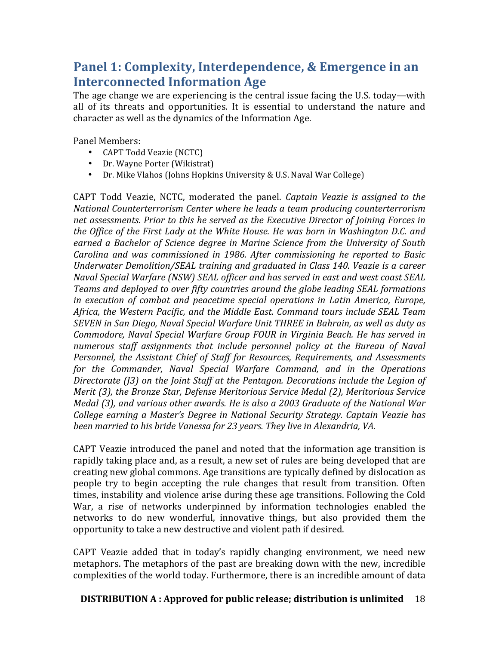# **Panel 1: Complexity, Interdependence, & Emergence in an Interconnected Information Age**

The age change we are experiencing is the central issue facing the U.S. today—with all of its threats and opportunities. It is essential to understand the nature and character as well as the dynamics of the Information Age.

Panel Members:

- CAPT Todd Veazie (NCTC)
- Dr. Wayne Porter (Wikistrat)
- Dr. Mike Vlahos (Johns Hopkins University & U.S. Naval War College)

CAPT Todd Veazie, NCTC, moderated the panel. *Captain Veazie is assigned to the National Counterterrorism Center where he leads a team producing counterterrorism* net assessments. Prior to this he served as the Executive Director of Joining Forces in *the Office of the First Lady at the White House. He was born in Washington D.C. and* earned a Bachelor of Science degree in Marine Science from the University of South *Carolina and was commissioned in 1986. After commissioning he reported to Basic* Underwater Demolition/SEAL training and graduated in Class 140. Veazie is a career *Naval Special Warfare (NSW) SEAL officer and has served in east and west coast SEAL* Teams and deployed to over fifty countries around the globe leading SEAL formations *in* execution of combat and peacetime special operations in Latin America, Europe, Africa, the Western Pacific, and the Middle East. Command tours include SEAL Team *SEVEN* in San Diego, Naval Special Warfare Unit THREE in Bahrain, as well as duty as *Commodore, Naval Special Warfare Group FOUR in Virginia Beach. He has served in numerous staff assignments that include personnel policy at the Bureau of Naval* Personnel, the Assistant Chief of Staff for Resources, Requirements, and Assessments for the Commander, Naval Special Warfare Command, and in the Operations *Directorate* (13) on the *Joint Staff at the Pentagon.* Decorations include the Legion of *Merit* (3), the Bronze Star, Defense Meritorious Service Medal (2), Meritorious Service *Medal* (3), and various other awards. He is also a 2003 Graduate of the National War *College earning a Master's Degree in National Security Strategy. Captain Veazie has* been married to his bride Vanessa for 23 years. They live in Alexandria, VA.

CAPT Veazie introduced the panel and noted that the information age transition is rapidly taking place and, as a result, a new set of rules are being developed that are creating new global commons. Age transitions are typically defined by dislocation as people try to begin accepting the rule changes that result from transition. Often times, instability and violence arise during these age transitions. Following the Cold War, a rise of networks underpinned by information technologies enabled the networks to do new wonderful, innovative things, but also provided them the opportunity to take a new destructive and violent path if desired.

CAPT Veazie added that in today's rapidly changing environment, we need new metaphors. The metaphors of the past are breaking down with the new, incredible complexities of the world today. Furthermore, there is an incredible amount of data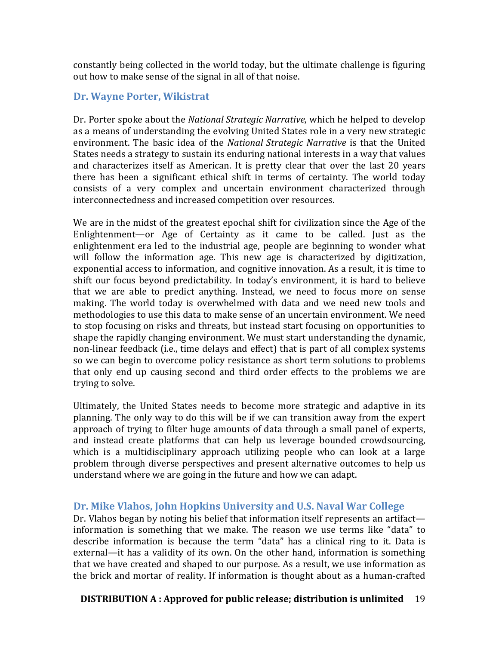constantly being collected in the world today, but the ultimate challenge is figuring out how to make sense of the signal in all of that noise.

# **Dr. Wayne Porter, Wikistrat**

Dr. Porter spoke about the *National Strategic Narrative*, which he helped to develop as a means of understanding the evolving United States role in a very new strategic environment. The basic idea of the *National Strategic Narrative* is that the United States needs a strategy to sustain its enduring national interests in a way that values and characterizes itself as American. It is pretty clear that over the last 20 years there has been a significant ethical shift in terms of certainty. The world today consists of a very complex and uncertain environment characterized through interconnectedness and increased competition over resources.

We are in the midst of the greatest epochal shift for civilization since the Age of the Enlightenment—or Age of Certainty as it came to be called. Just as the enlightenment era led to the industrial age, people are beginning to wonder what will follow the information age. This new age is characterized by digitization, exponential access to information, and cognitive innovation. As a result, it is time to shift our focus beyond predictability. In today's environment, it is hard to believe that we are able to predict anything. Instead, we need to focus more on sense making. The world today is overwhelmed with data and we need new tools and methodologies to use this data to make sense of an uncertain environment. We need to stop focusing on risks and threats, but instead start focusing on opportunities to shape the rapidly changing environment. We must start understanding the dynamic, non-linear feedback (i.e., time delays and effect) that is part of all complex systems so we can begin to overcome policy resistance as short term solutions to problems that only end up causing second and third order effects to the problems we are trying to solve.

Ultimately, the United States needs to become more strategic and adaptive in its planning. The only way to do this will be if we can transition away from the expert approach of trying to filter huge amounts of data through a small panel of experts, and instead create platforms that can help us leverage bounded crowdsourcing, which is a multidisciplinary approach utilizing people who can look at a large problem through diverse perspectives and present alternative outcomes to help us understand where we are going in the future and how we can adapt.

# Dr. Mike Vlahos, John Hopkins University and U.S. Naval War College

Dr. Vlahos began by noting his belief that information itself represents an artifact information is something that we make. The reason we use terms like "data" to describe information is because the term "data" has a clinical ring to it. Data is external—it has a validity of its own. On the other hand, information is something that we have created and shaped to our purpose. As a result, we use information as the brick and mortar of reality. If information is thought about as a human-crafted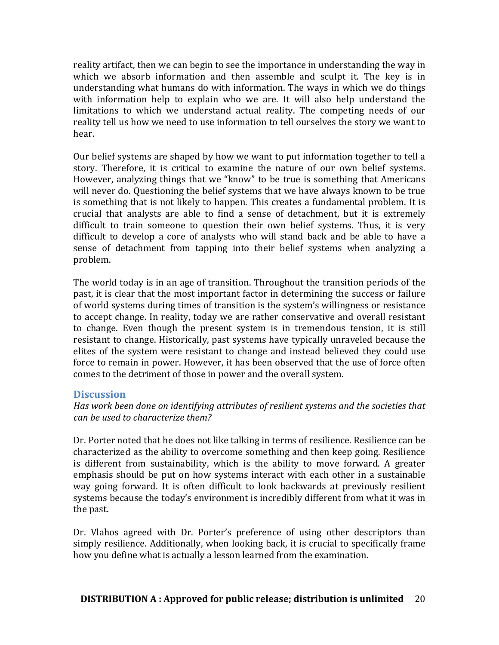reality artifact, then we can begin to see the importance in understanding the way in which we absorb information and then assemble and sculpt it. The key is in understanding what humans do with information. The ways in which we do things with information help to explain who we are. It will also help understand the limitations to which we understand actual reality. The competing needs of our reality tell us how we need to use information to tell ourselves the story we want to hear.

Our belief systems are shaped by how we want to put information together to tell a story. Therefore, it is critical to examine the nature of our own belief systems. However, analyzing things that we "know" to be true is something that Americans will never do. Questioning the belief systems that we have always known to be true is something that is not likely to happen. This creates a fundamental problem. It is crucial that analysts are able to find a sense of detachment, but it is extremely difficult to train someone to question their own belief systems. Thus, it is very difficult to develop a core of analysts who will stand back and be able to have a sense of detachment from tapping into their belief systems when analyzing a problem. 

The world today is in an age of transition. Throughout the transition periods of the past, it is clear that the most important factor in determining the success or failure of world systems during times of transition is the system's willingness or resistance to accept change. In reality, today we are rather conservative and overall resistant to change. Even though the present system is in tremendous tension, it is still resistant to change. Historically, past systems have typically unraveled because the elites of the system were resistant to change and instead believed they could use force to remain in power. However, it has been observed that the use of force often comes to the detriment of those in power and the overall system.

#### **Discussion**

#### Has work been done on *identifying attributes* of resilient systems and the societies that *can be used to characterize them?*

Dr. Porter noted that he does not like talking in terms of resilience. Resilience can be characterized as the ability to overcome something and then keep going. Resilience is different from sustainability, which is the ability to move forward. A greater emphasis should be put on how systems interact with each other in a sustainable way going forward. It is often difficult to look backwards at previously resilient systems because the today's environment is incredibly different from what it was in the past.

Dr. Vlahos agreed with Dr. Porter's preference of using other descriptors than simply resilience. Additionally, when looking back, it is crucial to specifically frame how you define what is actually a lesson learned from the examination.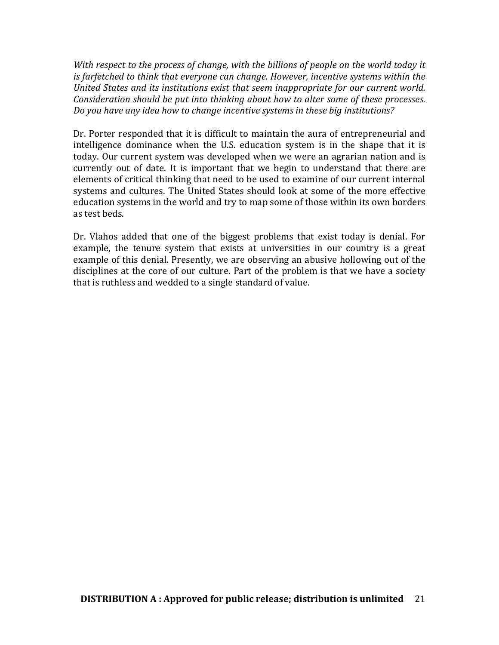*With respect to the process of change, with the billions of people on the world today it is* farfetched to think that everyone can change. However, incentive systems within the *United States and its institutions exist that seem inappropriate for our current world. Consideration should be put into thinking about how to alter some of these processes.* Do you have any idea how to change incentive systems in these big institutions?

Dr. Porter responded that it is difficult to maintain the aura of entrepreneurial and intelligence dominance when the U.S. education system is in the shape that it is today. Our current system was developed when we were an agrarian nation and is currently out of date. It is important that we begin to understand that there are elements of critical thinking that need to be used to examine of our current internal systems and cultures. The United States should look at some of the more effective education systems in the world and try to map some of those within its own borders as test beds.

Dr. Vlahos added that one of the biggest problems that exist today is denial. For example, the tenure system that exists at universities in our country is a great example of this denial. Presently, we are observing an abusive hollowing out of the disciplines at the core of our culture. Part of the problem is that we have a society that is ruthless and wedded to a single standard of value.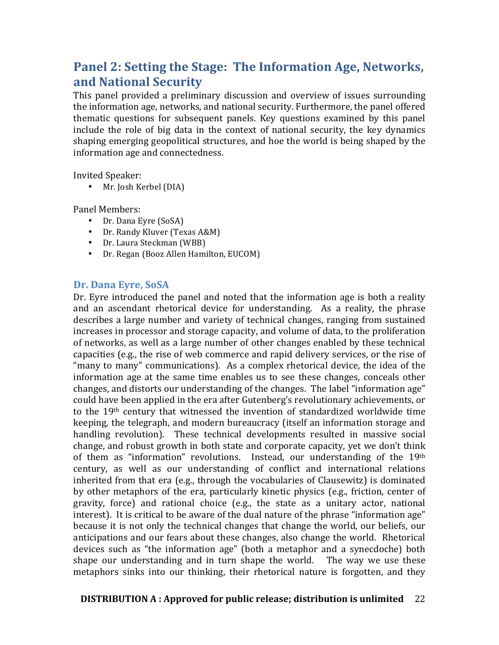# **Panel 2: Setting the Stage: The Information Age, Networks, and National Security**

This panel provided a preliminary discussion and overview of issues surrounding the information age, networks, and national security. Furthermore, the panel offered thematic questions for subsequent panels. Key questions examined by this panel include the role of big data in the context of national security, the key dynamics shaping emerging geopolitical structures, and hoe the world is being shaped by the information age and connectedness.

Invited Speaker:

• Mr. Josh Kerbel (DIA)

Panel Members:

- Dr. Dana Eyre (SoSA)
- Dr. Randy Kluver (Texas A&M)
- Dr. Laura Steckman (WBB)
- Dr. Regan (Booz Allen Hamilton, EUCOM)

#### Dr. Dana Eyre, SoSA

Dr. Eyre introduced the panel and noted that the information age is both a reality and an ascendant rhetorical device for understanding. As a reality, the phrase describes a large number and variety of technical changes, ranging from sustained increases in processor and storage capacity, and volume of data, to the proliferation of networks, as well as a large number of other changes enabled by these technical capacities (e.g., the rise of web commerce and rapid delivery services, or the rise of "many to many" communications). As a complex rhetorical device, the idea of the information age at the same time enables us to see these changes, conceals other changes, and distorts our understanding of the changes. The label "information age" could have been applied in the era after Gutenberg's revolutionary achievements, or to the  $19<sup>th</sup>$  century that witnessed the invention of standardized worldwide time keeping, the telegraph, and modern bureaucracy (itself an information storage and handling revolution). These technical developments resulted in massive social change, and robust growth in both state and corporate capacity, yet we don't think of them as "information" revolutions. Instead, our understanding of the 19th century, as well as our understanding of conflict and international relations inherited from that  $era$  (e.g., through the vocabularies of Clausewitz) is dominated by other metaphors of the era, particularly kinetic physics  $(e.g., friction, center of$ gravity, force) and rational choice (e.g., the state as a unitary actor, national interest). It is critical to be aware of the dual nature of the phrase "information age" because it is not only the technical changes that change the world, our beliefs, our anticipations and our fears about these changes, also change the world. Rhetorical devices such as "the information age" (both a metaphor and a synecdoche) both shape our understanding and in turn shape the world. The way we use these metaphors sinks into our thinking, their rhetorical nature is forgotten, and they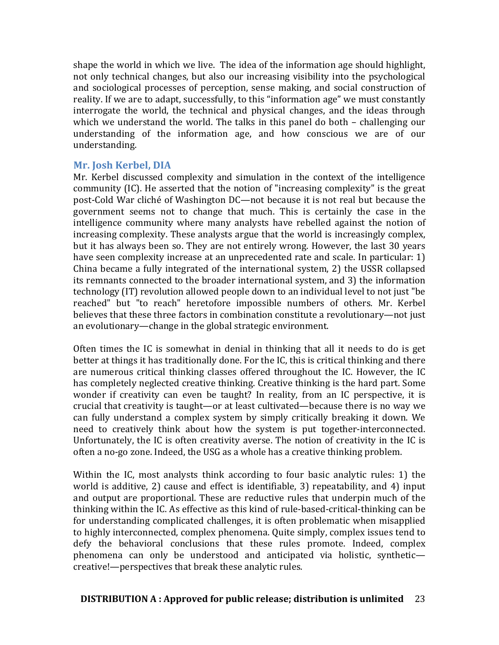shape the world in which we live. The idea of the information age should highlight, not only technical changes, but also our increasing visibility into the psychological and sociological processes of perception, sense making, and social construction of reality. If we are to adapt, successfully, to this "information age" we must constantly interrogate the world, the technical and physical changes, and the ideas through which we understand the world. The talks in this panel do both  $-$  challenging our understanding of the information age, and how conscious we are of our understanding. 

### **Mr. Josh Kerbel, DIA**

Mr. Kerbel discussed complexity and simulation in the context of the intelligence community (IC). He asserted that the notion of "increasing complexity" is the great post-Cold War cliché of Washington DC—not because it is not real but because the government seems not to change that much. This is certainly the case in the intelligence community where many analysts have rebelled against the notion of increasing complexity. These analysts argue that the world is increasingly complex, but it has always been so. They are not entirely wrong. However, the last 30 years have seen complexity increase at an unprecedented rate and scale. In particular: 1) China became a fully integrated of the international system, 2) the USSR collapsed its remnants connected to the broader international system, and 3) the information technology (IT) revolution allowed people down to an individual level to not just "be reached" but "to reach" heretofore impossible numbers of others. Mr. Kerbel believes that these three factors in combination constitute a revolutionary—not just an evolutionary—change in the global strategic environment.

Often times the IC is somewhat in denial in thinking that all it needs to do is get better at things it has traditionally done. For the IC, this is critical thinking and there are numerous critical thinking classes offered throughout the IC. However, the IC has completely neglected creative thinking. Creative thinking is the hard part. Some wonder if creativity can even be taught? In reality, from an IC perspective, it is crucial that creativity is taught—or at least cultivated—because there is no way we can fully understand a complex system by simply critically breaking it down. We need to creatively think about how the system is put together-interconnected. Unfortunately, the IC is often creativity averse. The notion of creativity in the IC is often a no-go zone. Indeed, the USG as a whole has a creative thinking problem.

Within the IC, most analysts think according to four basic analytic rules: 1) the world is additive, 2) cause and effect is identifiable, 3) repeatability, and 4) input and output are proportional. These are reductive rules that underpin much of the thinking within the IC. As effective as this kind of rule-based-critical-thinking can be for understanding complicated challenges, it is often problematic when misapplied to highly interconnected, complex phenomena. Quite simply, complex issues tend to defy the behavioral conclusions that these rules promote. Indeed, complex phenomena can only be understood and anticipated via holistic, syntheticcreative!—perspectives that break these analytic rules.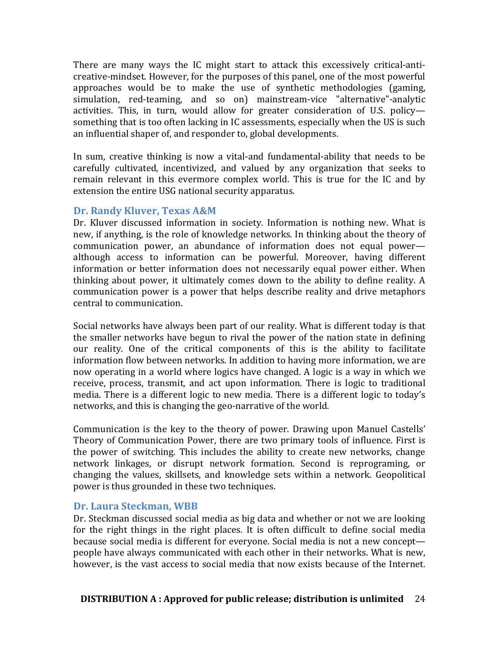There are many ways the IC might start to attack this excessively critical-anticreative-mindset. However, for the purposes of this panel, one of the most powerful approaches would be to make the use of synthetic methodologies (gaming, simulation, red-teaming, and so on) mainstream-vice "alternative"-analytic activities. This, in turn, would allow for greater consideration of U.S. policysomething that is too often lacking in IC assessments, especially when the US is such an influential shaper of, and responder to, global developments.

In sum, creative thinking is now a vital-and fundamental-ability that needs to be carefully cultivated, incentivized, and valued by any organization that seeks to remain relevant in this evermore complex world. This is true for the IC and by extension the entire USG national security apparatus.

### **Dr. Randy Kluver, Texas A&M**

Dr. Kluver discussed information in society. Information is nothing new. What is new, if anything, is the role of knowledge networks. In thinking about the theory of communication power, an abundance of information does not equal power although access to information can be powerful. Moreover, having different information or better information does not necessarily equal power either. When thinking about power, it ultimately comes down to the ability to define reality. A communication power is a power that helps describe reality and drive metaphors central to communication.

Social networks have always been part of our reality. What is different today is that the smaller networks have begun to rival the power of the nation state in defining our reality. One of the critical components of this is the ability to facilitate information flow between networks. In addition to having more information, we are now operating in a world where logics have changed. A logic is a way in which we receive, process, transmit, and act upon information. There is logic to traditional media. There is a different logic to new media. There is a different logic to today's networks, and this is changing the geo-narrative of the world.

Communication is the key to the theory of power. Drawing upon Manuel Castells' Theory of Communication Power, there are two primary tools of influence. First is the power of switching. This includes the ability to create new networks, change network linkages, or disrupt network formation. Second is reprograming, or changing the values, skillsets, and knowledge sets within a network. Geopolitical power is thus grounded in these two techniques.

# Dr. Laura Steckman, WBB

Dr. Steckman discussed social media as big data and whether or not we are looking for the right things in the right places. It is often difficult to define social media because social media is different for everyone. Social media is not a new concept people have always communicated with each other in their networks. What is new, however, is the vast access to social media that now exists because of the Internet.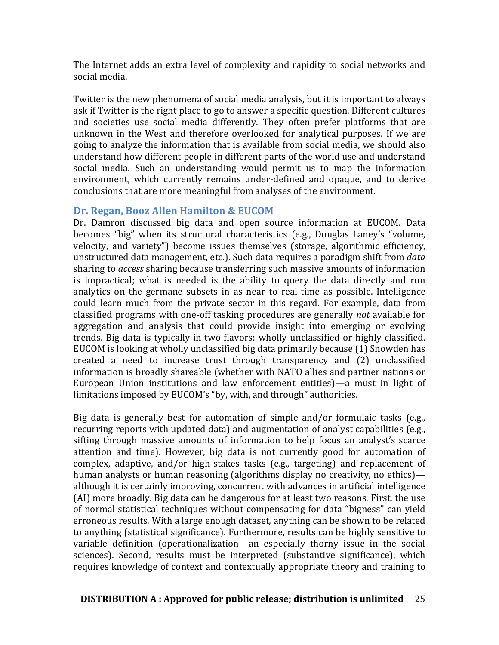The Internet adds an extra level of complexity and rapidity to social networks and social media.

Twitter is the new phenomena of social media analysis, but it is important to always ask if Twitter is the right place to go to answer a specific question. Different cultures and societies use social media differently. They often prefer platforms that are unknown in the West and therefore overlooked for analytical purposes. If we are going to analyze the information that is available from social media, we should also understand how different people in different parts of the world use and understand social media. Such an understanding would permit us to map the information environment, which currently remains under-defined and opaque, and to derive conclusions that are more meaningful from analyses of the environment.

#### **Dr. Regan, Booz Allen Hamilton & EUCOM**

Dr. Damron discussed big data and open source information at EUCOM. Data becomes "big" when its structural characteristics (e.g., Douglas Laney's "volume, velocity, and variety") become issues themselves (storage, algorithmic efficiency, unstructured data management, etc.). Such data requires a paradigm shift from *data* sharing to *access* sharing because transferring such massive amounts of information is impractical; what is needed is the ability to query the data directly and run analytics on the germane subsets in as near to real-time as possible. Intelligence could learn much from the private sector in this regard. For example, data from classified programs with one-off tasking procedures are generally *not* available for aggregation and analysis that could provide insight into emerging or evolving trends. Big data is typically in two flavors: wholly unclassified or highly classified. EUCOM is looking at wholly unclassified big data primarily because (1) Snowden has created a need to increase trust through transparency and (2) unclassified information is broadly shareable (whether with NATO allies and partner nations or European Union institutions and law enforcement entities)—a must in light of limitations imposed by EUCOM's "by, with, and through" authorities.

Big data is generally best for automation of simple and/or formulaic tasks (e.g., recurring reports with updated data) and augmentation of analyst capabilities (e.g., sifting through massive amounts of information to help focus an analyst's scarce attention and time). However, big data is not currently good for automation of complex, adaptive, and/or high-stakes tasks (e.g., targeting) and replacement of human analysts or human reasoning (algorithms display no creativity, no ethics) although it is certainly improving, concurrent with advances in artificial intelligence (AI) more broadly. Big data can be dangerous for at least two reasons. First, the use of normal statistical techniques without compensating for data "bigness" can yield erroneous results. With a large enough dataset, anything can be shown to be related to anything (statistical significance). Furthermore, results can be highly sensitive to variable definition (operationalization—an especially thorny issue in the social sciences). Second, results must be interpreted (substantive significance), which requires knowledge of context and contextually appropriate theory and training to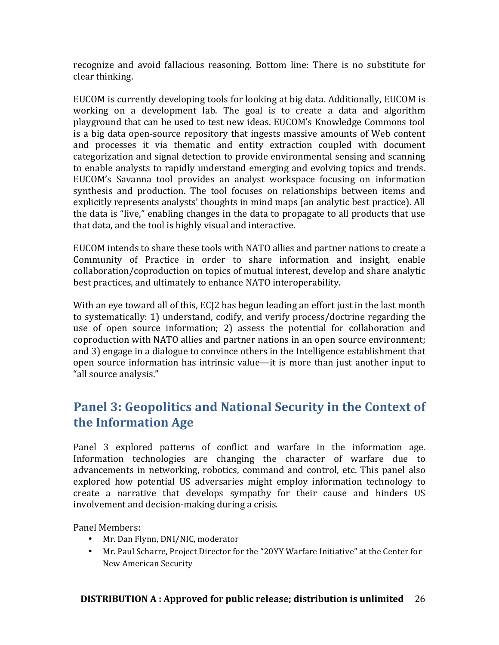recognize and avoid fallacious reasoning. Bottom line: There is no substitute for clear thinking.

EUCOM is currently developing tools for looking at big data. Additionally, EUCOM is working on a development lab. The goal is to create a data and algorithm playground that can be used to test new ideas. EUCOM's Knowledge Commons tool is a big data open-source repository that ingests massive amounts of Web content and processes it via thematic and entity extraction coupled with document categorization and signal detection to provide environmental sensing and scanning to enable analysts to rapidly understand emerging and evolving topics and trends. EUCOM's Savanna tool provides an analyst workspace focusing on information synthesis and production. The tool focuses on relationships between items and explicitly represents analysts' thoughts in mind maps (an analytic best practice). All the data is "live," enabling changes in the data to propagate to all products that use that data, and the tool is highly visual and interactive.

EUCOM intends to share these tools with NATO allies and partner nations to create a Community of Practice in order to share information and insight, enable collaboration/coproduction on topics of mutual interest, develop and share analytic best practices, and ultimately to enhance NATO interoperability.

With an eye toward all of this, ECI2 has begun leading an effort just in the last month to systematically: 1) understand, codify, and verify process/doctrine regarding the use of open source information; 2) assess the potential for collaboration and coproduction with NATO allies and partner nations in an open source environment; and 3) engage in a dialogue to convince others in the Intelligence establishment that open source information has intrinsic value—it is more than just another input to "all source analysis."

# **Panel 3: Geopolitics and National Security in the Context of the Information Age**

Panel 3 explored patterns of conflict and warfare in the information age. Information technologies are changing the character of warfare due to advancements in networking, robotics, command and control, etc. This panel also explored how potential US adversaries might employ information technology to create a narrative that develops sympathy for their cause and hinders US involvement and decision-making during a crisis.

Panel Members:

- Mr. Dan Flynn, DNI/NIC, moderator
- Mr. Paul Scharre, Project Director for the "20YY Warfare Initiative" at the Center for New American Security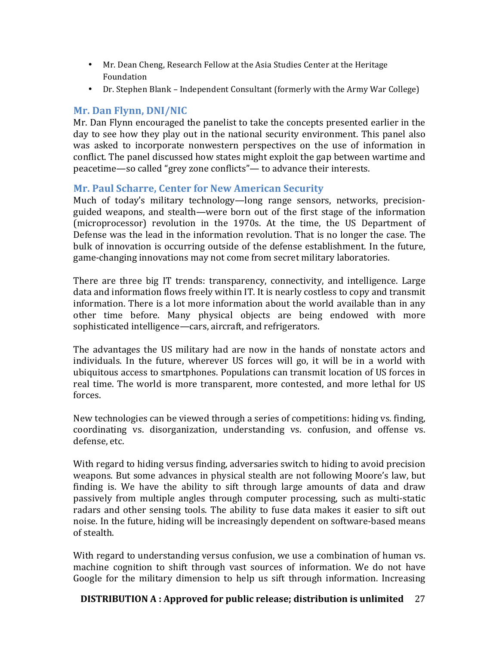- Mr. Dean Cheng, Research Fellow at the Asia Studies Center at the Heritage Foundation
- Dr. Stephen Blank Independent Consultant (formerly with the Army War College)

# **Mr. Dan Flynn, DNI/NIC**

Mr. Dan Flynn encouraged the panelist to take the concepts presented earlier in the day to see how they play out in the national security environment. This panel also was asked to incorporate nonwestern perspectives on the use of information in conflict. The panel discussed how states might exploit the gap between wartime and peacetime—so called "grey zone conflicts"— to advance their interests.

# **Mr. Paul Scharre, Center for New American Security**

Much of today's military technology—long range sensors, networks, precisionguided weapons, and stealth—were born out of the first stage of the information (microprocessor) revolution in the 1970s. At the time, the US Department of Defense was the lead in the information revolution. That is no longer the case. The bulk of innovation is occurring outside of the defense establishment. In the future, game-changing innovations may not come from secret military laboratories.

There are three big IT trends: transparency, connectivity, and intelligence. Large data and information flows freely within IT. It is nearly costless to copy and transmit information. There is a lot more information about the world available than in any other time before. Many physical objects are being endowed with more sophisticated intelligence—cars, aircraft, and refrigerators.

The advantages the US military had are now in the hands of nonstate actors and individuals. In the future, wherever US forces will go, it will be in a world with ubiquitous access to smartphones. Populations can transmit location of US forces in real time. The world is more transparent, more contested, and more lethal for US forces. 

New technologies can be viewed through a series of competitions: hiding vs. finding, coordinating vs. disorganization, understanding vs. confusion, and offense vs. defense, etc.

With regard to hiding versus finding, adversaries switch to hiding to avoid precision weapons. But some advances in physical stealth are not following Moore's law, but finding is. We have the ability to sift through large amounts of data and draw passively from multiple angles through computer processing, such as multi-static radars and other sensing tools. The ability to fuse data makes it easier to sift out noise. In the future, hiding will be increasingly dependent on software-based means of stealth.

With regard to understanding versus confusion, we use a combination of human vs. machine cognition to shift through vast sources of information. We do not have Google for the military dimension to help us sift through information. Increasing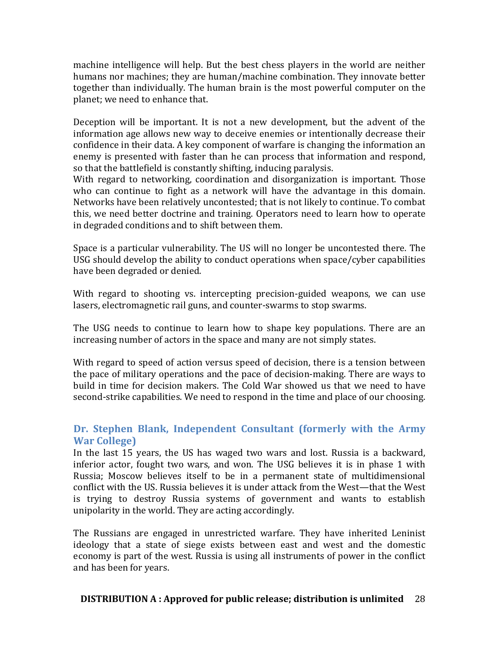machine intelligence will help. But the best chess players in the world are neither humans nor machines; they are human/machine combination. They innovate better together than individually. The human brain is the most powerful computer on the planet; we need to enhance that.

Deception will be important. It is not a new development, but the advent of the information age allows new way to deceive enemies or intentionally decrease their confidence in their data. A key component of warfare is changing the information an enemy is presented with faster than he can process that information and respond, so that the battlefield is constantly shifting, inducing paralysis.

With regard to networking, coordination and disorganization is important. Those who can continue to fight as a network will have the advantage in this domain. Networks have been relatively uncontested; that is not likely to continue. To combat this, we need better doctrine and training. Operators need to learn how to operate in degraded conditions and to shift between them.

Space is a particular vulnerability. The US will no longer be uncontested there. The USG should develop the ability to conduct operations when space/cyber capabilities have been degraded or denied.

With regard to shooting vs. intercepting precision-guided weapons, we can use lasers, electromagnetic rail guns, and counter-swarms to stop swarms.

The USG needs to continue to learn how to shape key populations. There are an increasing number of actors in the space and many are not simply states.

With regard to speed of action versus speed of decision, there is a tension between the pace of military operations and the pace of decision-making. There are ways to build in time for decision makers. The Cold War showed us that we need to have second-strike capabilities. We need to respond in the time and place of our choosing.

# Dr. Stephen Blank, Independent Consultant (formerly with the Army **War College)**

In the last 15 years, the US has waged two wars and lost. Russia is a backward, inferior actor, fought two wars, and won. The USG believes it is in phase 1 with Russia; Moscow believes itself to be in a permanent state of multidimensional conflict with the US. Russia believes it is under attack from the West—that the West is trying to destroy Russia systems of government and wants to establish unipolarity in the world. They are acting accordingly.

The Russians are engaged in unrestricted warfare. They have inherited Leninist ideology that a state of siege exists between east and west and the domestic economy is part of the west. Russia is using all instruments of power in the conflict and has been for years.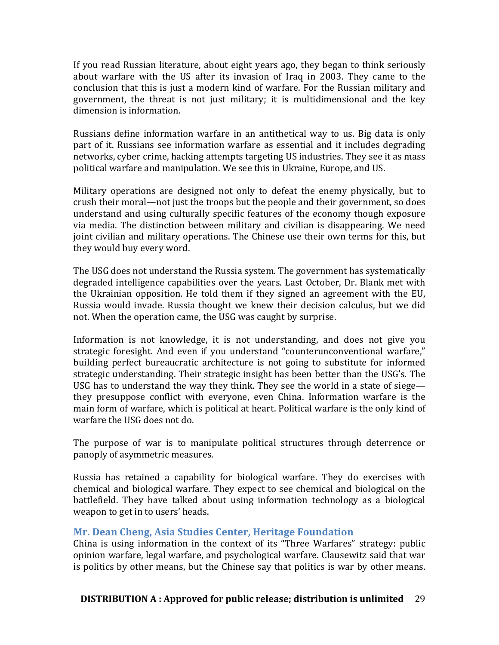If you read Russian literature, about eight years ago, they began to think seriously about warfare with the US after its invasion of Iraq in 2003. They came to the conclusion that this is just a modern kind of warfare. For the Russian military and government, the threat is not just military; it is multidimensional and the key dimension is information.

Russians define information warfare in an antithetical way to us. Big data is only part of it. Russians see information warfare as essential and it includes degrading networks, cyber crime, hacking attempts targeting US industries. They see it as mass political warfare and manipulation. We see this in Ukraine, Europe, and US.

Military operations are designed not only to defeat the enemy physically, but to crush their moral—not just the troops but the people and their government, so does understand and using culturally specific features of the economy though exposure via media. The distinction between military and civilian is disappearing. We need joint civilian and military operations. The Chinese use their own terms for this, but they would buy every word.

The USG does not understand the Russia system. The government has systematically degraded intelligence capabilities over the years. Last October, Dr. Blank met with the Ukrainian opposition. He told them if they signed an agreement with the EU, Russia would invade. Russia thought we knew their decision calculus, but we did not. When the operation came, the USG was caught by surprise.

Information is not knowledge, it is not understanding, and does not give you strategic foresight. And even if you understand "counterunconventional warfare," building perfect bureaucratic architecture is not going to substitute for informed strategic understanding. Their strategic insight has been better than the USG's. The USG has to understand the way they think. They see the world in a state of siege they presuppose conflict with everyone, even China. Information warfare is the main form of warfare, which is political at heart. Political warfare is the only kind of warfare the USG does not do.

The purpose of war is to manipulate political structures through deterrence or panoply of asymmetric measures.

Russia has retained a capability for biological warfare. They do exercises with chemical and biological warfare. They expect to see chemical and biological on the battlefield. They have talked about using information technology as a biological weapon to get in to users' heads.

# **Mr. Dean Cheng, Asia Studies Center, Heritage Foundation**

China is using information in the context of its "Three Warfares" strategy: public opinion warfare, legal warfare, and psychological warfare. Clausewitz said that war is politics by other means, but the Chinese say that politics is war by other means.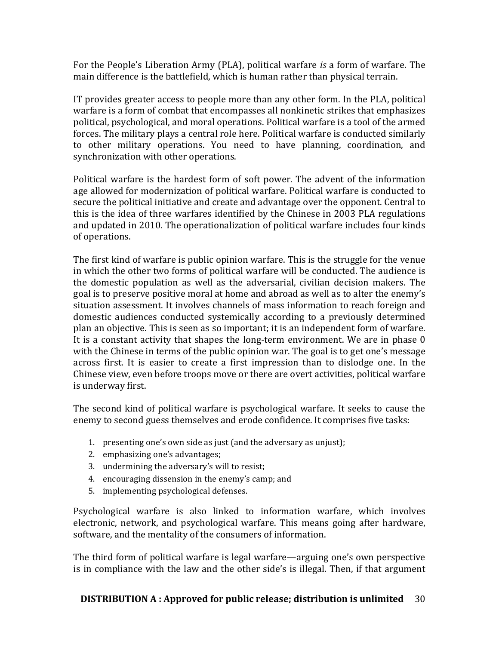For the People's Liberation Army (PLA), political warfare *is* a form of warfare. The main difference is the battlefield, which is human rather than physical terrain.

IT provides greater access to people more than any other form. In the PLA, political warfare is a form of combat that encompasses all nonkinetic strikes that emphasizes political, psychological, and moral operations. Political warfare is a tool of the armed forces. The military plays a central role here. Political warfare is conducted similarly to other military operations. You need to have planning, coordination, and synchronization with other operations.

Political warfare is the hardest form of soft power. The advent of the information age allowed for modernization of political warfare. Political warfare is conducted to secure the political initiative and create and advantage over the opponent. Central to this is the idea of three warfares identified by the Chinese in 2003 PLA regulations and updated in 2010. The operationalization of political warfare includes four kinds of operations.

The first kind of warfare is public opinion warfare. This is the struggle for the venue in which the other two forms of political warfare will be conducted. The audience is the domestic population as well as the adversarial, civilian decision makers. The goal is to preserve positive moral at home and abroad as well as to alter the enemy's situation assessment. It involves channels of mass information to reach foreign and domestic audiences conducted systemically according to a previously determined plan an objective. This is seen as so important; it is an independent form of warfare. It is a constant activity that shapes the long-term environment. We are in phase  $0$ with the Chinese in terms of the public opinion war. The goal is to get one's message across first. It is easier to create a first impression than to dislodge one. In the Chinese view, even before troops move or there are overt activities, political warfare is underway first.

The second kind of political warfare is psychological warfare. It seeks to cause the enemy to second guess themselves and erode confidence. It comprises five tasks:

- 1. presenting one's own side as just (and the adversary as unjust);
- 2. emphasizing one's advantages;
- 3. undermining the adversary's will to resist;
- 4. encouraging dissension in the enemy's camp; and
- 5. implementing psychological defenses.

Psychological warfare is also linked to information warfare, which involves electronic, network, and psychological warfare. This means going after hardware, software, and the mentality of the consumers of information.

The third form of political warfare is legal warfare—arguing one's own perspective is in compliance with the law and the other side's is illegal. Then, if that argument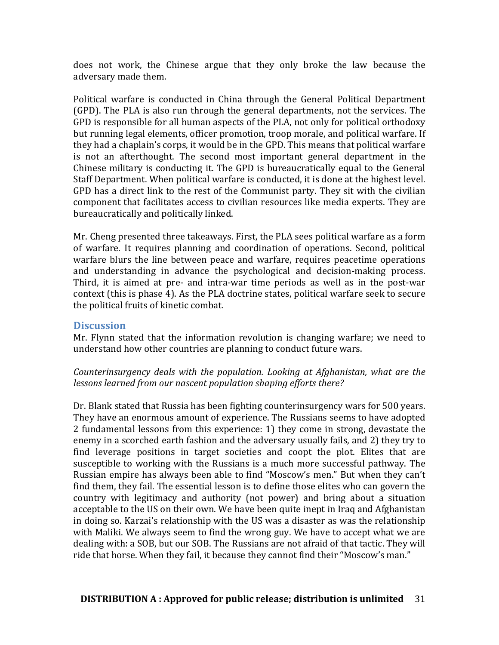does not work, the Chinese argue that they only broke the law because the adversary made them.

Political warfare is conducted in China through the General Political Department (GPD). The PLA is also run through the general departments, not the services. The GPD is responsible for all human aspects of the PLA, not only for political orthodoxy but running legal elements, officer promotion, troop morale, and political warfare. If they had a chaplain's corps, it would be in the GPD. This means that political warfare is not an afterthought. The second most important general department in the Chinese military is conducting it. The GPD is bureaucratically equal to the General Staff Department. When political warfare is conducted, it is done at the highest level. GPD has a direct link to the rest of the Communist party. They sit with the civilian component that facilitates access to civilian resources like media experts. They are bureaucratically and politically linked.

Mr. Cheng presented three takeaways. First, the PLA sees political warfare as a form of warfare. It requires planning and coordination of operations. Second, political warfare blurs the line between peace and warfare, requires peacetime operations and understanding in advance the psychological and decision-making process. Third, it is aimed at pre- and intra-war time periods as well as in the post-war context (this is phase 4). As the PLA doctrine states, political warfare seek to secure the political fruits of kinetic combat.

#### **Discussion**

Mr. Flynn stated that the information revolution is changing warfare; we need to understand how other countries are planning to conduct future wars.

*Counterinsurgency deals with the population. Looking at Afghanistan, what are the* lessons learned from our nascent population shaping efforts there?

Dr. Blank stated that Russia has been fighting counterinsurgency wars for 500 years. They have an enormous amount of experience. The Russians seems to have adopted 2 fundamental lessons from this experience: 1) they come in strong, devastate the enemy in a scorched earth fashion and the adversary usually fails, and 2) they try to find leverage positions in target societies and coopt the plot. Elites that are susceptible to working with the Russians is a much more successful pathway. The Russian empire has always been able to find "Moscow's men." But when they can't find them, they fail. The essential lesson is to define those elites who can govern the country with legitimacy and authority (not power) and bring about a situation acceptable to the US on their own. We have been quite inept in Iraq and Afghanistan in doing so. Karzai's relationship with the US was a disaster as was the relationship with Maliki. We always seem to find the wrong guy. We have to accept what we are dealing with: a SOB, but our SOB. The Russians are not afraid of that tactic. They will ride that horse. When they fail, it because they cannot find their "Moscow's man."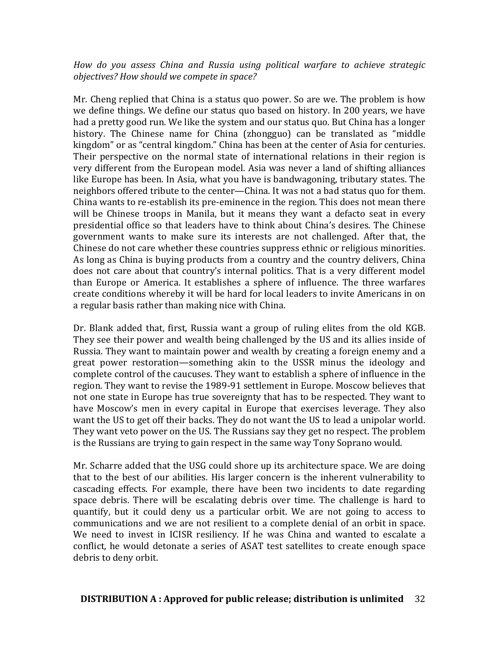*How do you assess China and Russia using political warfare to achieve strategic objectives? How should we compete in space?*

Mr. Cheng replied that China is a status quo power. So are we. The problem is how we define things. We define our status quo based on history. In 200 years, we have had a pretty good run. We like the system and our status quo. But China has a longer history. The Chinese name for China (zhongguo) can be translated as "middle kingdom" or as "central kingdom." China has been at the center of Asia for centuries. Their perspective on the normal state of international relations in their region is very different from the European model. Asia was never a land of shifting alliances like Europe has been. In Asia, what you have is bandwagoning, tributary states. The neighbors offered tribute to the center—China. It was not a bad status quo for them. China wants to re-establish its pre-eminence in the region. This does not mean there will be Chinese troops in Manila, but it means they want a defacto seat in every presidential office so that leaders have to think about China's desires. The Chinese government wants to make sure its interests are not challenged. After that, the Chinese do not care whether these countries suppress ethnic or religious minorities. As long as China is buying products from a country and the country delivers, China does not care about that country's internal politics. That is a very different model than Europe or America. It establishes a sphere of influence. The three warfares create conditions whereby it will be hard for local leaders to invite Americans in on a regular basis rather than making nice with China.

Dr. Blank added that, first, Russia want a group of ruling elites from the old KGB. They see their power and wealth being challenged by the US and its allies inside of Russia. They want to maintain power and wealth by creating a foreign enemy and a great power restoration—something akin to the USSR minus the ideology and complete control of the caucuses. They want to establish a sphere of influence in the region. They want to revise the 1989-91 settlement in Europe. Moscow believes that not one state in Europe has true sovereignty that has to be respected. They want to have Moscow's men in every capital in Europe that exercises leverage. They also want the US to get off their backs. They do not want the US to lead a unipolar world. They want veto power on the US. The Russians say they get no respect. The problem is the Russians are trying to gain respect in the same way Tony Soprano would.

Mr. Scharre added that the USG could shore up its architecture space. We are doing that to the best of our abilities. His larger concern is the inherent vulnerability to cascading effects. For example, there have been two incidents to date regarding space debris. There will be escalating debris over time. The challenge is hard to quantify, but it could deny us a particular orbit. We are not going to access to communications and we are not resilient to a complete denial of an orbit in space. We need to invest in ICISR resiliency. If he was China and wanted to escalate a conflict, he would detonate a series of ASAT test satellites to create enough space debris to deny orbit.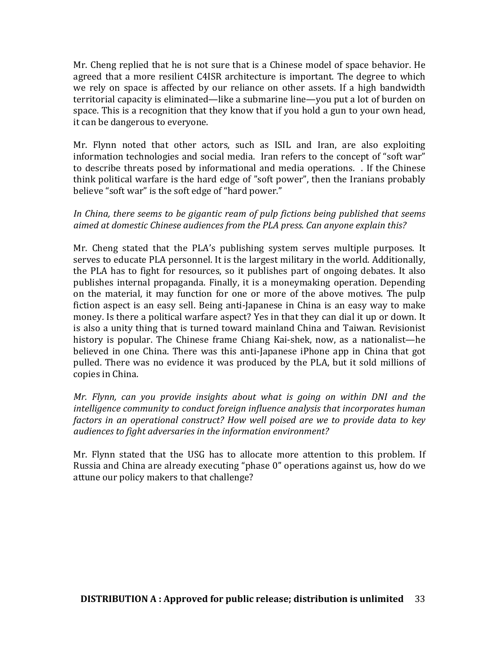Mr. Cheng replied that he is not sure that is a Chinese model of space behavior. He agreed that a more resilient C4ISR architecture is important. The degree to which we rely on space is affected by our reliance on other assets. If a high bandwidth territorial capacity is eliminated—like a submarine line—you put a lot of burden on space. This is a recognition that they know that if you hold a gun to your own head, it can be dangerous to everyone.

Mr. Flynn noted that other actors, such as ISIL and Iran, are also exploiting information technologies and social media. Iran refers to the concept of "soft war" to describe threats posed by informational and media operations. . If the Chinese think political warfare is the hard edge of "soft power", then the Iranians probably believe "soft war" is the soft edge of "hard power."

### In China, there seems to be gigantic ream of pulp fictions being published that seems aimed at domestic Chinese audiences from the PLA press. Can anyone explain this?

Mr. Cheng stated that the PLA's publishing system serves multiple purposes. It serves to educate PLA personnel. It is the largest military in the world. Additionally, the PLA has to fight for resources, so it publishes part of ongoing debates. It also publishes internal propaganda. Finally, it is a moneymaking operation. Depending on the material, it may function for one or more of the above motives. The pulp fiction aspect is an easy sell. Being anti-Japanese in China is an easy way to make money. Is there a political warfare aspect? Yes in that they can dial it up or down. It is also a unity thing that is turned toward mainland China and Taiwan. Revisionist history is popular. The Chinese frame Chiang Kai-shek, now, as a nationalist—he believed in one China. There was this anti-Japanese iPhone app in China that got pulled. There was no evidence it was produced by the PLA, but it sold millions of copies in China.

*Mr. Flynn, can you provide insights about what is going on within DNI and the intelligence community to conduct foreign influence analysis that incorporates human factors* in an operational construct? How well poised are we to provide data to key audiences to fight adversaries in the information environment?

Mr. Flynn stated that the USG has to allocate more attention to this problem. If Russia and China are already executing "phase 0" operations against us, how do we attune our policy makers to that challenge?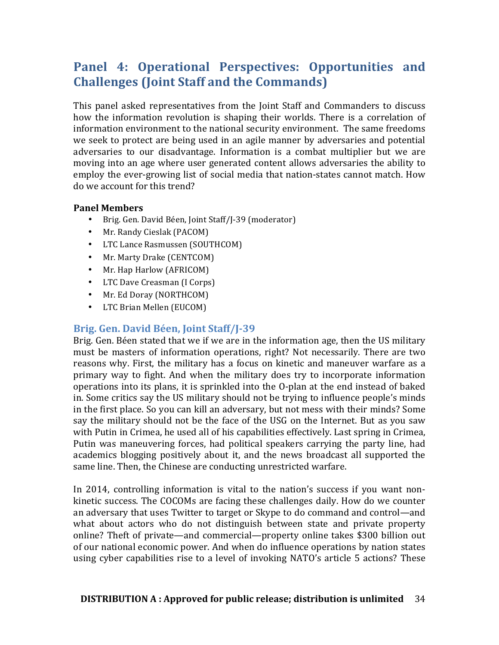# Panel 4: Operational Perspectives: Opportunities and **Challenges (Joint Staff and the Commands)**

This panel asked representatives from the Joint Staff and Commanders to discuss how the information revolution is shaping their worlds. There is a correlation of information environment to the national security environment. The same freedoms we seek to protect are being used in an agile manner by adversaries and potential adversaries to our disadvantage. Information is a combat multiplier but we are moving into an age where user generated content allows adversaries the ability to employ the ever-growing list of social media that nation-states cannot match. How do we account for this trend?

#### **Panel Members**

- Brig. Gen. David Béen, Joint Staff/J-39 (moderator)
- Mr. Randy Cieslak (PACOM)
- LTC Lance Rasmussen (SOUTHCOM)
- Mr. Marty Drake (CENTCOM)
- Mr. Hap Harlow (AFRICOM)
- LTC Dave Creasman (I Corps)
- Mr. Ed Doray (NORTHCOM)
- LTC Brian Mellen (EUCOM)

# Brig. Gen. David Béen, Joint Staff/J-39

Brig. Gen. Béen stated that we if we are in the information age, then the US military must be masters of information operations, right? Not necessarily. There are two reasons why. First, the military has a focus on kinetic and maneuver warfare as a primary way to fight. And when the military does try to incorporate information operations into its plans, it is sprinkled into the O-plan at the end instead of baked in. Some critics say the US military should not be trying to influence people's minds in the first place. So you can kill an adversary, but not mess with their minds? Some say the military should not be the face of the USG on the Internet. But as you saw with Putin in Crimea, he used all of his capabilities effectively. Last spring in Crimea, Putin was maneuvering forces, had political speakers carrying the party line, had academics blogging positively about it, and the news broadcast all supported the same line. Then, the Chinese are conducting unrestricted warfare.

In 2014, controlling information is vital to the nation's success if you want nonkinetic success. The COCOMs are facing these challenges daily. How do we counter an adversary that uses Twitter to target or Skype to do command and control—and what about actors who do not distinguish between state and private property online? Theft of private—and commercial—property online takes \$300 billion out of our national economic power. And when do influence operations by nation states using cyber capabilities rise to a level of invoking NATO's article 5 actions? These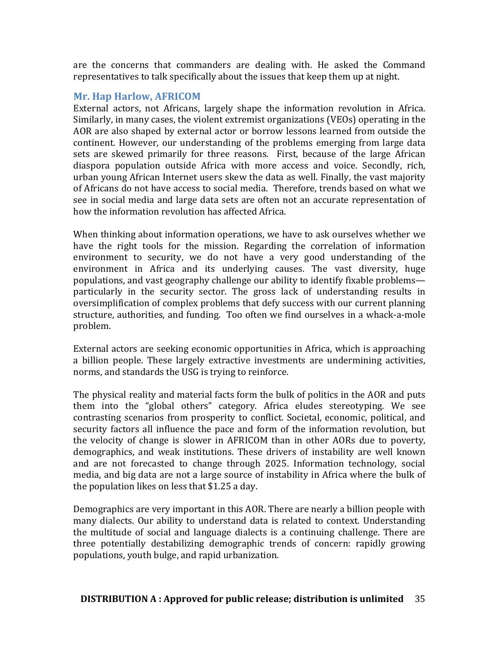are the concerns that commanders are dealing with. He asked the Command representatives to talk specifically about the issues that keep them up at night.

#### **Mr. Hap Harlow, AFRICOM**

External actors, not Africans, largely shape the information revolution in Africa. Similarly, in many cases, the violent extremist organizations  $(VEOs)$  operating in the AOR are also shaped by external actor or borrow lessons learned from outside the continent. However, our understanding of the problems emerging from large data sets are skewed primarily for three reasons. First, because of the large African diaspora population outside Africa with more access and voice. Secondly, rich, urban young African Internet users skew the data as well. Finally, the vast majority of Africans do not have access to social media. Therefore, trends based on what we see in social media and large data sets are often not an accurate representation of how the information revolution has affected Africa.

When thinking about information operations, we have to ask ourselves whether we have the right tools for the mission. Regarding the correlation of information environment to security, we do not have a very good understanding of the environment in Africa and its underlying causes. The vast diversity, huge populations, and vast geography challenge our ability to identify fixable problems particularly in the security sector. The gross lack of understanding results in oversimplification of complex problems that defy success with our current planning structure, authorities, and funding. Too often we find ourselves in a whack-a-mole problem. 

External actors are seeking economic opportunities in Africa, which is approaching a billion people. These largely extractive investments are undermining activities, norms, and standards the USG is trying to reinforce.

The physical reality and material facts form the bulk of politics in the AOR and puts them into the "global others" category. Africa eludes stereotyping. We see contrasting scenarios from prosperity to conflict. Societal, economic, political, and security factors all influence the pace and form of the information revolution, but the velocity of change is slower in AFRICOM than in other AORs due to poverty, demographics, and weak institutions. These drivers of instability are well known and are not forecasted to change through 2025. Information technology, social media, and big data are not a large source of instability in Africa where the bulk of the population likes on less that  $$1.25$  a day.

Demographics are very important in this AOR. There are nearly a billion people with many dialects. Our ability to understand data is related to context. Understanding the multitude of social and language dialects is a continuing challenge. There are three potentially destabilizing demographic trends of concern: rapidly growing populations, youth bulge, and rapid urbanization.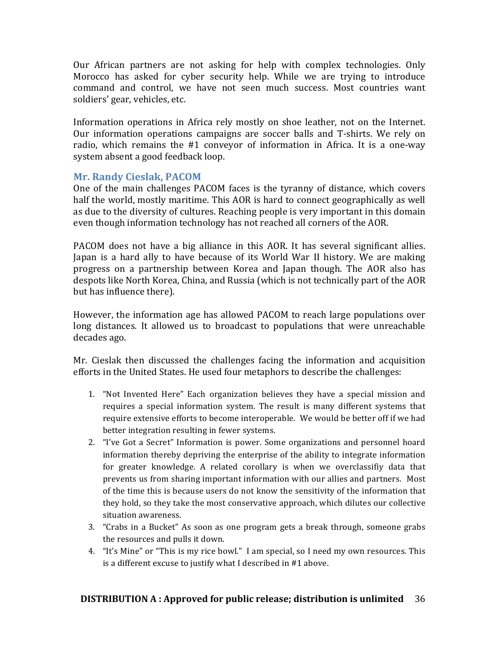Our African partners are not asking for help with complex technologies. Only Morocco has asked for cyber security help. While we are trying to introduce command and control, we have not seen much success. Most countries want soldiers' gear, vehicles, etc.

Information operations in Africa rely mostly on shoe leather, not on the Internet. Our information operations campaigns are soccer balls and T-shirts. We rely on radio, which remains the  $#1$  conveyor of information in Africa. It is a one-way system absent a good feedback loop.

## **Mr. Randy Cieslak, PACOM**

One of the main challenges PACOM faces is the tyranny of distance, which covers half the world, mostly maritime. This AOR is hard to connect geographically as well as due to the diversity of cultures. Reaching people is very important in this domain even though information technology has not reached all corners of the AOR.

PACOM does not have a big alliance in this AOR. It has several significant allies. Japan is a hard ally to have because of its World War II history. We are making progress on a partnership between Korea and Japan though. The AOR also has despots like North Korea, China, and Russia (which is not technically part of the AOR but has influence there).

However, the information age has allowed PACOM to reach large populations over long distances. It allowed us to broadcast to populations that were unreachable decades ago.

Mr. Cieslak then discussed the challenges facing the information and acquisition efforts in the United States. He used four metaphors to describe the challenges:

- 1. "Not Invented Here" Each organization believes they have a special mission and requires a special information system. The result is many different systems that require extensive efforts to become interoperable. We would be better off if we had better integration resulting in fewer systems.
- 2. "I've Got a Secret" Information is power. Some organizations and personnel hoard information thereby depriving the enterprise of the ability to integrate information for greater knowledge. A related corollary is when we overclassifiy data that prevents us from sharing important information with our allies and partners. Most of the time this is because users do not know the sensitivity of the information that they hold, so they take the most conservative approach, which dilutes our collective situation awareness.
- 3. "Crabs in a Bucket" As soon as one program gets a break through, someone grabs the resources and pulls it down.
- 4. "It's Mine" or "This is my rice bowl." I am special, so I need my own resources. This is a different excuse to justify what I described in #1 above.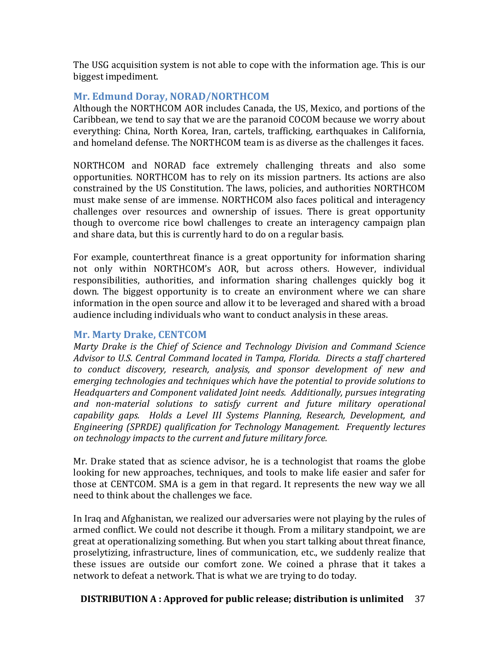The USG acquisition system is not able to cope with the information age. This is our biggest impediment.

# **Mr. Edmund Doray, NORAD/NORTHCOM**

Although the NORTHCOM AOR includes Canada, the US, Mexico, and portions of the Caribbean, we tend to say that we are the paranoid COCOM because we worry about everything: China, North Korea, Iran, cartels, trafficking, earthquakes in California, and homeland defense. The NORTHCOM team is as diverse as the challenges it faces.

NORTHCOM and NORAD face extremely challenging threats and also some opportunities. NORTHCOM has to rely on its mission partners. Its actions are also constrained by the US Constitution. The laws, policies, and authorities NORTHCOM must make sense of are immense. NORTHCOM also faces political and interagency challenges over resources and ownership of issues. There is great opportunity though to overcome rice bowl challenges to create an interagency campaign plan and share data, but this is currently hard to do on a regular basis.

For example, counterthreat finance is a great opportunity for information sharing not only within NORTHCOM's AOR, but across others. However, individual responsibilities, authorities, and information sharing challenges quickly bog it down. The biggest opportunity is to create an environment where we can share information in the open source and allow it to be leveraged and shared with a broad audience including individuals who want to conduct analysis in these areas.

#### **Mr. Marty Drake, CENTCOM**

*Marty Drake is the Chief of Science and Technology Division and Command Science* Advisor to U.S. Central Command located in Tampa, Florida. Directs a staff chartered to conduct discovery, research, analysis, and sponsor development of new and *emerging technologies and techniques which have the potential to provide solutions to Headquarters and Component validated Joint needs. Additionally, pursues integrating* and non-material solutions to satisfy current and future military operational capability gaps. Holds a Level III Systems Planning, Research, Development, and *Engineering (SPRDE)* qualification for Technology Management. Frequently lectures on technology *impacts* to the current and future military force.

Mr. Drake stated that as science advisor, he is a technologist that roams the globe looking for new approaches, techniques, and tools to make life easier and safer for those at CENTCOM. SMA is a gem in that regard. It represents the new way we all need to think about the challenges we face.

In Iraq and Afghanistan, we realized our adversaries were not playing by the rules of armed conflict. We could not describe it though. From a military standpoint, we are great at operationalizing something. But when you start talking about threat finance, proselytizing, infrastructure, lines of communication, etc., we suddenly realize that these issues are outside our comfort zone. We coined a phrase that it takes a network to defeat a network. That is what we are trying to do today.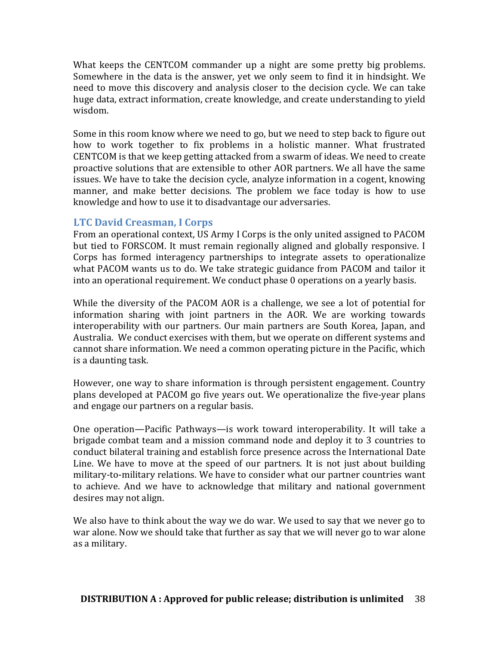What keeps the CENTCOM commander up a night are some pretty big problems. Somewhere in the data is the answer, yet we only seem to find it in hindsight. We need to move this discovery and analysis closer to the decision cycle. We can take huge data, extract information, create knowledge, and create understanding to yield wisdom. 

Some in this room know where we need to go, but we need to step back to figure out how to work together to fix problems in a holistic manner. What frustrated CENTCOM is that we keep getting attacked from a swarm of ideas. We need to create proactive solutions that are extensible to other AOR partners. We all have the same issues. We have to take the decision cycle, analyze information in a cogent, knowing manner, and make better decisions. The problem we face today is how to use knowledge and how to use it to disadvantage our adversaries.

## **LTC David Creasman, I Corps**

From an operational context, US Army I Corps is the only united assigned to PACOM but tied to FORSCOM. It must remain regionally aligned and globally responsive. I Corps has formed interagency partnerships to integrate assets to operationalize what PACOM wants us to do. We take strategic guidance from PACOM and tailor it into an operational requirement. We conduct phase 0 operations on a yearly basis.

While the diversity of the PACOM AOR is a challenge, we see a lot of potential for information sharing with joint partners in the AOR. We are working towards interoperability with our partners. Our main partners are South Korea, Japan, and Australia. We conduct exercises with them, but we operate on different systems and cannot share information. We need a common operating picture in the Pacific, which is a daunting task.

However, one way to share information is through persistent engagement. Country plans developed at PACOM go five years out. We operationalize the five-year plans and engage our partners on a regular basis.

One operation—Pacific Pathways—is work toward interoperability. It will take a brigade combat team and a mission command node and deploy it to 3 countries to conduct bilateral training and establish force presence across the International Date Line. We have to move at the speed of our partners. It is not just about building military-to-military relations. We have to consider what our partner countries want to achieve. And we have to acknowledge that military and national government desires may not align.

We also have to think about the way we do war. We used to say that we never go to war alone. Now we should take that further as say that we will never go to war alone as a military.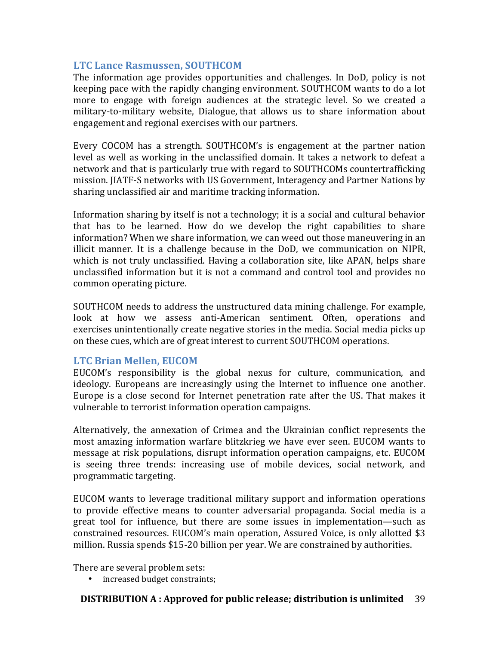## **LTC Lance Rasmussen, SOUTHCOM**

The information age provides opportunities and challenges. In DoD, policy is not keeping pace with the rapidly changing environment. SOUTHCOM wants to do a lot more to engage with foreign audiences at the strategic level. So we created a military-to-military website, Dialogue, that allows us to share information about engagement and regional exercises with our partners.

Every COCOM has a strength. SOUTHCOM's is engagement at the partner nation level as well as working in the unclassified domain. It takes a network to defeat a network and that is particularly true with regard to SOUTHCOMs countertrafficking mission. JIATF-S networks with US Government, Interagency and Partner Nations by sharing unclassified air and maritime tracking information.

Information sharing by itself is not a technology; it is a social and cultural behavior that has to be learned. How do we develop the right capabilities to share information? When we share information, we can weed out those maneuvering in an illicit manner. It is a challenge because in the DoD, we communication on NIPR, which is not truly unclassified. Having a collaboration site, like APAN, helps share unclassified information but it is not a command and control tool and provides no common operating picture.

SOUTHCOM needs to address the unstructured data mining challenge. For example, look at how we assess anti-American sentiment. Often, operations and exercises unintentionally create negative stories in the media. Social media picks up on these cues, which are of great interest to current SOUTHCOM operations.

#### **LTC Brian Mellen, EUCOM**

EUCOM's responsibility is the global nexus for culture, communication, and ideology. Europeans are increasingly using the Internet to influence one another. Europe is a close second for Internet penetration rate after the US. That makes it vulnerable to terrorist information operation campaigns.

Alternatively, the annexation of Crimea and the Ukrainian conflict represents the most amazing information warfare blitzkrieg we have ever seen. EUCOM wants to message at risk populations, disrupt information operation campaigns, etc. EUCOM is seeing three trends: increasing use of mobile devices, social network, and programmatic targeting.

EUCOM wants to leverage traditional military support and information operations to provide effective means to counter adversarial propaganda. Social media is a great tool for influence, but there are some issues in implementation—such as constrained resources. EUCOM's main operation, Assured Voice, is only allotted \$3 million. Russia spends \$15-20 billion per year. We are constrained by authorities.

There are several problem sets:

• increased budget constraints;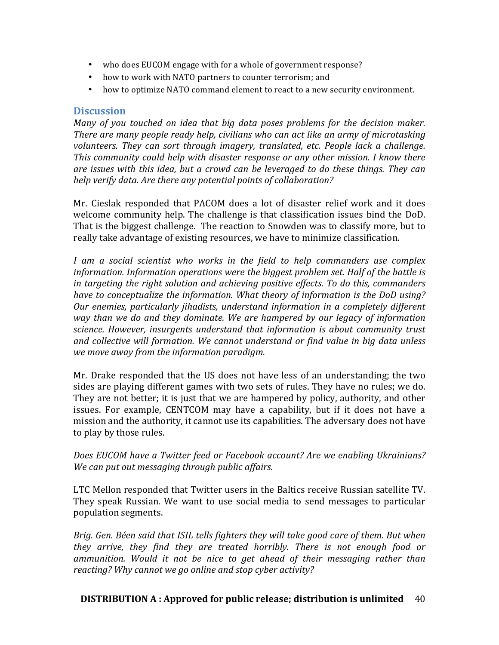- who does EUCOM engage with for a whole of government response?
- how to work with NATO partners to counter terrorism; and
- how to optimize NATO command element to react to a new security environment.

#### **Discussion**

*Many* of you touched on idea that big data poses problems for the decision maker. *There are many people ready help, civilians who can act like an army of microtasking volunteers.* They can sort through imagery, translated, etc. People lack a challenge. *This community could help with disaster response or any other mission. I know there are issues* with this *idea, but a crowd can be leveraged to do these things. They can help* verify data. Are there any potential points of collaboration?

Mr. Cieslak responded that PACOM does a lot of disaster relief work and it does welcome community help. The challenge is that classification issues bind the DoD. That is the biggest challenge. The reaction to Snowden was to classify more, but to really take advantage of existing resources, we have to minimize classification.

*I* am a social scientist who works in the field to help commanders use complex *information. Information operations were the biggest problem set. Half of the battle is in targeting the right solution and achieving positive effects. To do this, commanders have to conceptualize the information.* What theory of information is the DoD using? *Our enemies, particularly jihadists, understand information in a completely different way* than we do and they dominate. We are hampered by our legacy of information *science. However, insurgents understand that information is about community trust* and collective will formation. We cannot understand or find value in big data unless *we move away from the information paradigm.* 

Mr. Drake responded that the US does not have less of an understanding; the two sides are playing different games with two sets of rules. They have no rules; we do. They are not better; it is just that we are hampered by policy, authority, and other issues. For example, CENTCOM may have a capability, but if it does not have a mission and the authority, it cannot use its capabilities. The adversary does not have to play by those rules.

*Does EUCOM have a Twitter feed or Facebook account? Are we enabling Ukrainians? We can put out messaging through public affairs.* 

LTC Mellon responded that Twitter users in the Baltics receive Russian satellite TV. They speak Russian. We want to use social media to send messages to particular population segments.

*Brig.* Gen. Béen said that ISIL tells fighters they will take good care of them. But when *they* arrive, they find they are treated horribly. There is not enough food or *ammunition.* Would it not be nice to get ahead of their messaging rather than reacting? Why cannot we go online and stop cyber activity?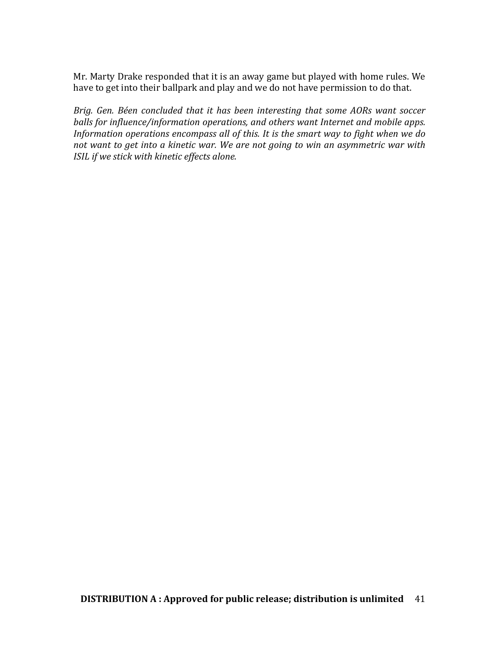Mr. Marty Drake responded that it is an away game but played with home rules. We have to get into their ballpark and play and we do not have permission to do that.

*Brig.* Gen. Béen concluded that it has been interesting that some AORs want soccer *balls for influence/information operations, and others want Internet and mobile apps. Information operations encompass all of this. It is the smart way to fight when we do* not want to get into a kinetic war. We are not going to win an asymmetric war with *ISIL* if we stick with kinetic effects alone.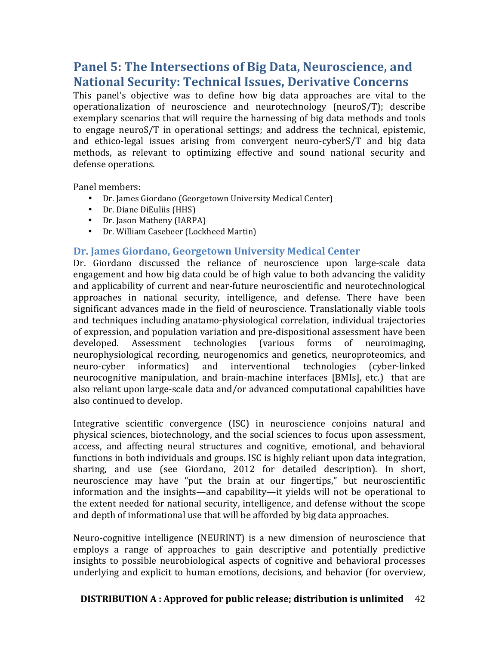# **Panel 5: The Intersections of Big Data, Neuroscience, and National Security: Technical Issues, Derivative Concerns**

This panel's objective was to define how big data approaches are vital to the operationalization of neuroscience and neurotechnology (neuroS/T); describe exemplary scenarios that will require the harnessing of big data methods and tools to engage neuroS/T in operational settings; and address the technical, epistemic, and ethico-legal issues arising from convergent neuro-cyberS/T and big data methods, as relevant to optimizing effective and sound national security and defense operations.

Panel members:

- Dr. James Giordano (Georgetown University Medical Center)
- Dr. Diane DiEuliis (HHS)
- Dr. Jason Matheny (IARPA)
- Dr. William Casebeer (Lockheed Martin)

#### **Dr. James Giordano, Georgetown University Medical Center**

Dr. Giordano discussed the reliance of neuroscience upon large-scale data engagement and how big data could be of high value to both advancing the validity and applicability of current and near-future neuroscientific and neurotechnological approaches in national security, intelligence, and defense. There have been significant advances made in the field of neuroscience. Translationally viable tools and techniques including anatamo-physiological correlation, individual trajectories of expression, and population variation and pre-dispositional assessment have been developed. Assessment technologies (various forms of neuroimaging, neurophysiological recording, neurogenomics and genetics, neuroproteomics, and neuro-cyber informatics) and interventional technologies (cyber-linked neurocognitive manipulation, and brain-machine interfaces [BMIs], etc.) that are also reliant upon large-scale data and/or advanced computational capabilities have also continued to develop.

Integrative scientific convergence (ISC) in neuroscience conjoins natural and physical sciences, biotechnology, and the social sciences to focus upon assessment, access, and affecting neural structures and cognitive, emotional, and behavioral functions in both individuals and groups. ISC is highly reliant upon data integration, sharing, and use (see Giordano, 2012 for detailed description). In short, neuroscience may have "put the brain at our fingertips," but neuroscientific information and the insights—and capability—it yields will not be operational to the extent needed for national security, intelligence, and defense without the scope and depth of informational use that will be afforded by big data approaches.

Neuro-cognitive intelligence (NEURINT) is a new dimension of neuroscience that employs a range of approaches to gain descriptive and potentially predictive insights to possible neurobiological aspects of cognitive and behavioral processes underlying and explicit to human emotions, decisions, and behavior (for overview,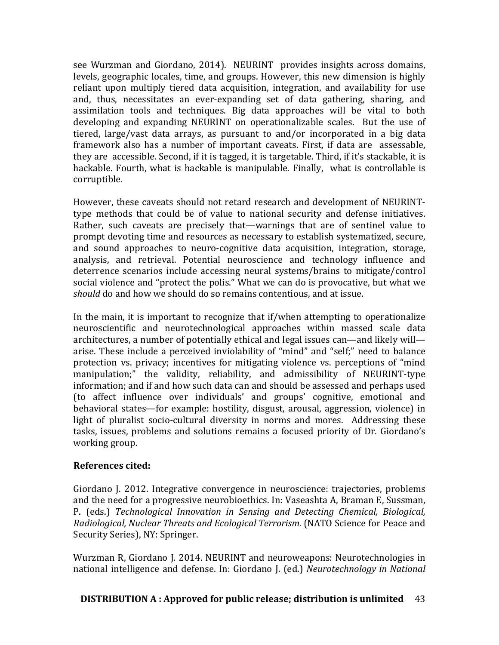see Wurzman and Giordano, 2014). NEURINT provides insights across domains, levels, geographic locales, time, and groups. However, this new dimension is highly reliant upon multiply tiered data acquisition, integration, and availability for use and, thus, necessitates an ever-expanding set of data gathering, sharing, and assimilation tools and techniques. Big data approaches will be vital to both developing and expanding NEURINT on operationalizable scales. But the use of tiered, large/vast data arrays, as pursuant to and/or incorporated in a big data framework also has a number of important caveats. First, if data are assessable, they are accessible. Second, if it is tagged, it is targetable. Third, if it's stackable, it is hackable. Fourth, what is hackable is manipulable. Finally, what is controllable is corruptible.

However, these caveats should not retard research and development of NEURINTtype methods that could be of value to national security and defense initiatives. Rather, such caveats are precisely that—warnings that are of sentinel value to prompt devoting time and resources as necessary to establish systematized, secure, and sound approaches to neuro-cognitive data acquisition, integration, storage, analysis, and retrieval. Potential neuroscience and technology influence and deterrence scenarios include accessing neural systems/brains to mitigate/control social violence and "protect the polis." What we can do is provocative, but what we *should* do and how we should do so remains contentious, and at issue.

In the main, it is important to recognize that if/when attempting to operationalize neuroscientific and neurotechnological approaches within massed scale data architectures, a number of potentially ethical and legal issues can—and likely will arise. These include a perceived inviolability of "mind" and "self;" need to balance protection vs. privacy; incentives for mitigating violence vs. perceptions of "mind" manipulation;" the validity, reliability, and admissibility of NEURINT-type information; and if and how such data can and should be assessed and perhaps used (to affect influence over individuals' and groups' cognitive, emotional and behavioral states—for example: hostility, disgust, arousal, aggression, violence) in light of pluralist socio-cultural diversity in norms and mores. Addressing these tasks, issues, problems and solutions remains a focused priority of Dr. Giordano's working group.

#### **References cited:**

Giordano J. 2012. Integrative convergence in neuroscience: trajectories, problems and the need for a progressive neurobioethics. In: Vaseashta A, Braman E, Sussman, P. (eds.) *Technological Innovation in Sensing and Detecting Chemical, Biological, Radiological, Nuclear Threats and Ecological Terrorism.* (NATO Science for Peace and Security Series), NY: Springer.

Wurzman R, Giordano J. 2014. NEURINT and neuroweapons: Neurotechnologies in national intelligence and defense. In: Giordano J. (ed.) *Neurotechnology in National*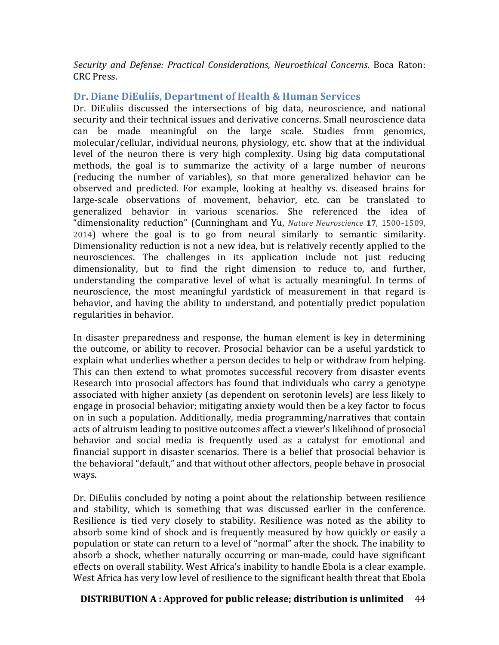*Security and Defense: Practical Considerations, Neuroethical Concerns*. Boca Raton: CRC Press.

## Dr. Diane DiEuliis, Department of Health & Human Services

Dr. DiEuliis discussed the intersections of big data, neuroscience, and national security and their technical issues and derivative concerns. Small neuroscience data can be made meaningful on the large scale. Studies from genomics, molecular/cellular, individual neurons, physiology, etc. show that at the individual level of the neuron there is very high complexity. Using big data computational methods, the goal is to summarize the activity of a large number of neurons (reducing the number of variables), so that more generalized behavior can be observed and predicted. For example, looking at healthy vs. diseased brains for large-scale observations of movement, behavior, etc. can be translated to generalized behavior in various scenarios. She referenced the idea of "dimensionality reduction" (Cunningham and Yu, *Nature Neuroscience* **17**, 1500–1509, 2014) where the goal is to go from neural similarly to semantic similarity. Dimensionality reduction is not a new idea, but is relatively recently applied to the neurosciences. The challenges in its application include not just reducing dimensionality, but to find the right dimension to reduce to, and further, understanding the comparative level of what is actually meaningful. In terms of neuroscience, the most meaningful vardstick of measurement in that regard is behavior, and having the ability to understand, and potentially predict population regularities in behavior.

In disaster preparedness and response, the human element is key in determining the outcome, or ability to recover. Prosocial behavior can be a useful yardstick to explain what underlies whether a person decides to help or withdraw from helping. This can then extend to what promotes successful recovery from disaster events Research into prosocial affectors has found that individuals who carry a genotype associated with higher anxiety (as dependent on serotonin levels) are less likely to engage in prosocial behavior; mitigating anxiety would then be a key factor to focus on in such a population. Additionally, media programming/narratives that contain acts of altruism leading to positive outcomes affect a viewer's likelihood of prosocial behavior and social media is frequently used as a catalyst for emotional and financial support in disaster scenarios. There is a belief that prosocial behavior is the behavioral "default," and that without other affectors, people behave in prosocial ways.

Dr. DiEuliis concluded by noting a point about the relationship between resilience and stability, which is something that was discussed earlier in the conference. Resilience is tied very closely to stability. Resilience was noted as the ability to absorb some kind of shock and is frequently measured by how quickly or easily a population or state can return to a level of "normal" after the shock. The inability to absorb a shock, whether naturally occurring or man-made, could have significant effects on overall stability. West Africa's inability to handle Ebola is a clear example. West Africa has very low level of resilience to the significant health threat that Ebola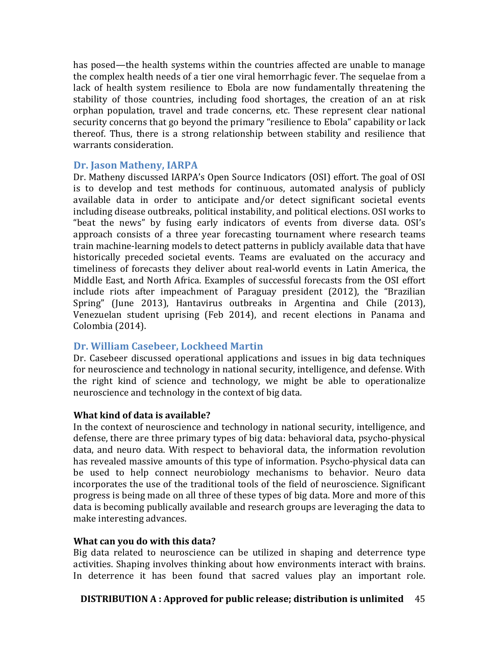has posed—the health systems within the countries affected are unable to manage the complex health needs of a tier one viral hemorrhagic fever. The sequelae from a lack of health system resilience to Ebola are now fundamentally threatening the stability of those countries, including food shortages, the creation of an at risk orphan population, travel and trade concerns, etc. These represent clear national security concerns that go beyond the primary "resilience to Ebola" capability or lack thereof. Thus, there is a strong relationship between stability and resilience that warrants consideration.

#### **Dr. Jason Matheny, IARPA**

Dr. Matheny discussed IARPA's Open Source Indicators (OSI) effort. The goal of OSI is to develop and test methods for continuous, automated analysis of publicly available data in order to anticipate and/or detect significant societal events including disease outbreaks, political instability, and political elections. OSI works to "beat the news" by fusing early indicators of events from diverse data. OSI's approach consists of a three year forecasting tournament where research teams train machine-learning models to detect patterns in publicly available data that have historically preceded societal events. Teams are evaluated on the accuracy and timeliness of forecasts they deliver about real-world events in Latin America, the Middle East, and North Africa. Examples of successful forecasts from the OSI effort include riots after impeachment of Paraguay president  $(2012)$ , the "Brazilian Spring" (June 2013), Hantavirus outbreaks in Argentina and Chile (2013), Venezuelan student uprising (Feb 2014), and recent elections in Panama and Colombia (2014).

# **Dr. William Casebeer, Lockheed Martin**

Dr. Casebeer discussed operational applications and issues in big data techniques for neuroscience and technology in national security, intelligence, and defense. With the right kind of science and technology, we might be able to operationalize neuroscience and technology in the context of big data.

# **What kind of data is available?**

In the context of neuroscience and technology in national security, intelligence, and defense, there are three primary types of big data: behavioral data, psycho-physical data, and neuro data. With respect to behavioral data, the information revolution has revealed massive amounts of this type of information. Psycho-physical data can be used to help connect neurobiology mechanisms to behavior. Neuro data incorporates the use of the traditional tools of the field of neuroscience. Significant progress is being made on all three of these types of big data. More and more of this data is becoming publically available and research groups are leveraging the data to make interesting advances.

#### **What can you do with this data?**

Big data related to neuroscience can be utilized in shaping and deterrence type activities. Shaping involves thinking about how environments interact with brains. In deterrence it has been found that sacred values play an important role.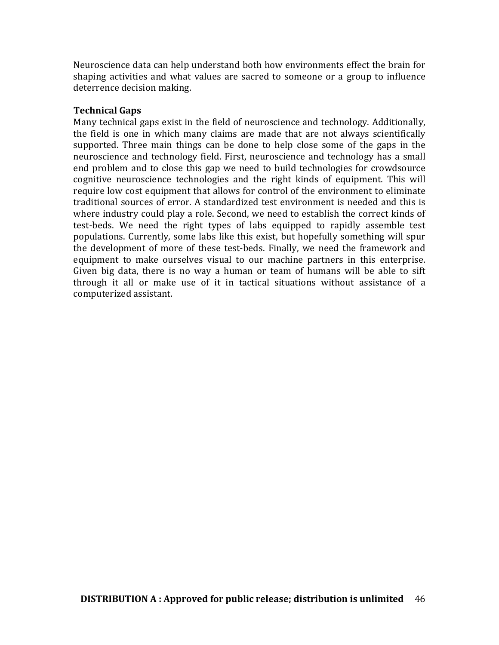Neuroscience data can help understand both how environments effect the brain for shaping activities and what values are sacred to someone or a group to influence deterrence decision making.

#### **Technical Gaps**

Many technical gaps exist in the field of neuroscience and technology. Additionally, the field is one in which many claims are made that are not always scientifically supported. Three main things can be done to help close some of the gaps in the neuroscience and technology field. First, neuroscience and technology has a small end problem and to close this gap we need to build technologies for crowdsource cognitive neuroscience technologies and the right kinds of equipment. This will require low cost equipment that allows for control of the environment to eliminate traditional sources of error. A standardized test environment is needed and this is where industry could play a role. Second, we need to establish the correct kinds of test-beds. We need the right types of labs equipped to rapidly assemble test populations. Currently, some labs like this exist, but hopefully something will spur the development of more of these test-beds. Finally, we need the framework and equipment to make ourselves visual to our machine partners in this enterprise. Given big data, there is no way a human or team of humans will be able to sift through it all or make use of it in tactical situations without assistance of a computerized assistant.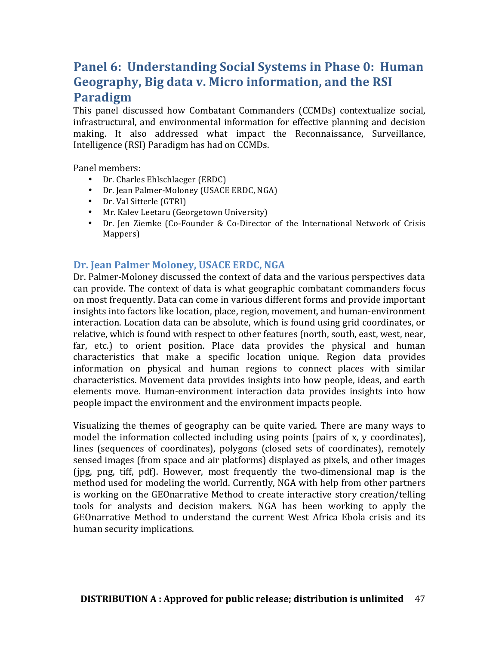# **Panel 6: Understanding Social Systems in Phase 0: Human Geography, Big data v. Micro information, and the RSI Paradigm**

This panel discussed how Combatant Commanders (CCMDs) contextualize social, infrastructural, and environmental information for effective planning and decision making. It also addressed what impact the Reconnaissance, Surveillance, Intelligence (RSI) Paradigm has had on CCMDs.

Panel members:

- Dr. Charles Ehlschlaeger (ERDC)
- Dr. Jean Palmer-Moloney (USACE ERDC, NGA)
- Dr. Val Sitterle (GTRI)
- Mr. Kalev Leetaru (Georgetown University)
- Dr. Jen Ziemke (Co-Founder & Co-Director of the International Network of Crisis Mappers)

# **Dr. Jean Palmer Moloney, USACE ERDC, NGA**

Dr. Palmer-Moloney discussed the context of data and the various perspectives data can provide. The context of data is what geographic combatant commanders focus on most frequently. Data can come in various different forms and provide important insights into factors like location, place, region, movement, and human-environment interaction. Location data can be absolute, which is found using grid coordinates, or relative, which is found with respect to other features (north, south, east, west, near, far, etc.) to orient position. Place data provides the physical and human characteristics that make a specific location unique. Region data provides information on physical and human regions to connect places with similar characteristics. Movement data provides insights into how people, ideas, and earth elements move. Human-environment interaction data provides insights into how people impact the environment and the environment impacts people.

Visualizing the themes of geography can be quite varied. There are many ways to model the information collected including using points (pairs of x, y coordinates), lines (sequences of coordinates), polygons (closed sets of coordinates), remotely sensed images (from space and air platforms) displayed as pixels, and other images (ipg, png, tiff, pdf). However, most frequently the two-dimensional map is the method used for modeling the world. Currently, NGA with help from other partners is working on the GEOnarrative Method to create interactive story creation/telling tools for analysts and decision makers. NGA has been working to apply the GEOnarrative Method to understand the current West Africa Ebola crisis and its human security implications.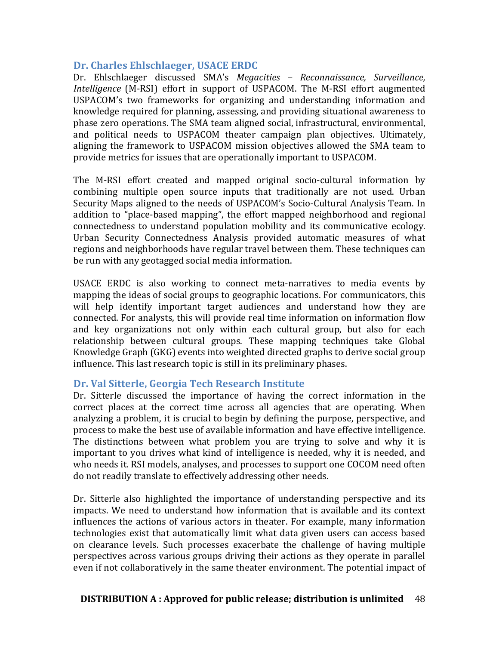## **Dr.** Charles Ehlschlaeger, USACE ERDC

Dr. Ehlschlaeger discussed SMA's *Megacities – Reconnaissance, Surveillance, Intelligence* (M-RSI) effort in support of USPACOM. The M-RSI effort augmented USPACOM's two frameworks for organizing and understanding information and knowledge required for planning, assessing, and providing situational awareness to phase zero operations. The SMA team aligned social, infrastructural, environmental, and political needs to USPACOM theater campaign plan objectives. Ultimately, aligning the framework to USPACOM mission objectives allowed the SMA team to provide metrics for issues that are operationally important to USPACOM.

The M-RSI effort created and mapped original socio-cultural information by combining multiple open source inputs that traditionally are not used. Urban Security Maps aligned to the needs of USPACOM's Socio-Cultural Analysis Team. In addition to "place-based mapping", the effort mapped neighborhood and regional connectedness to understand population mobility and its communicative ecology. Urban Security Connectedness Analysis provided automatic measures of what regions and neighborhoods have regular travel between them. These techniques can be run with any geotagged social media information.

USACE ERDC is also working to connect meta-narratives to media events by mapping the ideas of social groups to geographic locations. For communicators, this will help identify important target audiences and understand how they are connected. For analysts, this will provide real time information on information flow and key organizations not only within each cultural group, but also for each relationship between cultural groups. These mapping techniques take Global Knowledge Graph (GKG) events into weighted directed graphs to derive social group influence. This last research topic is still in its preliminary phases.

#### **Dr. Val Sitterle, Georgia Tech Research Institute**

Dr. Sitterle discussed the importance of having the correct information in the correct places at the correct time across all agencies that are operating. When analyzing a problem, it is crucial to begin by defining the purpose, perspective, and process to make the best use of available information and have effective intelligence. The distinctions between what problem you are trying to solve and why it is important to you drives what kind of intelligence is needed, why it is needed, and who needs it. RSI models, analyses, and processes to support one COCOM need often do not readily translate to effectively addressing other needs.

Dr. Sitterle also highlighted the importance of understanding perspective and its impacts. We need to understand how information that is available and its context influences the actions of various actors in theater. For example, many information technologies exist that automatically limit what data given users can access based on clearance levels. Such processes exacerbate the challenge of having multiple perspectives across various groups driving their actions as they operate in parallel even if not collaboratively in the same theater environment. The potential impact of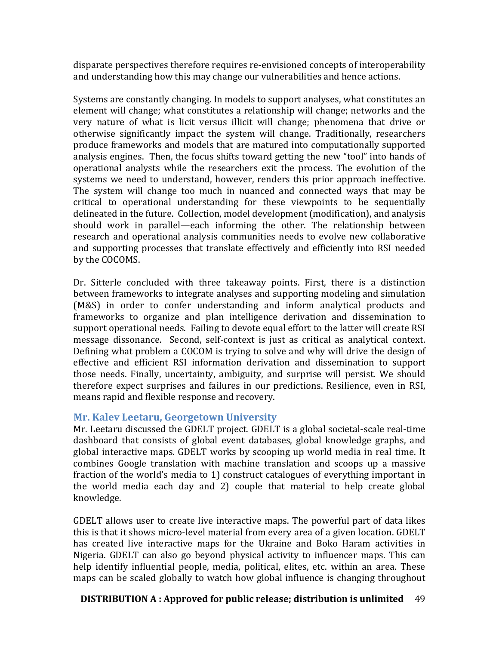disparate perspectives therefore requires re-envisioned concepts of interoperability and understanding how this may change our vulnerabilities and hence actions.

Systems are constantly changing. In models to support analyses, what constitutes an element will change; what constitutes a relationship will change; networks and the very nature of what is licit versus illicit will change; phenomena that drive or otherwise significantly impact the system will change. Traditionally, researchers produce frameworks and models that are matured into computationally supported analysis engines. Then, the focus shifts toward getting the new "tool" into hands of operational analysts while the researchers exit the process. The evolution of the systems we need to understand, however, renders this prior approach ineffective. The system will change too much in nuanced and connected ways that may be critical to operational understanding for these viewpoints to be sequentially delineated in the future. Collection, model development (modification), and analysis should work in parallel—each informing the other. The relationship between research and operational analysis communities needs to evolve new collaborative and supporting processes that translate effectively and efficiently into RSI needed by the COCOMS.

Dr. Sitterle concluded with three takeaway points. First, there is a distinction between frameworks to integrate analyses and supporting modeling and simulation (M&S) in order to confer understanding and inform analytical products and frameworks to organize and plan intelligence derivation and dissemination to support operational needs. Failing to devote equal effort to the latter will create RSI message dissonance. Second, self-context is just as critical as analytical context. Defining what problem a COCOM is trying to solve and why will drive the design of effective and efficient RSI information derivation and dissemination to support those needs. Finally, uncertainty, ambiguity, and surprise will persist. We should therefore expect surprises and failures in our predictions. Resilience, even in RSI, means rapid and flexible response and recovery.

#### **Mr. Kalev Leetaru, Georgetown University**

Mr. Leetaru discussed the GDELT project. GDELT is a global societal-scale real-time dashboard that consists of global event databases, global knowledge graphs, and global interactive maps. GDELT works by scooping up world media in real time. It combines Google translation with machine translation and scoops up a massive fraction of the world's media to 1) construct catalogues of everything important in the world media each day and 2) couple that material to help create global knowledge. 

GDELT allows user to create live interactive maps. The powerful part of data likes this is that it shows micro-level material from every area of a given location. GDELT has created live interactive maps for the Ukraine and Boko Haram activities in Nigeria. GDELT can also go beyond physical activity to influencer maps. This can help identify influential people, media, political, elites, etc. within an area. These maps can be scaled globally to watch how global influence is changing throughout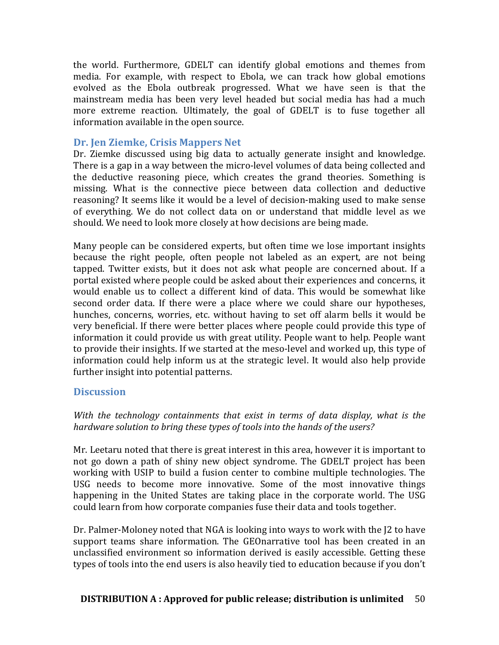the world. Furthermore, GDELT can identify global emotions and themes from media. For example, with respect to Ebola, we can track how global emotions evolved as the Ebola outbreak progressed. What we have seen is that the mainstream media has been very level headed but social media has had a much more extreme reaction. Ultimately, the goal of GDELT is to fuse together all information available in the open source.

## **Dr. Jen Ziemke, Crisis Mappers Net**

Dr. Ziemke discussed using big data to actually generate insight and knowledge. There is a gap in a way between the micro-level volumes of data being collected and the deductive reasoning piece, which creates the grand theories. Something is missing. What is the connective piece between data collection and deductive reasoning? It seems like it would be a level of decision-making used to make sense of everything. We do not collect data on or understand that middle level as we should. We need to look more closely at how decisions are being made.

Many people can be considered experts, but often time we lose important insights because the right people, often people not labeled as an expert, are not being tapped. Twitter exists, but it does not ask what people are concerned about. If a portal existed where people could be asked about their experiences and concerns, it would enable us to collect a different kind of data. This would be somewhat like second order data. If there were a place where we could share our hypotheses, hunches, concerns, worries, etc. without having to set off alarm bells it would be very beneficial. If there were better places where people could provide this type of information it could provide us with great utility. People want to help. People want to provide their insights. If we started at the meso-level and worked up, this type of information could help inform us at the strategic level. It would also help provide further insight into potential patterns.

#### **Discussion**

*With* the technology containments that exist in terms of data display, what is the hardware solution to bring these types of tools into the hands of the users?

Mr. Leetaru noted that there is great interest in this area, however it is important to not go down a path of shiny new object syndrome. The GDELT project has been working with USIP to build a fusion center to combine multiple technologies. The USG needs to become more innovative. Some of the most innovative things happening in the United States are taking place in the corporate world. The USG could learn from how corporate companies fuse their data and tools together.

Dr. Palmer-Moloney noted that NGA is looking into ways to work with the [2 to have support teams share information. The GEOnarrative tool has been created in an unclassified environment so information derived is easily accessible. Getting these types of tools into the end users is also heavily tied to education because if you don't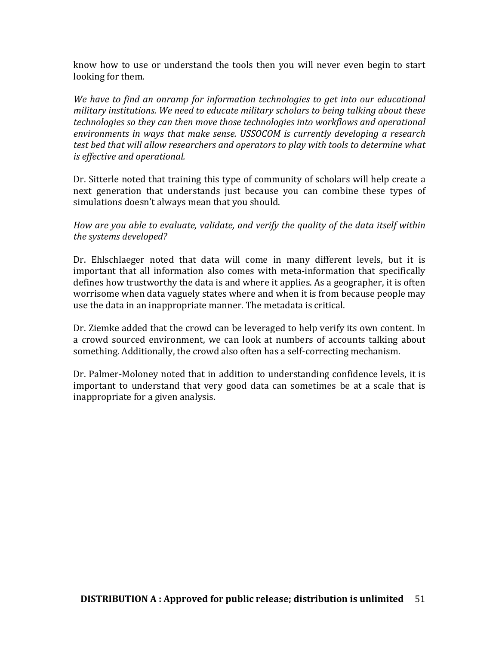know how to use or understand the tools then you will never even begin to start looking for them.

We have to find an onramp for information technologies to get into our educational *military institutions.* We need to educate military scholars to being talking about these *technologies so they can then move those technologies into workflows and operational environments in ways that make sense. USSOCOM is currently developing a research test bed that will allow researchers and operators to play with tools to determine what is* effective and operational.

Dr. Sitterle noted that training this type of community of scholars will help create a next generation that understands just because you can combine these types of simulations doesn't always mean that you should.

*How are you able to evaluate, validate, and verify the quality of the data itself within* the systems developed?

Dr. Ehlschlaeger noted that data will come in many different levels, but it is important that all information also comes with meta-information that specifically defines how trustworthy the data is and where it applies. As a geographer, it is often worrisome when data vaguely states where and when it is from because people may use the data in an inappropriate manner. The metadata is critical.

Dr. Ziemke added that the crowd can be leveraged to help verify its own content. In a crowd sourced environment, we can look at numbers of accounts talking about something. Additionally, the crowd also often has a self-correcting mechanism.

Dr. Palmer-Moloney noted that in addition to understanding confidence levels, it is important to understand that very good data can sometimes be at a scale that is inappropriate for a given analysis.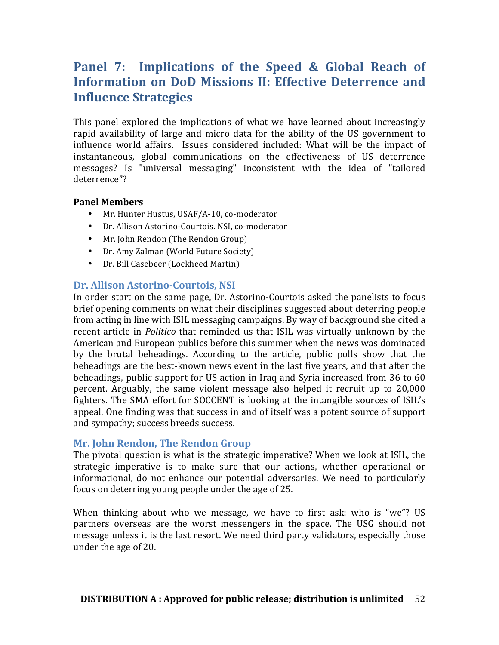# **Panel 7: Implications of the Speed & Global Reach of Information on DoD Missions II: Effective Deterrence and Influence Strategies**

This panel explored the implications of what we have learned about increasingly rapid availability of large and micro data for the ability of the US government to influence world affairs. Issues considered included: What will be the impact of instantaneous, global communications on the effectiveness of US deterrence messages? Is "universal messaging" inconsistent with the idea of "tailored deterrence"?

#### **Panel Members**

- Mr. Hunter Hustus, USAF/A-10, co-moderator
- Dr. Allison Astorino-Courtois. NSI, co-moderator
- Mr. John Rendon (The Rendon Group)
- Dr. Amy Zalman (World Future Society)
- Dr. Bill Casebeer (Lockheed Martin)

#### **Dr. Allison Astorino-Courtois, NSI**

In order start on the same page, Dr. Astorino-Courtois asked the panelists to focus brief opening comments on what their disciplines suggested about deterring people from acting in line with ISIL messaging campaigns. By way of background she cited a recent article in *Politico* that reminded us that ISIL was virtually unknown by the American and European publics before this summer when the news was dominated by the brutal beheadings. According to the article, public polls show that the beheadings are the best-known news event in the last five years, and that after the beheadings, public support for US action in Iraq and Syria increased from 36 to 60 percent. Arguably, the same violent message also helped it recruit up to 20,000 fighters. The SMA effort for SOCCENT is looking at the intangible sources of ISIL's appeal. One finding was that success in and of itself was a potent source of support and sympathy; success breeds success.

#### **Mr. John Rendon, The Rendon Group**

The pivotal question is what is the strategic imperative? When we look at ISIL, the strategic imperative is to make sure that our actions, whether operational or informational, do not enhance our potential adversaries. We need to particularly focus on deterring young people under the age of 25.

When thinking about who we message, we have to first ask: who is "we"? US partners overseas are the worst messengers in the space. The USG should not message unless it is the last resort. We need third party validators, especially those under the age of 20.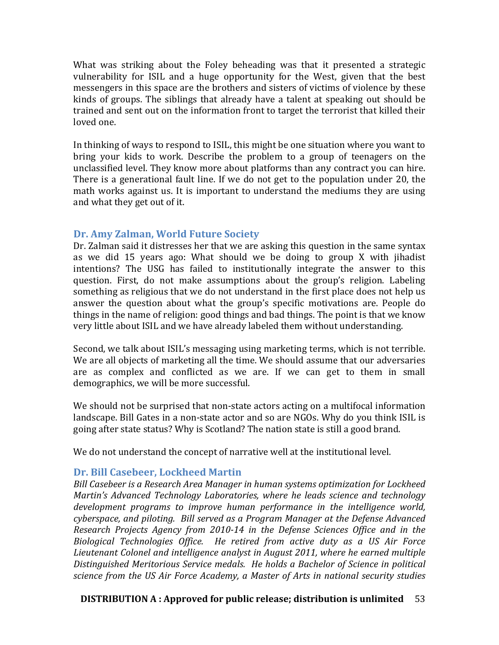What was striking about the Foley beheading was that it presented a strategic vulnerability for ISIL and a huge opportunity for the West, given that the best messengers in this space are the brothers and sisters of victims of violence by these kinds of groups. The siblings that already have a talent at speaking out should be trained and sent out on the information front to target the terrorist that killed their loved one.

In thinking of ways to respond to ISIL, this might be one situation where you want to bring your kids to work. Describe the problem to a group of teenagers on the unclassified level. They know more about platforms than any contract you can hire. There is a generational fault line. If we do not get to the population under 20, the math works against us. It is important to understand the mediums they are using and what they get out of it.

#### **Dr. Amy Zalman, World Future Society**

Dr. Zalman said it distresses her that we are asking this question in the same syntax as we did 15 years ago: What should we be doing to group X with jihadist intentions? The USG has failed to institutionally integrate the answer to this question. First, do not make assumptions about the group's religion. Labeling something as religious that we do not understand in the first place does not help us answer the question about what the group's specific motivations are. People do things in the name of religion: good things and bad things. The point is that we know very little about ISIL and we have already labeled them without understanding.

Second, we talk about ISIL's messaging using marketing terms, which is not terrible. We are all objects of marketing all the time. We should assume that our adversaries are as complex and conflicted as we are. If we can get to them in small demographics, we will be more successful.

We should not be surprised that non-state actors acting on a multifocal information landscape. Bill Gates in a non-state actor and so are NGOs. Why do you think ISIL is going after state status? Why is Scotland? The nation state is still a good brand.

We do not understand the concept of narrative well at the institutional level.

#### **Dr. Bill Casebeer, Lockheed Martin**

*Bill Casebeer is a Research Area Manager in human systems optimization for Lockheed Martin's Advanced Technology Laboratories, where he leads science and technology* development programs to *improve human performance in the intelligence world*, *cyberspace, and piloting. Bill served as a Program Manager at the Defense Advanced Research Projects Agency from 2010-14 in the Defense Sciences Office and in the Biological Technologies Office. He retired from active duty as a US Air Force* Lieutenant Colonel and intelligence analyst in August 2011, where he earned multiple Distinguished Meritorious Service medals. He holds a Bachelor of Science in political *science from the US Air Force Academy, a Master of Arts in national security studies*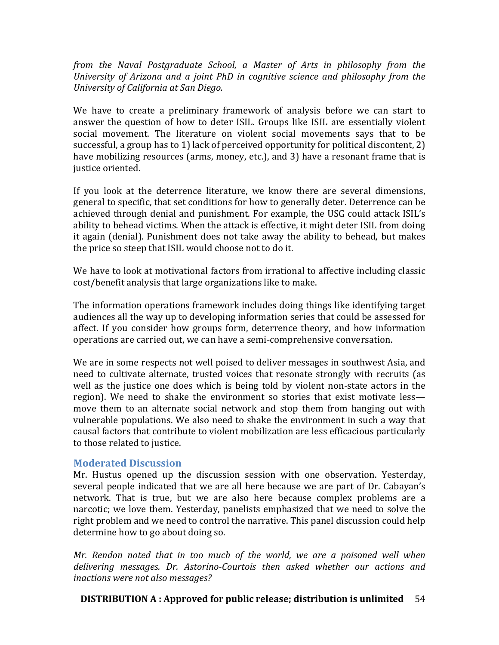*from the Naval Postgraduate School, a Master of Arts in philosophy from the University of Arizona and a joint PhD in cognitive science and philosophy from the University of California at San Diego.*

We have to create a preliminary framework of analysis before we can start to answer the question of how to deter ISIL. Groups like ISIL are essentially violent social movement. The literature on violent social movements says that to be successful, a group has to 1) lack of perceived opportunity for political discontent, 2) have mobilizing resources (arms, money, etc.), and 3) have a resonant frame that is justice oriented.

If you look at the deterrence literature, we know there are several dimensions, general to specific, that set conditions for how to generally deter. Deterrence can be achieved through denial and punishment. For example, the USG could attack ISIL's ability to behead victims. When the attack is effective, it might deter ISIL from doing it again (denial). Punishment does not take away the ability to behead, but makes the price so steep that ISIL would choose not to do it.

We have to look at motivational factors from irrational to affective including classic cost/benefit analysis that large organizations like to make.

The information operations framework includes doing things like identifying target audiences all the way up to developing information series that could be assessed for affect. If you consider how groups form, deterrence theory, and how information operations are carried out, we can have a semi-comprehensive conversation.

We are in some respects not well poised to deliver messages in southwest Asia, and need to cultivate alternate, trusted voices that resonate strongly with recruits (as well as the justice one does which is being told by violent non-state actors in the region). We need to shake the environment so stories that exist motivate less move them to an alternate social network and stop them from hanging out with vulnerable populations. We also need to shake the environment in such a way that causal factors that contribute to violent mobilization are less efficacious particularly to those related to justice.

#### **Moderated Discussion**

Mr. Hustus opened up the discussion session with one observation. Yesterday, several people indicated that we are all here because we are part of Dr. Cabayan's network. That is true, but we are also here because complex problems are a narcotic; we love them. Yesterday, panelists emphasized that we need to solve the right problem and we need to control the narrative. This panel discussion could help determine how to go about doing so.

*Mr.* Rendon noted that in too much of the world, we are a poisoned well when delivering messages. Dr. Astorino-Courtois then asked whether our actions and *inactions* were not also messages?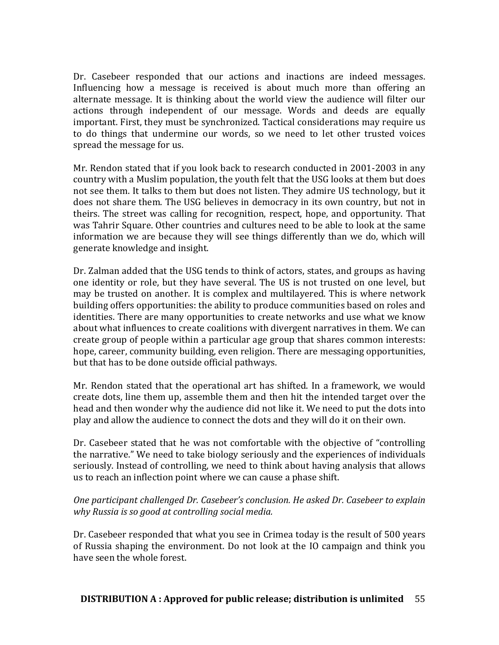Dr. Casebeer responded that our actions and inactions are indeed messages. Influencing how a message is received is about much more than offering an alternate message. It is thinking about the world view the audience will filter our actions through independent of our message. Words and deeds are equally important. First, they must be synchronized. Tactical considerations may require us to do things that undermine our words, so we need to let other trusted voices spread the message for us.

Mr. Rendon stated that if you look back to research conducted in 2001-2003 in any country with a Muslim population, the youth felt that the USG looks at them but does not see them. It talks to them but does not listen. They admire US technology, but it does not share them. The USG believes in democracy in its own country, but not in theirs. The street was calling for recognition, respect, hope, and opportunity. That was Tahrir Square. Other countries and cultures need to be able to look at the same information we are because they will see things differently than we do, which will generate knowledge and insight.

Dr. Zalman added that the USG tends to think of actors, states, and groups as having one identity or role, but they have several. The US is not trusted on one level, but may be trusted on another. It is complex and multilayered. This is where network building offers opportunities: the ability to produce communities based on roles and identities. There are many opportunities to create networks and use what we know about what influences to create coalitions with divergent narratives in them. We can create group of people within a particular age group that shares common interests: hope, career, community building, even religion. There are messaging opportunities, but that has to be done outside official pathways.

Mr. Rendon stated that the operational art has shifted. In a framework, we would create dots, line them up, assemble them and then hit the intended target over the head and then wonder why the audience did not like it. We need to put the dots into play and allow the audience to connect the dots and they will do it on their own.

Dr. Casebeer stated that he was not comfortable with the objective of "controlling" the narrative." We need to take biology seriously and the experiences of individuals seriously. Instead of controlling, we need to think about having analysis that allows us to reach an inflection point where we can cause a phase shift.

#### *One participant challenged Dr. Casebeer's conclusion. He asked Dr. Casebeer to explain why Russia is so good at controlling social media.*

Dr. Casebeer responded that what you see in Crimea today is the result of 500 years of Russia shaping the environment. Do not look at the IO campaign and think you have seen the whole forest.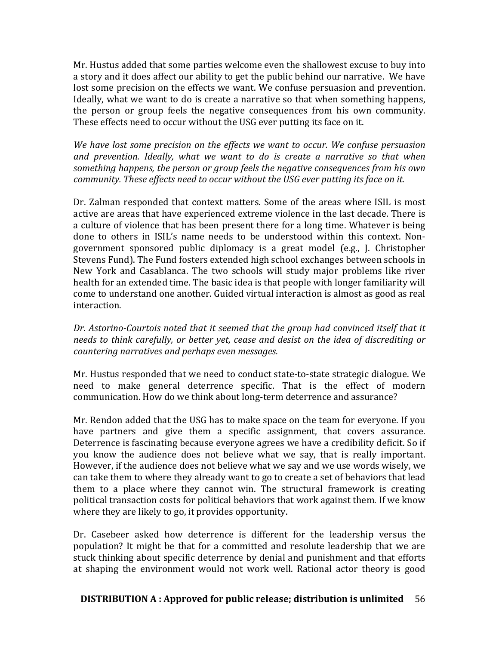Mr. Hustus added that some parties welcome even the shallowest excuse to buy into a story and it does affect our ability to get the public behind our narrative. We have lost some precision on the effects we want. We confuse persuasion and prevention. Ideally, what we want to do is create a narrative so that when something happens, the person or group feels the negative consequences from his own community. These effects need to occur without the USG ever putting its face on it.

We have lost some precision on the effects we want to occur. We confuse persuasion and prevention. Ideally, what we want to do is create a narrative so that when something happens, the person or group feels the negative consequences from his own *community. These effects need to occur without the USG ever putting its face on it.* 

Dr. Zalman responded that context matters. Some of the areas where ISIL is most active are areas that have experienced extreme violence in the last decade. There is a culture of violence that has been present there for a long time. Whatever is being done to others in ISIL's name needs to be understood within this context. Nongovernment sponsored public diplomacy is a great model (e.g., J. Christopher Stevens Fund). The Fund fosters extended high school exchanges between schools in New York and Casablanca. The two schools will study major problems like river health for an extended time. The basic idea is that people with longer familiarity will come to understand one another. Guided virtual interaction is almost as good as real interaction. 

Dr. Astorino-Courtois noted that it seemed that the group had convinced itself that it *needs* to think carefully, or better yet, cease and desist on the idea of discrediting or countering narratives and perhaps even messages.

Mr. Hustus responded that we need to conduct state-to-state strategic dialogue. We need to make general deterrence specific. That is the effect of modern communication. How do we think about long-term deterrence and assurance?

Mr. Rendon added that the USG has to make space on the team for everyone. If you have partners and give them a specific assignment, that covers assurance. Deterrence is fascinating because everyone agrees we have a credibility deficit. So if you know the audience does not believe what we say, that is really important. However, if the audience does not believe what we say and we use words wisely, we can take them to where they already want to go to create a set of behaviors that lead them to a place where they cannot win. The structural framework is creating political transaction costs for political behaviors that work against them. If we know where they are likely to go, it provides opportunity.

Dr. Casebeer asked how deterrence is different for the leadership versus the population? It might be that for a committed and resolute leadership that we are stuck thinking about specific deterrence by denial and punishment and that efforts at shaping the environment would not work well. Rational actor theory is good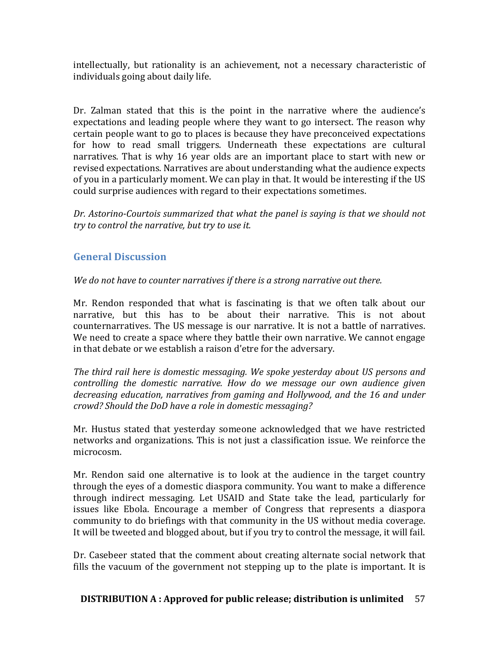intellectually, but rationality is an achievement, not a necessary characteristic of individuals going about daily life.

Dr. Zalman stated that this is the point in the narrative where the audience's expectations and leading people where they want to go intersect. The reason why certain people want to go to places is because they have preconceived expectations for how to read small triggers. Underneath these expectations are cultural narratives. That is why 16 year olds are an important place to start with new or revised expectations. Narratives are about understanding what the audience expects of you in a particularly moment. We can play in that. It would be interesting if the US could surprise audiences with regard to their expectations sometimes.

Dr. Astorino-Courtois summarized that what the panel is saying is that we should not *try* to control the narrative, but try to use it.

# **General Discussion**

*We do not have to counter narratives if there is a strong narrative out there.* 

Mr. Rendon responded that what is fascinating is that we often talk about our narrative, but this has to be about their narrative. This is not about counternarratives. The US message is our narrative. It is not a battle of narratives. We need to create a space where they battle their own narrative. We cannot engage in that debate or we establish a raison d'etre for the adversary.

*The third rail here is domestic messaging. We spoke yesterday about US persons and controlling the domestic narrative. How do we message our own audience given* decreasing education, narratives from gaming and Hollywood, and the 16 and under *crowd? Should the DoD have a role in domestic messaging?*

Mr. Hustus stated that yesterday someone acknowledged that we have restricted networks and organizations. This is not just a classification issue. We reinforce the microcosm. 

Mr. Rendon said one alternative is to look at the audience in the target country through the eyes of a domestic diaspora community. You want to make a difference through indirect messaging. Let USAID and State take the lead, particularly for issues like Ebola. Encourage a member of Congress that represents a diaspora community to do briefings with that community in the US without media coverage. It will be tweeted and blogged about, but if you try to control the message, it will fail.

Dr. Casebeer stated that the comment about creating alternate social network that fills the vacuum of the government not stepping up to the plate is important. It is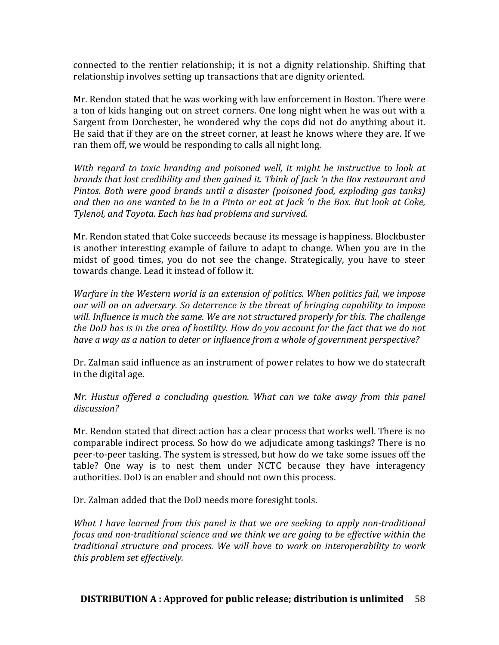connected to the rentier relationship; it is not a dignity relationship. Shifting that relationship involves setting up transactions that are dignity oriented.

Mr. Rendon stated that he was working with law enforcement in Boston. There were a ton of kids hanging out on street corners. One long night when he was out with a Sargent from Dorchester, he wondered why the cops did not do anything about it. He said that if they are on the street corner, at least he knows where they are. If we ran them off, we would be responding to calls all night long.

*With regard to toxic branding and poisoned well, it might be instructive to look at brands that lost credibility and then gained it. Think of Jack 'n the Box restaurant and Pintos.* Both were good brands until a disaster (poisoned food, exploding gas tanks) and then no one wanted to be in a Pinto or eat at *Jack* 'n the Box. But look at Coke, *Tylenol, and Toyota. Each has had problems and survived.* 

Mr. Rendon stated that Coke succeeds because its message is happiness. Blockbuster is another interesting example of failure to adapt to change. When you are in the midst of good times, you do not see the change. Strategically, you have to steer towards change. Lead it instead of follow it.

*Warfare in the Western world is an extension of politics. When politics fail, we impose our* will on an adversary. So deterrence is the threat of bringing capability to impose will. Influence is much the same. We are not structured properly for this. The challenge *the DoD has is in the area of hostility. How do you account for the fact that we do not* have a way as a nation to deter or influence from a whole of government perspective?

Dr. Zalman said influence as an instrument of power relates to how we do statecraft in the digital age.

*Mr.* Hustus offered a concluding question. What can we take away from this panel *discussion?* 

Mr. Rendon stated that direct action has a clear process that works well. There is no comparable indirect process. So how do we adjudicate among taskings? There is no peer-to-peer tasking. The system is stressed, but how do we take some issues off the table? One way is to nest them under NCTC because they have interagency authorities. DoD is an enabler and should not own this process.

Dr. Zalman added that the DoD needs more foresight tools.

*What I have learned from this panel is that we are seeking to apply non-traditional focus and non-traditional science and we think we are going to be effective within the traditional structure and process. We will have to work on interoperability to work this problem set effectively.*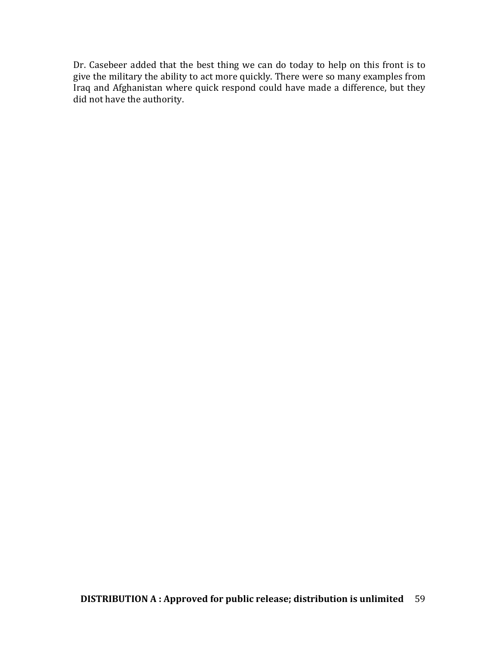Dr. Casebeer added that the best thing we can do today to help on this front is to give the military the ability to act more quickly. There were so many examples from Iraq and Afghanistan where quick respond could have made a difference, but they did not have the authority.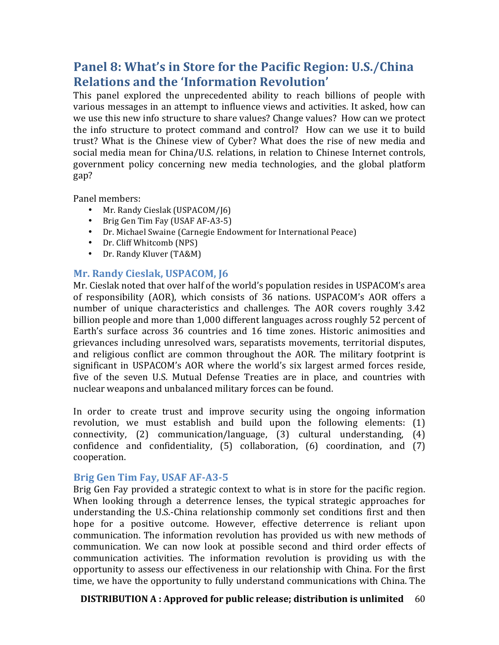# **Panel 8: What's in Store for the Pacific Region: U.S./China Relations and the 'Information Revolution'**

This panel explored the unprecedented ability to reach billions of people with various messages in an attempt to influence views and activities. It asked, how can we use this new info structure to share values? Change values? How can we protect the info structure to protect command and control? How can we use it to build trust? What is the Chinese view of Cyber? What does the rise of new media and social media mean for China/U.S. relations, in relation to Chinese Internet controls, government policy concerning new media technologies, and the global platform gap?

Panel members:

- Mr. Randy Cieslak (USPACOM/J6)
- Brig Gen Tim Fay (USAF AF-A3-5)
- Dr. Michael Swaine (Carnegie Endowment for International Peace)
- Dr. Cliff Whitcomb (NPS)
- Dr. Randy Kluver (TA&M)

## **Mr. Randy Cieslak, USPACOM, 16**

Mr. Cieslak noted that over half of the world's population resides in USPACOM's area of responsibility (AOR), which consists of 36 nations. USPACOM's AOR offers a number of unique characteristics and challenges. The AOR covers roughly 3.42 billion people and more than 1,000 different languages across roughly 52 percent of Earth's surface across 36 countries and 16 time zones. Historic animosities and grievances including unresolved wars, separatists movements, territorial disputes, and religious conflict are common throughout the AOR. The military footprint is significant in USPACOM's AOR where the world's six largest armed forces reside, five of the seven U.S. Mutual Defense Treaties are in place, and countries with nuclear weapons and unbalanced military forces can be found.

In order to create trust and improve security using the ongoing information revolution, we must establish and build upon the following elements:  $(1)$ connectivity,  $(2)$  communication/language,  $(3)$  cultural understanding,  $(4)$ confidence and confidentiality,  $(5)$  collaboration,  $(6)$  coordination, and  $(7)$ cooperation. 

#### **Brig Gen Tim Fay, USAF AF-A3-5**

Brig Gen Fay provided a strategic context to what is in store for the pacific region. When looking through a deterrence lenses, the typical strategic approaches for understanding the U.S.-China relationship commonly set conditions first and then hope for a positive outcome. However, effective deterrence is reliant upon communication. The information revolution has provided us with new methods of communication. We can now look at possible second and third order effects of communication activities. The information revolution is providing us with the opportunity to assess our effectiveness in our relationship with China. For the first time, we have the opportunity to fully understand communications with China. The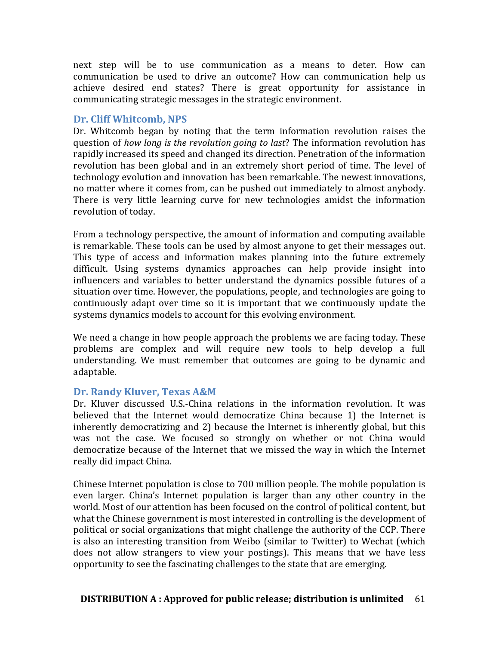next step will be to use communication as a means to deter. How can communication be used to drive an outcome? How can communication help us achieve desired end states? There is great opportunity for assistance in communicating strategic messages in the strategic environment.

### Dr. Cliff Whitcomb, NPS

Dr. Whitcomb began by noting that the term information revolution raises the question of *how long is the revolution going to last*? The information revolution has rapidly increased its speed and changed its direction. Penetration of the information revolution has been global and in an extremely short period of time. The level of technology evolution and innovation has been remarkable. The newest innovations, no matter where it comes from, can be pushed out immediately to almost anybody. There is very little learning curve for new technologies amidst the information revolution of today.

From a technology perspective, the amount of information and computing available is remarkable. These tools can be used by almost anyone to get their messages out. This type of access and information makes planning into the future extremely difficult. Using systems dynamics approaches can help provide insight into influencers and variables to better understand the dynamics possible futures of a situation over time. However, the populations, people, and technologies are going to continuously adapt over time so it is important that we continuously update the systems dynamics models to account for this evolving environment.

We need a change in how people approach the problems we are facing today. These problems are complex and will require new tools to help develop a full understanding. We must remember that outcomes are going to be dynamic and adaptable. 

# **Dr. Randy Kluver, Texas A&M**

Dr. Kluver discussed U.S.-China relations in the information revolution. It was believed that the Internet would democratize China because 1) the Internet is inherently democratizing and 2) because the Internet is inherently global, but this was not the case. We focused so strongly on whether or not China would democratize because of the Internet that we missed the way in which the Internet really did impact China.

Chinese Internet population is close to  $700$  million people. The mobile population is even larger. China's Internet population is larger than any other country in the world. Most of our attention has been focused on the control of political content, but what the Chinese government is most interested in controlling is the development of political or social organizations that might challenge the authority of the CCP. There is also an interesting transition from Weibo (similar to Twitter) to Wechat (which does not allow strangers to view your postings). This means that we have less opportunity to see the fascinating challenges to the state that are emerging.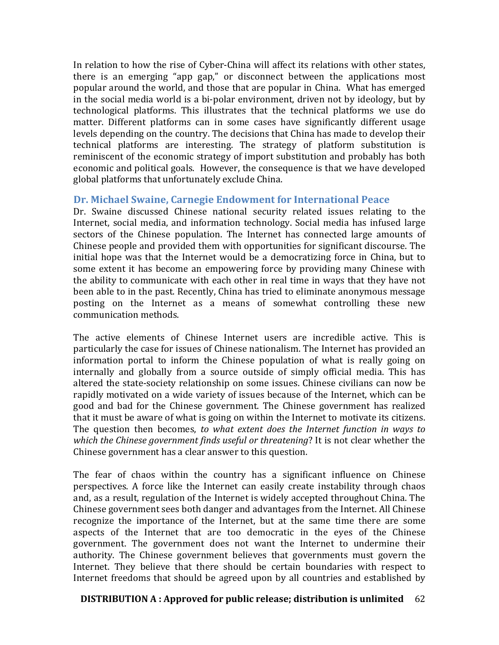In relation to how the rise of Cyber-China will affect its relations with other states, there is an emerging "app gap," or disconnect between the applications most popular around the world, and those that are popular in China. What has emerged in the social media world is a bi-polar environment, driven not by ideology, but by technological platforms. This illustrates that the technical platforms we use do matter. Different platforms can in some cases have significantly different usage levels depending on the country. The decisions that China has made to develop their technical platforms are interesting. The strategy of platform substitution is reminiscent of the economic strategy of import substitution and probably has both economic and political goals. However, the consequence is that we have developed global platforms that unfortunately exclude China.

## **Dr. Michael Swaine, Carnegie Endowment for International Peace**

Dr. Swaine discussed Chinese national security related issues relating to the Internet, social media, and information technology. Social media has infused large sectors of the Chinese population. The Internet has connected large amounts of Chinese people and provided them with opportunities for significant discourse. The initial hope was that the Internet would be a democratizing force in China, but to some extent it has become an empowering force by providing many Chinese with the ability to communicate with each other in real time in ways that they have not been able to in the past. Recently, China has tried to eliminate anonymous message posting on the Internet as a means of somewhat controlling these new communication methods.

The active elements of Chinese Internet users are incredible active. This is particularly the case for issues of Chinese nationalism. The Internet has provided an information portal to inform the Chinese population of what is really going on internally and globally from a source outside of simply official media. This has altered the state-society relationship on some issues. Chinese civilians can now be rapidly motivated on a wide variety of issues because of the Internet, which can be good and bad for the Chinese government. The Chinese government has realized that it must be aware of what is going on within the Internet to motivate its citizens. The question then becomes, *to what extent does the Internet function in ways to which the Chinese government finds useful or threatening*? It is not clear whether the Chinese government has a clear answer to this question.

The fear of chaos within the country has a significant influence on Chinese perspectives. A force like the Internet can easily create instability through chaos and, as a result, regulation of the Internet is widely accepted throughout China. The Chinese government sees both danger and advantages from the Internet. All Chinese recognize the importance of the Internet, but at the same time there are some aspects of the Internet that are too democratic in the eyes of the Chinese government. The government does not want the Internet to undermine their authority. The Chinese government believes that governments must govern the Internet. They believe that there should be certain boundaries with respect to Internet freedoms that should be agreed upon by all countries and established by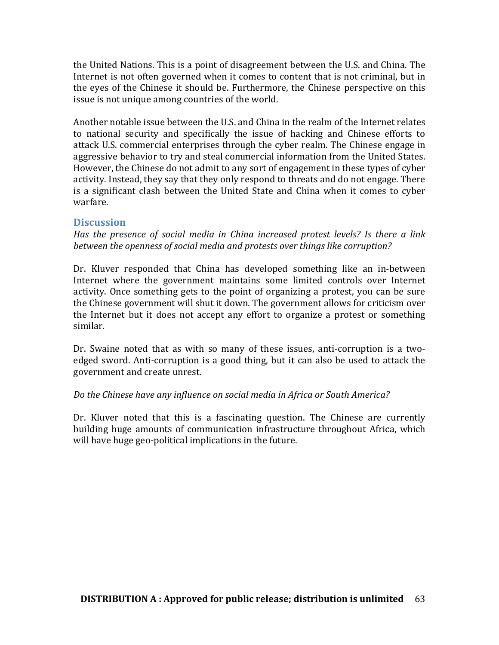the United Nations. This is a point of disagreement between the U.S. and China. The Internet is not often governed when it comes to content that is not criminal, but in the eyes of the Chinese it should be. Furthermore, the Chinese perspective on this issue is not unique among countries of the world.

Another notable issue between the U.S. and China in the realm of the Internet relates to national security and specifically the issue of hacking and Chinese efforts to attack U.S. commercial enterprises through the cyber realm. The Chinese engage in aggressive behavior to try and steal commercial information from the United States. However, the Chinese do not admit to any sort of engagement in these types of cyber activity. Instead, they say that they only respond to threats and do not engage. There is a significant clash between the United State and China when it comes to cyber warfare. 

#### **Discussion**

*Has* the presence of social media in China increased protest levels? Is there a link *between the openness of social media and protests over things like corruption?* 

Dr. Kluver responded that China has developed something like an in-between Internet where the government maintains some limited controls over Internet activity. Once something gets to the point of organizing a protest, you can be sure the Chinese government will shut it down. The government allows for criticism over the Internet but it does not accept any effort to organize a protest or something similar. 

Dr. Swaine noted that as with so many of these issues, anti-corruption is a twoedged sword. Anti-corruption is a good thing, but it can also be used to attack the government and create unrest.

#### Do the Chinese have any influence on social media in Africa or South America?

Dr. Kluver noted that this is a fascinating question. The Chinese are currently building huge amounts of communication infrastructure throughout Africa, which will have huge geo-political implications in the future.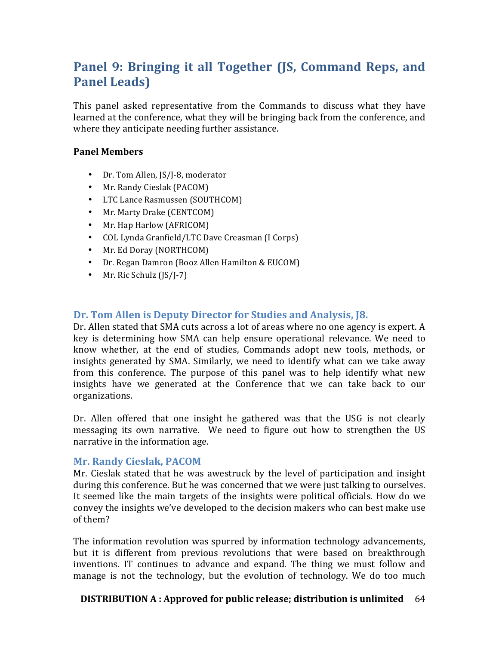# **Panel 9: Bringing it all Together (IS, Command Reps, and Panel Leads)**

This panel asked representative from the Commands to discuss what they have learned at the conference, what they will be bringing back from the conference, and where they anticipate needing further assistance.

#### **Panel Members**

- Dr. Tom Allen, JS/J-8, moderator
- Mr. Randy Cieslak (PACOM)
- LTC Lance Rasmussen (SOUTHCOM)
- Mr. Marty Drake (CENTCOM)
- Mr. Hap Harlow (AFRICOM)
- COL Lynda Granfield/LTC Dave Creasman (I Corps)
- Mr. Ed Doray (NORTHCOM)
- Dr. Regan Damron (Booz Allen Hamilton & EUCOM)
- Mr. Ric Schulz  $(IS/I-7)$

# **Dr. Tom Allen is Deputy Director for Studies and Analysis, 18.**

Dr. Allen stated that SMA cuts across a lot of areas where no one agency is expert. A key is determining how SMA can help ensure operational relevance. We need to know whether, at the end of studies, Commands adopt new tools, methods, or insights generated by SMA. Similarly, we need to identify what can we take away from this conference. The purpose of this panel was to help identify what new insights have we generated at the Conference that we can take back to our organizations.

Dr. Allen offered that one insight he gathered was that the USG is not clearly messaging its own narrative. We need to figure out how to strengthen the US narrative in the information age.

#### **Mr. Randy Cieslak, PACOM**

Mr. Cieslak stated that he was awestruck by the level of participation and insight during this conference. But he was concerned that we were just talking to ourselves. It seemed like the main targets of the insights were political officials. How do we convey the insights we've developed to the decision makers who can best make use of them?

The information revolution was spurred by information technology advancements, but it is different from previous revolutions that were based on breakthrough inventions. IT continues to advance and expand. The thing we must follow and manage is not the technology, but the evolution of technology. We do too much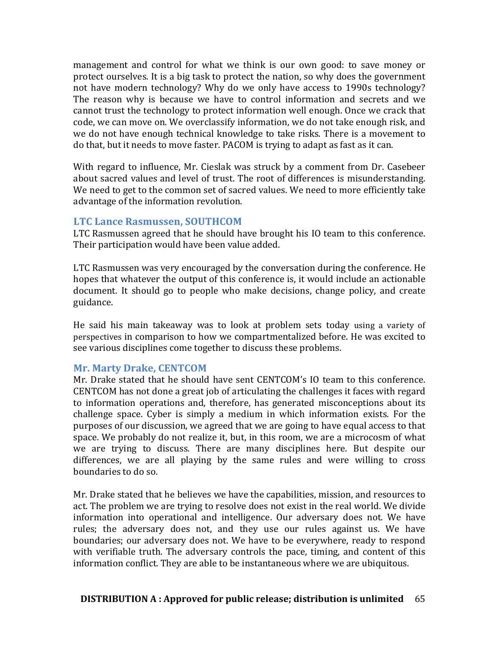management and control for what we think is our own good: to save money or protect ourselves. It is a big task to protect the nation, so why does the government not have modern technology? Why do we only have access to 1990s technology? The reason why is because we have to control information and secrets and we cannot trust the technology to protect information well enough. Once we crack that code, we can move on. We overclassify information, we do not take enough risk, and we do not have enough technical knowledge to take risks. There is a movement to do that, but it needs to move faster. PACOM is trying to adapt as fast as it can.

With regard to influence, Mr. Cieslak was struck by a comment from Dr. Casebeer about sacred values and level of trust. The root of differences is misunderstanding. We need to get to the common set of sacred values. We need to more efficiently take advantage of the information revolution.

#### **LTC Lance Rasmussen, SOUTHCOM**

LTC Rasmussen agreed that he should have brought his IO team to this conference. Their participation would have been value added.

LTC Rasmussen was very encouraged by the conversation during the conference. He hopes that whatever the output of this conference is, it would include an actionable document. It should go to people who make decisions, change policy, and create guidance. 

He said his main takeaway was to look at problem sets today using a variety of perspectives in comparison to how we compartmentalized before. He was excited to see various disciplines come together to discuss these problems.

#### **Mr. Marty Drake, CENTCOM**

Mr. Drake stated that he should have sent CENTCOM's IO team to this conference. CENTCOM has not done a great job of articulating the challenges it faces with regard to information operations and, therefore, has generated misconceptions about its challenge space. Cyber is simply a medium in which information exists. For the purposes of our discussion, we agreed that we are going to have equal access to that space. We probably do not realize it, but, in this room, we are a microcosm of what we are trying to discuss. There are many disciplines here. But despite our differences, we are all playing by the same rules and were willing to cross boundaries to do so.

Mr. Drake stated that he believes we have the capabilities, mission, and resources to act. The problem we are trying to resolve does not exist in the real world. We divide information into operational and intelligence. Our adversary does not. We have rules; the adversary does not, and they use our rules against us. We have boundaries; our adversary does not. We have to be everywhere, ready to respond with verifiable truth. The adversary controls the pace, timing, and content of this information conflict. They are able to be instantaneous where we are ubiquitous.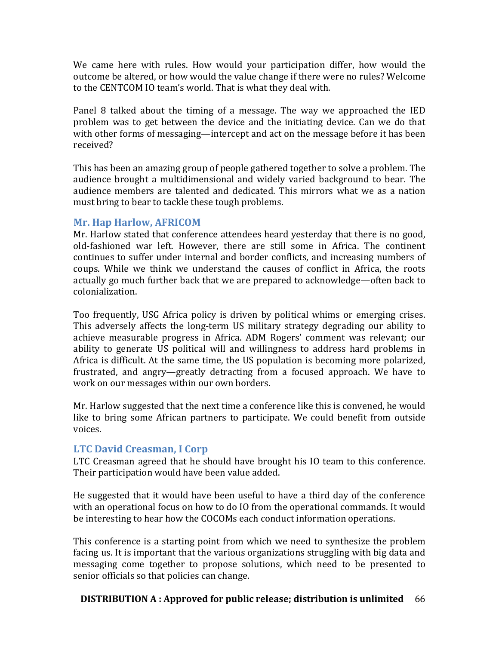We came here with rules. How would your participation differ, how would the outcome be altered, or how would the value change if there were no rules? Welcome to the CENTCOM IO team's world. That is what they deal with.

Panel 8 talked about the timing of a message. The way we approached the IED problem was to get between the device and the initiating device. Can we do that with other forms of messaging—intercept and act on the message before it has been received?

This has been an amazing group of people gathered together to solve a problem. The audience brought a multidimensional and widely varied background to bear. The audience members are talented and dedicated. This mirrors what we as a nation must bring to bear to tackle these tough problems.

## **Mr. Hap Harlow, AFRICOM**

Mr. Harlow stated that conference attendees heard yesterday that there is no good, old-fashioned war left. However, there are still some in Africa. The continent continues to suffer under internal and border conflicts, and increasing numbers of coups. While we think we understand the causes of conflict in Africa, the roots actually go much further back that we are prepared to acknowledge—often back to colonialization.

Too frequently, USG Africa policy is driven by political whims or emerging crises. This adversely affects the long-term US military strategy degrading our ability to achieve measurable progress in Africa. ADM Rogers' comment was relevant; our ability to generate US political will and willingness to address hard problems in Africa is difficult. At the same time, the US population is becoming more polarized, frustrated, and angry—greatly detracting from a focused approach. We have to work on our messages within our own borders.

Mr. Harlow suggested that the next time a conference like this is convened, he would like to bring some African partners to participate. We could benefit from outside voices.

# **LTC David Creasman, I Corp**

LTC Creasman agreed that he should have brought his IO team to this conference. Their participation would have been value added.

He suggested that it would have been useful to have a third day of the conference with an operational focus on how to do IO from the operational commands. It would be interesting to hear how the COCOMs each conduct information operations.

This conference is a starting point from which we need to synthesize the problem facing us. It is important that the various organizations struggling with big data and messaging come together to propose solutions, which need to be presented to senior officials so that policies can change.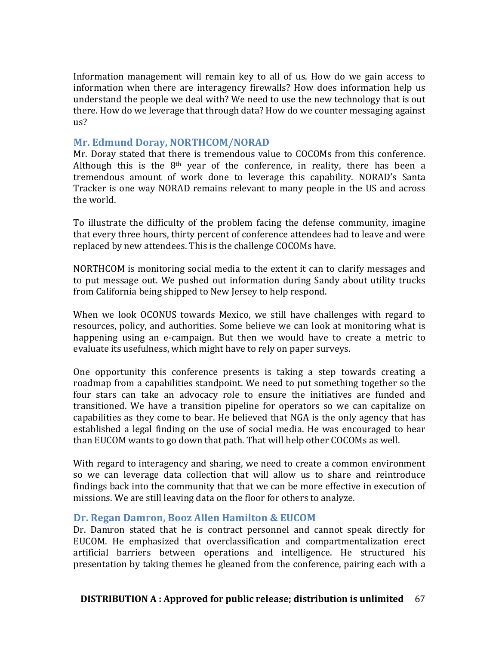Information management will remain key to all of us. How do we gain access to information when there are interagency firewalls? How does information help us understand the people we deal with? We need to use the new technology that is out there. How do we leverage that through data? How do we counter messaging against us?

## **Mr. Edmund Doray, NORTHCOM/NORAD**

Mr. Doray stated that there is tremendous value to COCOMs from this conference. Although this is the  $8<sup>th</sup>$  year of the conference, in reality, there has been a tremendous amount of work done to leverage this capability. NORAD's Santa Tracker is one way NORAD remains relevant to many people in the US and across the world.

To illustrate the difficulty of the problem facing the defense community, imagine that every three hours, thirty percent of conference attendees had to leave and were replaced by new attendees. This is the challenge COCOMs have.

NORTHCOM is monitoring social media to the extent it can to clarify messages and to put message out. We pushed out information during Sandy about utility trucks from California being shipped to New Jersey to help respond.

When we look OCONUS towards Mexico, we still have challenges with regard to resources, policy, and authorities. Some believe we can look at monitoring what is happening using an e-campaign. But then we would have to create a metric to evaluate its usefulness, which might have to rely on paper surveys.

One opportunity this conference presents is taking a step towards creating a roadmap from a capabilities standpoint. We need to put something together so the four stars can take an advocacy role to ensure the initiatives are funded and transitioned. We have a transition pipeline for operators so we can capitalize on capabilities as they come to bear. He believed that NGA is the only agency that has established a legal finding on the use of social media. He was encouraged to hear than EUCOM wants to go down that path. That will help other COCOMs as well.

With regard to interagency and sharing, we need to create a common environment so we can leverage data collection that will allow us to share and reintroduce findings back into the community that that we can be more effective in execution of missions. We are still leaving data on the floor for others to analyze.

#### Dr. Regan Damron, Booz Allen Hamilton & EUCOM

Dr. Damron stated that he is contract personnel and cannot speak directly for EUCOM. He emphasized that overclassification and compartmentalization erect artificial barriers between operations and intelligence. He structured his presentation by taking themes he gleaned from the conference, pairing each with a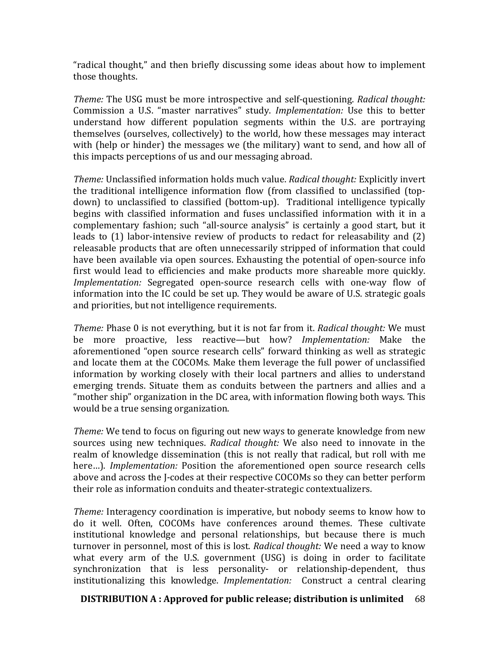"radical thought," and then briefly discussing some ideas about how to implement those thoughts.

*Theme:* The USG must be more introspective and self-questioning. *Radical thought:* Commission a U.S. "master narratives" study. *Implementation:* Use this to better understand how different population segments within the U.S. are portraying themselves (ourselves, collectively) to the world, how these messages may interact with (help or hinder) the messages we (the military) want to send, and how all of this impacts perceptions of us and our messaging abroad.

*Theme:* Unclassified information holds much value. *Radical thought:* Explicitly invert the traditional intelligence information flow (from classified to unclassified (topdown) to unclassified to classified (bottom-up). Traditional intelligence typically begins with classified information and fuses unclassified information with it in a complementary fashion; such "all-source analysis" is certainly a good start, but it leads to  $(1)$  labor-intensive review of products to redact for releasability and  $(2)$ releasable products that are often unnecessarily stripped of information that could have been available via open sources. Exhausting the potential of open-source info first would lead to efficiencies and make products more shareable more quickly. *Implementation:* Segregated open-source research cells with one-way flow of information into the IC could be set up. They would be aware of U.S. strategic goals and priorities, but not intelligence requirements.

*Theme:* Phase 0 is not everything, but it is not far from it. *Radical thought:* We must be more proactive, less reactive—but how? *Implementation:* Make the aforementioned "open source research cells" forward thinking as well as strategic and locate them at the COCOMs. Make them leverage the full power of unclassified information by working closely with their local partners and allies to understand emerging trends. Situate them as conduits between the partners and allies and a "mother ship" organization in the DC area, with information flowing both ways. This would be a true sensing organization.

*Theme:* We tend to focus on figuring out new ways to generate knowledge from new sources using new techniques. *Radical thought:* We also need to innovate in the realm of knowledge dissemination (this is not really that radical, but roll with me here...). *Implementation:* Position the aforementioned open source research cells above and across the J-codes at their respective COCOMs so they can better perform their role as information conduits and theater-strategic contextualizers.

*Theme:* Interagency coordination is imperative, but nobody seems to know how to do it well. Often, COCOMs have conferences around themes. These cultivate institutional knowledge and personal relationships, but because there is much turnover in personnel, most of this is lost. *Radical thought:* We need a way to know what every arm of the U.S. government  $(USG)$  is doing in order to facilitate synchronization that is less personality- or relationship-dependent, thus institutionalizing this knowledge. *Implementation:* Construct a central clearing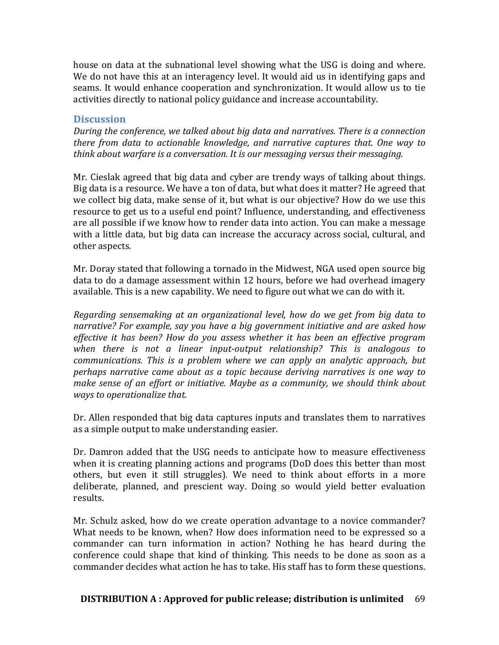house on data at the subnational level showing what the USG is doing and where. We do not have this at an interagency level. It would aid us in identifying gaps and seams. It would enhance cooperation and synchronization. It would allow us to tie activities directly to national policy guidance and increase accountability.

### **Discussion**

*During* the conference, we talked about big data and narratives. There is a connection *there from data to actionable knowledge, and narrative captures that. One way to think about warfare is a conversation. It is our messaging versus their messaging.* 

Mr. Cieslak agreed that big data and cyber are trendy ways of talking about things. Big data is a resource. We have a ton of data, but what does it matter? He agreed that we collect big data, make sense of it, but what is our objective? How do we use this resource to get us to a useful end point? Influence, understanding, and effectiveness are all possible if we know how to render data into action. You can make a message with a little data, but big data can increase the accuracy across social, cultural, and other aspects.

Mr. Doray stated that following a tornado in the Midwest, NGA used open source big data to do a damage assessment within 12 hours, before we had overhead imagery available. This is a new capability. We need to figure out what we can do with it.

*Regarding sensemaking at an organizational level, how do we get from big data to narrative?* For example, say you have a big government initiative and are asked how *effective it has been?* How do you assess whether it has been an effective program when there is not a linear input-output relationship? This is analogous to *communications.* This is a problem where we can apply an analytic approach, but *perhaps narrative came about as a topic because deriving narratives is one way to make sense of an effort or initiative. Maybe as a community, we should think about* ways to operationalize that.

Dr. Allen responded that big data captures inputs and translates them to narratives as a simple output to make understanding easier.

Dr. Damron added that the USG needs to anticipate how to measure effectiveness when it is creating planning actions and programs (DoD does this better than most others, but even it still struggles). We need to think about efforts in a more deliberate, planned, and prescient way. Doing so would yield better evaluation results.

Mr. Schulz asked, how do we create operation advantage to a novice commander? What needs to be known, when? How does information need to be expressed so a commander can turn information in action? Nothing he has heard during the conference could shape that kind of thinking. This needs to be done as soon as a commander decides what action he has to take. His staff has to form these questions.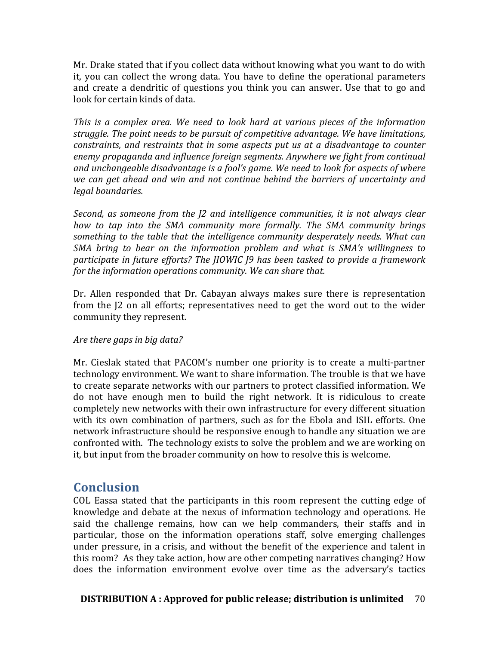Mr. Drake stated that if you collect data without knowing what you want to do with it, you can collect the wrong data. You have to define the operational parameters and create a dendritic of questions you think you can answer. Use that to go and look for certain kinds of data.

*This* is a complex area. We need to look hard at various pieces of the information *struggle.* The point needs to be pursuit of competitive advantage. We have limitations, *constraints, and restraints that in some aspects put us at a disadvantage to counter* enemy propaganda and *influence foreign segments.* Anywhere we fight from continual and unchangeable disadvantage is a fool's game. We need to look for aspects of where we can get ahead and win and not continue behind the barriers of uncertainty and legal boundaries.

*Second, as someone from the J2 and intelligence communities, it is not always clear how to tap into the SMA community more formally. The SMA community brings* something to the table that the *intelligence community desperately needs.* What can SMA bring to bear on the information problem and what is SMA's willingness to participate in future efforts? The *JIOWIC J9* has been tasked to provide a framework *for the information operations community. We can share that.* 

Dr. Allen responded that Dr. Cabayan always makes sure there is representation from the I2 on all efforts; representatives need to get the word out to the wider community they represent.

### Are there gaps in big data?

Mr. Cieslak stated that PACOM's number one priority is to create a multi-partner technology environment. We want to share information. The trouble is that we have to create separate networks with our partners to protect classified information. We do not have enough men to build the right network. It is ridiculous to create completely new networks with their own infrastructure for every different situation with its own combination of partners, such as for the Ebola and ISIL efforts. One network infrastructure should be responsive enough to handle any situation we are confronted with. The technology exists to solve the problem and we are working on it, but input from the broader community on how to resolve this is welcome.

## **Conclusion**

COL Eassa stated that the participants in this room represent the cutting edge of knowledge and debate at the nexus of information technology and operations. He said the challenge remains, how can we help commanders, their staffs and in particular, those on the information operations staff, solve emerging challenges under pressure, in a crisis, and without the benefit of the experience and talent in this room? As they take action, how are other competing narratives changing? How does the information environment evolve over time as the adversary's tactics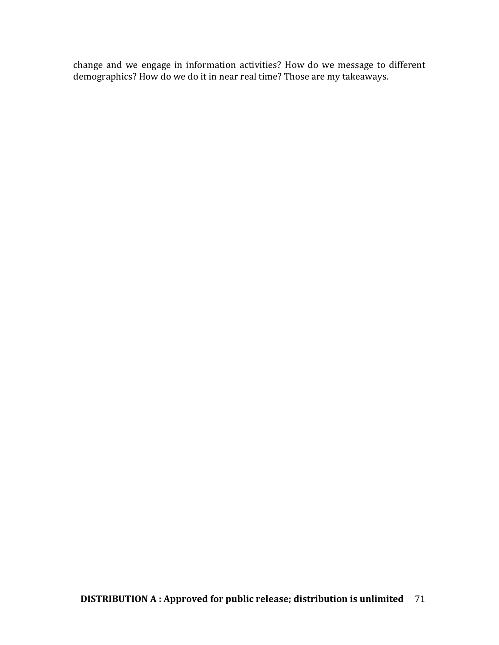change and we engage in information activities? How do we message to different demographics? How do we do it in near real time? Those are my takeaways.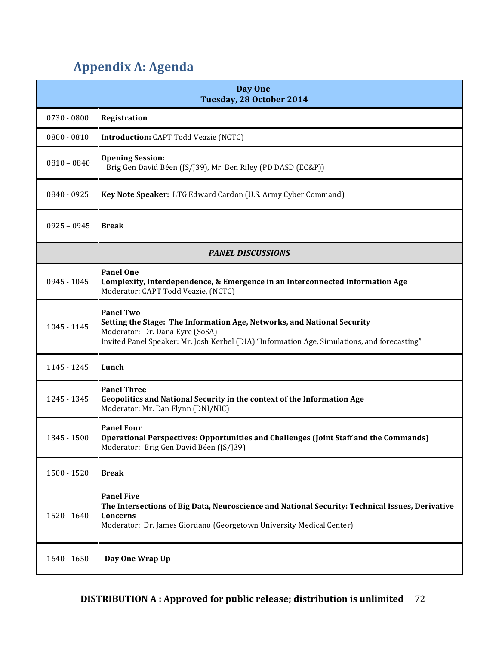# **Appendix A: Agenda**

| Day One<br>Tuesday, 28 October 2014 |                                                                                                                                                                                                                                |  |  |  |
|-------------------------------------|--------------------------------------------------------------------------------------------------------------------------------------------------------------------------------------------------------------------------------|--|--|--|
| $0730 - 0800$                       | Registration                                                                                                                                                                                                                   |  |  |  |
| $0800 - 0810$                       | <b>Introduction: CAPT Todd Veazie (NCTC)</b>                                                                                                                                                                                   |  |  |  |
| $0810 - 0840$                       | <b>Opening Session:</b><br>Brig Gen David Béen (JS/J39), Mr. Ben Riley (PD DASD (EC&P))                                                                                                                                        |  |  |  |
| 0840 - 0925                         | Key Note Speaker: LTG Edward Cardon (U.S. Army Cyber Command)                                                                                                                                                                  |  |  |  |
| $0925 - 0945$                       | <b>Break</b>                                                                                                                                                                                                                   |  |  |  |
| <b>PANEL DISCUSSIONS</b>            |                                                                                                                                                                                                                                |  |  |  |
| 0945 - 1045                         | <b>Panel One</b><br>Complexity, Interdependence, & Emergence in an Interconnected Information Age<br>Moderator: CAPT Todd Veazie, (NCTC)                                                                                       |  |  |  |
| 1045 - 1145                         | <b>Panel Two</b><br>Setting the Stage: The Information Age, Networks, and National Security<br>Moderator: Dr. Dana Eyre (SoSA)<br>Invited Panel Speaker: Mr. Josh Kerbel (DIA) "Information Age, Simulations, and forecasting" |  |  |  |
| 1145 - 1245                         | Lunch                                                                                                                                                                                                                          |  |  |  |
| 1245 - 1345                         | <b>Panel Three</b><br>Geopolitics and National Security in the context of the Information Age<br>Moderator: Mr. Dan Flynn (DNI/NIC)                                                                                            |  |  |  |
| 1345 - 1500                         | <b>Panel Four</b><br><b>Operational Perspectives: Opportunities and Challenges (Joint Staff and the Commands)</b><br>Moderator: Brig Gen David Béen (JS/J39)                                                                   |  |  |  |
| 1500 - 1520                         | <b>Break</b>                                                                                                                                                                                                                   |  |  |  |
| 1520 - 1640                         | <b>Panel Five</b><br>The Intersections of Big Data, Neuroscience and National Security: Technical Issues, Derivative<br>Concerns<br>Moderator: Dr. James Giordano (Georgetown University Medical Center)                       |  |  |  |
| $1640 - 1650$                       | Day One Wrap Up                                                                                                                                                                                                                |  |  |  |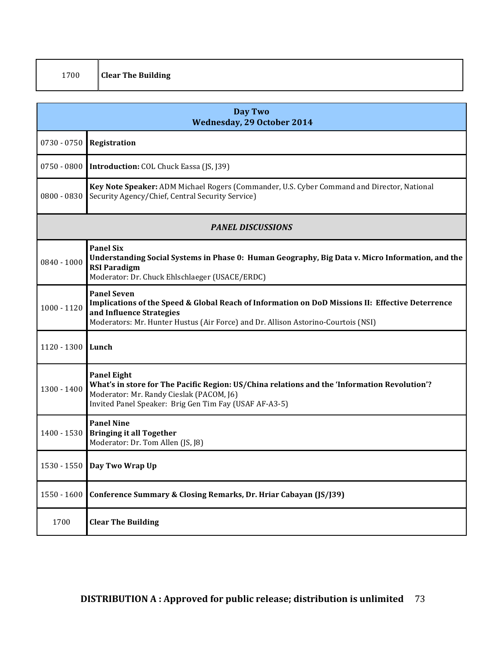| ۰, | ×<br>۰. |
|----|---------|
|    |         |

| <b>Day Two</b><br><b>Wednesday, 29 October 2014</b> |                                                                                                                                                                                                                                         |  |  |
|-----------------------------------------------------|-----------------------------------------------------------------------------------------------------------------------------------------------------------------------------------------------------------------------------------------|--|--|
| $0730 - 0750$                                       | Registration                                                                                                                                                                                                                            |  |  |
| $0750 - 0800$                                       | <b>Introduction:</b> COL Chuck Eassa (JS, J39)                                                                                                                                                                                          |  |  |
| $0800 - 0830$                                       | Key Note Speaker: ADM Michael Rogers (Commander, U.S. Cyber Command and Director, National<br>Security Agency/Chief, Central Security Service)                                                                                          |  |  |
| <b>PANEL DISCUSSIONS</b>                            |                                                                                                                                                                                                                                         |  |  |
| $0840 - 1000$                                       | <b>Panel Six</b><br>Understanding Social Systems in Phase 0: Human Geography, Big Data v. Micro Information, and the<br><b>RSI Paradigm</b><br>Moderator: Dr. Chuck Ehlschlaeger (USACE/ERDC)                                           |  |  |
| $1000 - 1120$                                       | <b>Panel Seven</b><br>Implications of the Speed & Global Reach of Information on DoD Missions II: Effective Deterrence<br>and Influence Strategies<br>Moderators: Mr. Hunter Hustus (Air Force) and Dr. Allison Astorino-Courtois (NSI) |  |  |
| 1120 - 1300                                         | Lunch                                                                                                                                                                                                                                   |  |  |
| 1300 - 1400                                         | <b>Panel Eight</b><br>What's in store for The Pacific Region: US/China relations and the 'Information Revolution'?<br>Moderator: Mr. Randy Cieslak (PACOM, J6)<br>Invited Panel Speaker: Brig Gen Tim Fay (USAF AF-A3-5)                |  |  |
| 1400 - 1530                                         | <b>Panel Nine</b><br><b>Bringing it all Together</b><br>Moderator: Dr. Tom Allen (JS, J8)                                                                                                                                               |  |  |
|                                                     | 1530 - 1550   Day Two Wrap Up                                                                                                                                                                                                           |  |  |
| 1550 - 1600                                         | Conference Summary & Closing Remarks, Dr. Hriar Cabayan (JS/J39)                                                                                                                                                                        |  |  |
| 1700                                                | <b>Clear The Building</b>                                                                                                                                                                                                               |  |  |